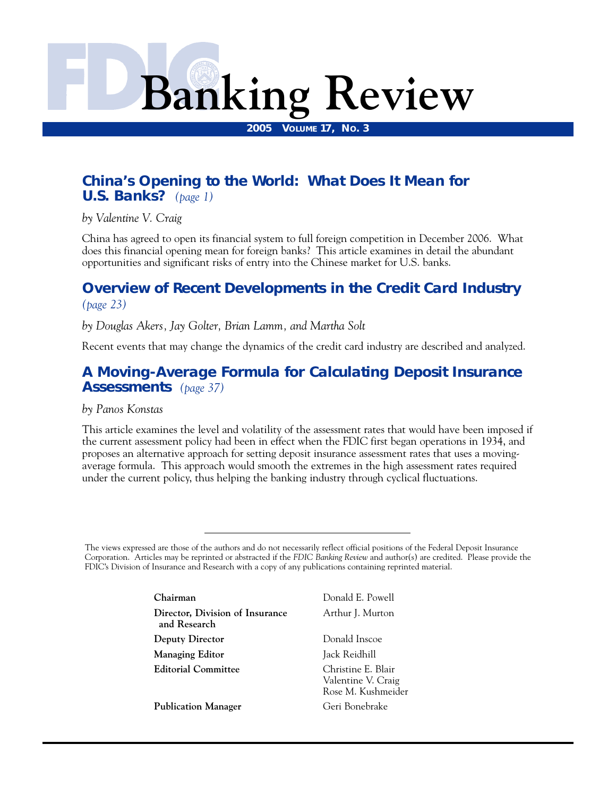# **Banking Review**

**2005 VOLUME 17, NO. 3** 

# **[China's Opening to the World: What Does It Mean for](#page-2-0)  U.S. Banks?** *(page 1)*

*by Valentine V. Craig* 

China has agreed to open its financial system to full foreign competition in December 2006. What does this financial opening mean for foreign banks? This article examines in detail the abundant opportunities and significant risks of entry into the Chinese market for U.S. banks.

# **[Overview of Recent Developments in the Credit Card Industry](#page-24-0)**  *(page 23)*

*by Douglas Akers, Jay Golter, Brian Lamm, and Martha Solt* 

Recent events that may change the dynamics of the credit card industry are described and analyzed.

# **[A Moving-Average Formula for Calculating Deposit Insurance](#page-38-0)  Assessments** *(page 37)*

*by Panos Konstas* 

This article examines the level and volatility of the assessment rates that would have been imposed if the current assessment policy had been in effect when the FDIC first began operations in 1934, and proposes an alternative approach for setting deposit insurance assessment rates that uses a movingaverage formula. This approach would smooth the extremes in the high assessment rates required under the current policy, thus helping the banking industry through cyclical fluctuations.

The views expressed are those of the authors and do not necessarily reflect official positions of the Federal Deposit Insurance Corporation. Articles may be reprinted or abstracted if the *FDIC Banking Review* and author(s) are credited. Please provide the FDIC's Division of Insurance and Research with a copy of any publications containing reprinted material.

| Chairman                                        | Donald E. Powell                                               |
|-------------------------------------------------|----------------------------------------------------------------|
| Director, Division of Insurance<br>and Research | Arthur J. Murton                                               |
| <b>Deputy Director</b>                          | Donald Inscoe                                                  |
| <b>Managing Editor</b>                          | Jack Reidhill                                                  |
| <b>Editorial Committee</b>                      | Christine E. Blair<br>Valentine V. Craig<br>Rose M. Kushmeider |
| <b>Publication Manager</b>                      | Geri Bonebrake                                                 |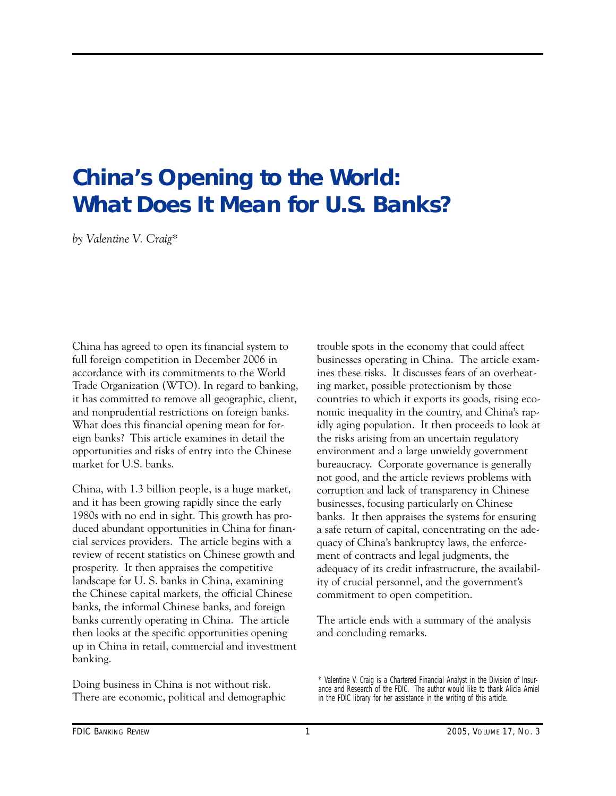# <span id="page-2-0"></span>**China's Opening to the World: What Does It Mean for U.S. Banks?**

*by Valentine V. Craig\** 

China has agreed to open its financial system to full foreign competition in December 2006 in accordance with its commitments to the World Trade Organization (WTO). In regard to banking, it has committed to remove all geographic, client, and nonprudential restrictions on foreign banks. What does this financial opening mean for foreign banks? This article examines in detail the opportunities and risks of entry into the Chinese market for U.S. banks.

China, with 1.3 billion people, is a huge market, and it has been growing rapidly since the early 1980s with no end in sight. This growth has produced abundant opportunities in China for financial services providers. The article begins with a review of recent statistics on Chinese growth and prosperity. It then appraises the competitive landscape for U. S. banks in China, examining the Chinese capital markets, the official Chinese banks, the informal Chinese banks, and foreign banks currently operating in China. The article then looks at the specific opportunities opening up in China in retail, commercial and investment banking.

Doing business in China is not without risk. There are economic, political and demographic trouble spots in the economy that could affect businesses operating in China. The article examines these risks. It discusses fears of an overheating market, possible protectionism by those countries to which it exports its goods, rising economic inequality in the country, and China's rapidly aging population. It then proceeds to look at the risks arising from an uncertain regulatory environment and a large unwieldy government bureaucracy. Corporate governance is generally not good, and the article reviews problems with corruption and lack of transparency in Chinese businesses, focusing particularly on Chinese banks. It then appraises the systems for ensuring a safe return of capital, concentrating on the adequacy of China's bankruptcy laws, the enforcement of contracts and legal judgments, the adequacy of its credit infrastructure, the availability of crucial personnel, and the government's commitment to open competition.

The article ends with a summary of the analysis and concluding remarks.

<sup>\*</sup> Valentine V. Craig is a Chartered Financial Analyst in the Division of Insurance and Research of the FDIC. The author would like to thank Alicia Amiel in the FDIC library for her assistance in the writing of this article.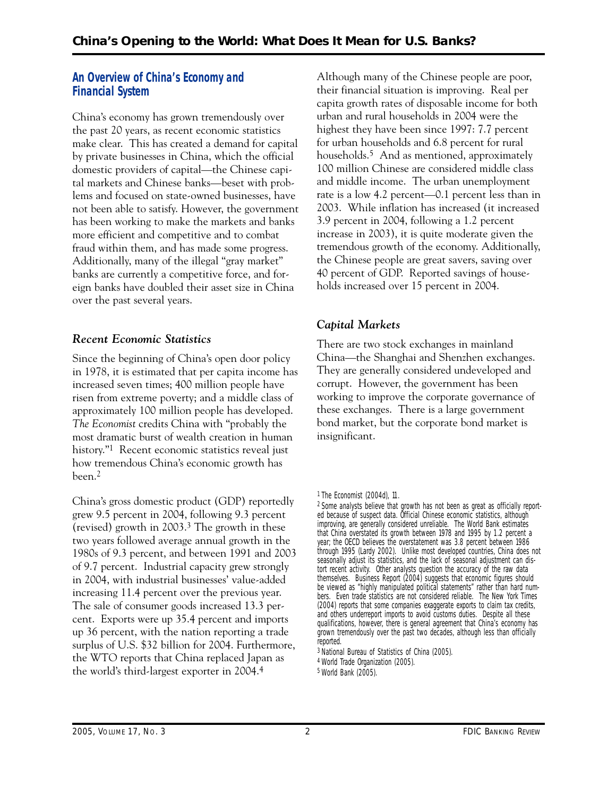# **An Overview of China's Economy and Financial System**

China's economy has grown tremendously over the past 20 years, as recent economic statistics make clear. This has created a demand for capital by private businesses in China, which the official domestic providers of capital—the Chinese capital markets and Chinese banks—beset with problems and focused on state-owned businesses, have not been able to satisfy. However, the government has been working to make the markets and banks more efficient and competitive and to combat fraud within them, and has made some progress. Additionally, many of the illegal "gray market" banks are currently a competitive force, and foreign banks have doubled their asset size in China over the past several years.

# *Recent Economic Statistics*

Since the beginning of China's open door policy in 1978, it is estimated that per capita income has increased seven times; 400 million people have risen from extreme poverty; and a middle class of approximately 100 million people has developed. *The Economist* credits China with "probably the most dramatic burst of wealth creation in human history."<sup>1</sup> Recent economic statistics reveal just how tremendous China's economic growth has been.2

China's gross domestic product (GDP) reportedly grew 9.5 percent in 2004, following 9.3 percent (revised) growth in 2003.3 The growth in these two years followed average annual growth in the 1980s of 9.3 percent, and between 1991 and 2003 of 9.7 percent. Industrial capacity grew strongly in 2004, with industrial businesses' value-added increasing 11.4 percent over the previous year. The sale of consumer goods increased 13.3 percent. Exports were up 35.4 percent and imports up 36 percent, with the nation reporting a trade surplus of U.S. \$32 billion for 2004. Furthermore, the WTO reports that China replaced Japan as the world's third-largest exporter in 2004.4

Although many of the Chinese people are poor, their financial situation is improving. Real per capita growth rates of disposable income for both urban and rural households in 2004 were the highest they have been since 1997: 7.7 percent for urban households and 6.8 percent for rural households.<sup>5</sup> And as mentioned, approximately 100 million Chinese are considered middle class and middle income. The urban unemployment rate is a low 4.2 percent—0.1 percent less than in 2003. While inflation has increased (it increased 3.9 percent in 2004, following a 1.2 percent increase in 2003), it is quite moderate given the tremendous growth of the economy. Additionally, the Chinese people are great savers, saving over 40 percent of GDP. Reported savings of households increased over 15 percent in 2004.

# *Capital Markets*

There are two stock exchanges in mainland China—the Shanghai and Shenzhen exchanges. They are generally considered undeveloped and corrupt. However, the government has been working to improve the corporate governance of these exchanges. There is a large government bond market, but the corporate bond market is insignificant.

1 *The Economist* (2004d), 11.

3 National Bureau of Statistics of China (2005). 4World Trade Organization (2005).

5World Bank (2005).

<sup>2</sup> Some analysts believe that growth has not been as great as officially reported because of suspect data. Official Chinese economic statistics, although improving, are generally considered unreliable. The World Bank estimates that China overstated its growth between 1978 and 1995 by 1.2 percent a year; the OECD believes the overstatement was 3.8 percent between 1986 through 1995 (Lardy 2002). Unlike most developed countries, China does not seasonally adjust its statistics, and the lack of seasonal adjustment can distort recent activity. Other analysts question the accuracy of the raw data themselves. *Business Report* (2004) suggests that economic figures should be viewed as "highly manipulated political statements" rather than hard numbers. Even trade statistics are not considered reliable. The *New York Times* (2004) reports that some companies exaggerate exports to claim tax credits, and others underreport imports to avoid customs duties. Despite all these qualifications, however, there is general agreement that China's economy has grown tremendously over the past two decades, although less than officially reported.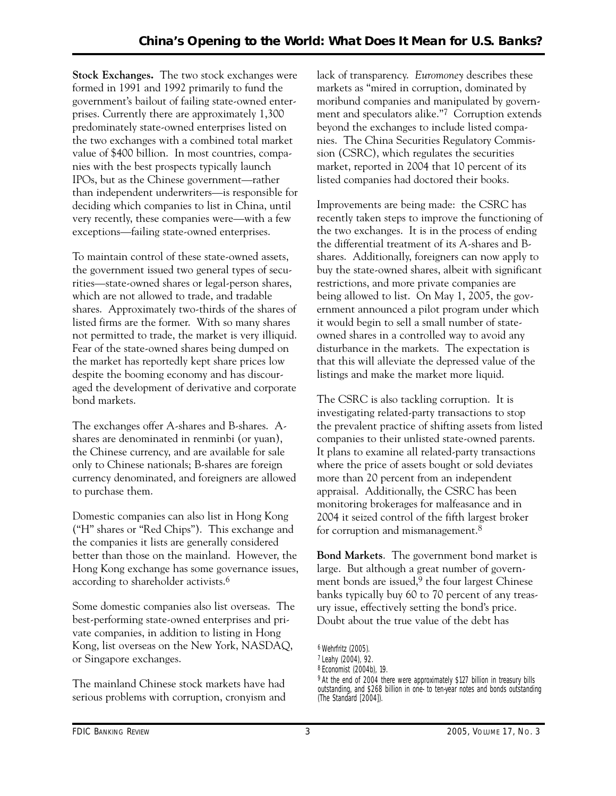**Stock Exchanges.** The two stock exchanges were formed in 1991 and 1992 primarily to fund the government's bailout of failing state-owned enterprises. Currently there are approximately 1,300 predominately state-owned enterprises listed on the two exchanges with a combined total market value of \$400 billion. In most countries, companies with the best prospects typically launch IPOs, but as the Chinese government—rather than independent underwriters—is responsible for deciding which companies to list in China, until very recently, these companies were—with a few exceptions—failing state-owned enterprises.

To maintain control of these state-owned assets, the government issued two general types of securities—state-owned shares or legal-person shares, which are not allowed to trade, and tradable shares. Approximately two-thirds of the shares of listed firms are the former. With so many shares not permitted to trade, the market is very illiquid. Fear of the state-owned shares being dumped on the market has reportedly kept share prices low despite the booming economy and has discouraged the development of derivative and corporate bond markets.

The exchanges offer A-shares and B-shares. Ashares are denominated in renminbi (or yuan), the Chinese currency, and are available for sale only to Chinese nationals; B-shares are foreign currency denominated, and foreigners are allowed to purchase them.

Domestic companies can also list in Hong Kong ("H" shares or "Red Chips"). This exchange and the companies it lists are generally considered better than those on the mainland. However, the Hong Kong exchange has some governance issues, according to shareholder activists.6

Some domestic companies also list overseas. The best-performing state-owned enterprises and private companies, in addition to listing in Hong Kong, list overseas on the New York, NASDAQ, or Singapore exchanges.

The mainland Chinese stock markets have had serious problems with corruption, cronyism and lack of transparency. *Euromoney* describes these markets as "mired in corruption, dominated by moribund companies and manipulated by government and speculators alike."7 Corruption extends beyond the exchanges to include listed companies. The China Securities Regulatory Commission (CSRC), which regulates the securities market, reported in 2004 that 10 percent of its listed companies had doctored their books.

Improvements are being made: the CSRC has recently taken steps to improve the functioning of the two exchanges. It is in the process of ending the differential treatment of its A-shares and Bshares. Additionally, foreigners can now apply to buy the state-owned shares, albeit with significant restrictions, and more private companies are being allowed to list. On May 1, 2005, the government announced a pilot program under which it would begin to sell a small number of stateowned shares in a controlled way to avoid any disturbance in the markets. The expectation is that this will alleviate the depressed value of the listings and make the market more liquid.

The CSRC is also tackling corruption. It is investigating related-party transactions to stop the prevalent practice of shifting assets from listed companies to their unlisted state-owned parents. It plans to examine all related-party transactions where the price of assets bought or sold deviates more than 20 percent from an independent appraisal. Additionally, the CSRC has been monitoring brokerages for malfeasance and in 2004 it seized control of the fifth largest broker for corruption and mismanagement.<sup>8</sup>

**Bond Markets**. The government bond market is large. But although a great number of government bonds are issued,<sup>9</sup> the four largest Chinese banks typically buy 60 to 70 percent of any treasury issue, effectively setting the bond's price. Doubt about the true value of the debt has

<sup>6</sup> Wehrfritz (2005).

<sup>7</sup> Leahy (2004), 92.

<sup>8</sup> *Economist* (2004b), 19.

<sup>&</sup>lt;sup>9</sup> At the end of 2004 there were approximately \$127 billion in treasury bills outstanding, and \$268 billion in one- to ten-year notes and bonds outstanding (*The Standard* [2004]).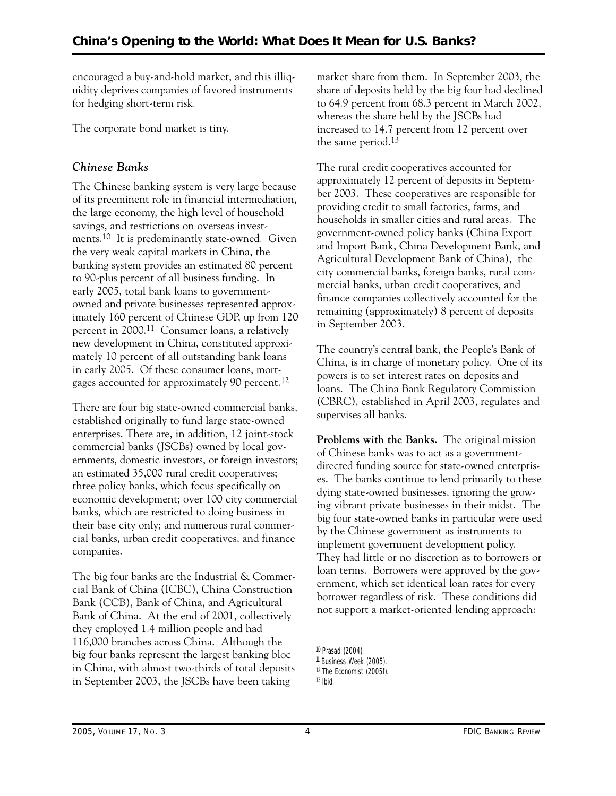encouraged a buy-and-hold market, and this illiquidity deprives companies of favored instruments for hedging short-term risk.

The corporate bond market is tiny.

# *Chinese Banks*

The Chinese banking system is very large because of its preeminent role in financial intermediation, the large economy, the high level of household savings, and restrictions on overseas investments.10 It is predominantly state-owned. Given the very weak capital markets in China, the banking system provides an estimated 80 percent to 90-plus percent of all business funding. In early 2005, total bank loans to governmentowned and private businesses represented approximately 160 percent of Chinese GDP, up from 120 percent in 2000.11 Consumer loans, a relatively new development in China, constituted approximately 10 percent of all outstanding bank loans in early 2005. Of these consumer loans, mortgages accounted for approximately 90 percent.12

There are four big state-owned commercial banks, established originally to fund large state-owned enterprises. There are, in addition, 12 joint-stock commercial banks (JSCBs) owned by local governments, domestic investors, or foreign investors; an estimated 35,000 rural credit cooperatives; three policy banks, which focus specifically on economic development; over 100 city commercial banks, which are restricted to doing business in their base city only; and numerous rural commercial banks, urban credit cooperatives, and finance companies.

The big four banks are the Industrial & Commercial Bank of China (ICBC), China Construction Bank (CCB), Bank of China, and Agricultural Bank of China. At the end of 2001, collectively they employed 1.4 million people and had 116,000 branches across China. Although the big four banks represent the largest banking bloc in China, with almost two-thirds of total deposits in September 2003, the JSCBs have been taking

market share from them. In September 2003, the share of deposits held by the big four had declined to 64.9 percent from 68.3 percent in March 2002, whereas the share held by the JSCBs had increased to 14.7 percent from 12 percent over the same period.13

The rural credit cooperatives accounted for approximately 12 percent of deposits in September 2003. These cooperatives are responsible for providing credit to small factories, farms, and households in smaller cities and rural areas. The government-owned policy banks (China Export and Import Bank, China Development Bank, and Agricultural Development Bank of China), the city commercial banks, foreign banks, rural commercial banks, urban credit cooperatives, and finance companies collectively accounted for the remaining (approximately) 8 percent of deposits in September 2003.

The country's central bank, the People's Bank of China, is in charge of monetary policy. One of its powers is to set interest rates on deposits and loans. The China Bank Regulatory Commission (CBRC), established in April 2003, regulates and supervises all banks.

**Problems with the Banks.** The original mission of Chinese banks was to act as a governmentdirected funding source for state-owned enterprises. The banks continue to lend primarily to these dying state-owned businesses, ignoring the growing vibrant private businesses in their midst. The big four state-owned banks in particular were used by the Chinese government as instruments to implement government development policy. They had little or no discretion as to borrowers or loan terms. Borrowers were approved by the government, which set identical loan rates for every borrower regardless of risk. These conditions did not support a market-oriented lending approach:

<sup>10</sup> Prasad (2004). 11 *Business Week* (2005). 12 *The Economist* (2005f).  $13$  Ibid.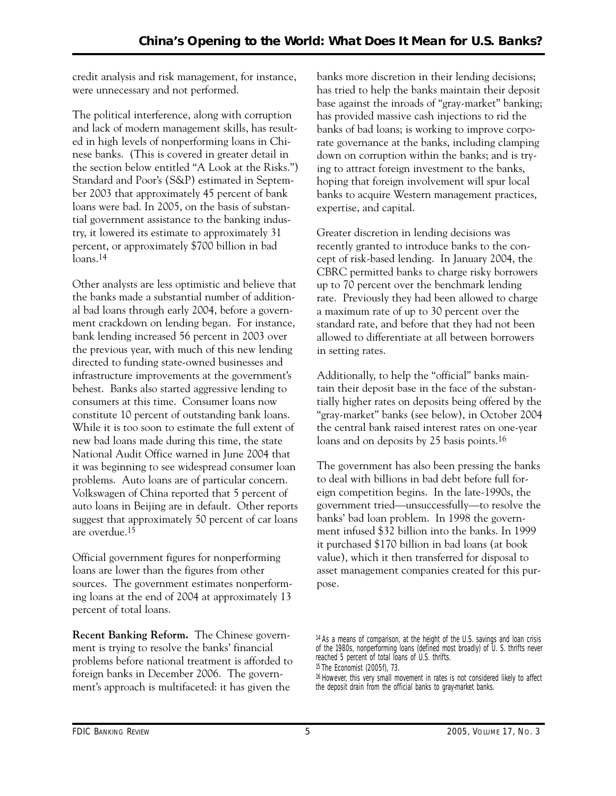credit analysis and risk management, for instance, were unnecessary and not performed.

The political interference, along with corruption and lack of modern management skills, has resulted in high levels of nonperforming loans in Chinese banks. (This is covered in greater detail in the section below entitled "A Look at the Risks.") Standard and Poor's (S&P) estimated in September 2003 that approximately 45 percent of bank loans were bad. In 2005, on the basis of substantial government assistance to the banking industry, it lowered its estimate to approximately 31 percent, or approximately \$700 billion in bad loans.14

Other analysts are less optimistic and believe that the banks made a substantial number of additional bad loans through early 2004, before a government crackdown on lending began. For instance, bank lending increased 56 percent in 2003 over the previous year, with much of this new lending directed to funding state-owned businesses and infrastructure improvements at the government's behest. Banks also started aggressive lending to consumers at this time. Consumer loans now constitute 10 percent of outstanding bank loans. While it is too soon to estimate the full extent of new bad loans made during this time, the state National Audit Office warned in June 2004 that it was beginning to see widespread consumer loan problems. Auto loans are of particular concern. Volkswagen of China reported that 5 percent of auto loans in Beijing are in default. Other reports suggest that approximately 50 percent of car loans are overdue.15

Official government figures for nonperforming loans are lower than the figures from other sources. The government estimates nonperforming loans at the end of 2004 at approximately 13 percent of total loans.

**Recent Banking Reform.** The Chinese government is trying to resolve the banks' financial problems before national treatment is afforded to foreign banks in December 2006. The government's approach is multifaceted: it has given the

banks more discretion in their lending decisions; has tried to help the banks maintain their deposit base against the inroads of "gray-market" banking; has provided massive cash injections to rid the banks of bad loans; is working to improve corporate governance at the banks, including clamping down on corruption within the banks; and is trying to attract foreign investment to the banks, hoping that foreign involvement will spur local banks to acquire Western management practices, expertise, and capital.

Greater discretion in lending decisions was recently granted to introduce banks to the concept of risk-based lending. In January 2004, the CBRC permitted banks to charge risky borrowers up to 70 percent over the benchmark lending rate. Previously they had been allowed to charge a maximum rate of up to 30 percent over the standard rate, and before that they had not been allowed to differentiate at all between borrowers in setting rates.

Additionally, to help the "official" banks maintain their deposit base in the face of the substantially higher rates on deposits being offered by the "gray-market" banks (see below), in October 2004 the central bank raised interest rates on one-year loans and on deposits by 25 basis points.<sup>16</sup>

The government has also been pressing the banks to deal with billions in bad debt before full foreign competition begins. In the late-1990s, the government tried—unsuccessfully—to resolve the banks' bad loan problem. In 1998 the government infused \$32 billion into the banks. In 1999 it purchased \$170 billion in bad loans (at book value), which it then transferred for disposal to asset management companies created for this purpose.

<sup>14</sup> As a means of comparison, at the height of the U.S. savings and loan crisis of the 1980s, nonperforming loans (defined most broadly) of U. S. thrifts never reached 5 percent of total loans of U.S. thrifts.

<sup>15</sup> *The Economist* (2005f), 73.

<sup>16</sup> However, this very small movement in rates is not considered likely to affect the deposit drain from the official banks to gray-market banks.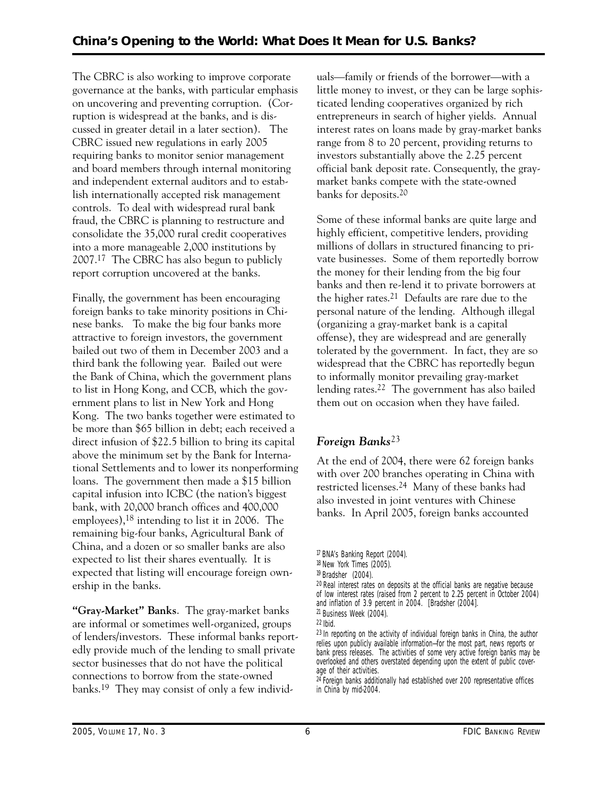The CBRC is also working to improve corporate governance at the banks, with particular emphasis on uncovering and preventing corruption. (Corruption is widespread at the banks, and is discussed in greater detail in a later section). The CBRC issued new regulations in early 2005 requiring banks to monitor senior management and board members through internal monitoring and independent external auditors and to establish internationally accepted risk management controls. To deal with widespread rural bank fraud, the CBRC is planning to restructure and consolidate the 35,000 rural credit cooperatives into a more manageable 2,000 institutions by 2007.17 The CBRC has also begun to publicly report corruption uncovered at the banks.

Finally, the government has been encouraging foreign banks to take minority positions in Chinese banks. To make the big four banks more attractive to foreign investors, the government bailed out two of them in December 2003 and a third bank the following year. Bailed out were the Bank of China, which the government plans to list in Hong Kong, and CCB, which the government plans to list in New York and Hong Kong. The two banks together were estimated to be more than \$65 billion in debt; each received a direct infusion of \$22.5 billion to bring its capital above the minimum set by the Bank for International Settlements and to lower its nonperforming loans. The government then made a \$15 billion capital infusion into ICBC (the nation's biggest bank, with 20,000 branch offices and 400,000 employees),18 intending to list it in 2006. The remaining big-four banks, Agricultural Bank of China, and a dozen or so smaller banks are also expected to list their shares eventually. It is expected that listing will encourage foreign ownership in the banks.

**"Gray-Market" Banks**. The gray-market banks are informal or sometimes well-organized, groups of lenders/investors. These informal banks reportedly provide much of the lending to small private sector businesses that do not have the political connections to borrow from the state-owned banks.19 They may consist of only a few individuals—family or friends of the borrower—with a little money to invest, or they can be large sophisticated lending cooperatives organized by rich entrepreneurs in search of higher yields. Annual interest rates on loans made by gray-market banks range from 8 to 20 percent, providing returns to investors substantially above the 2.25 percent official bank deposit rate. Consequently, the graymarket banks compete with the state-owned banks for deposits.20

Some of these informal banks are quite large and highly efficient, competitive lenders, providing millions of dollars in structured financing to private businesses. Some of them reportedly borrow the money for their lending from the big four banks and then re-lend it to private borrowers at the higher rates.21 Defaults are rare due to the personal nature of the lending. Although illegal (organizing a gray-market bank is a capital offense), they are widespread and are generally tolerated by the government. In fact, they are so widespread that the CBRC has reportedly begun to informally monitor prevailing gray-market lending rates.22 The government has also bailed them out on occasion when they have failed.

# *Foreign Banks*23

At the end of 2004, there were 62 foreign banks with over 200 branches operating in China with restricted licenses.24 Many of these banks had also invested in joint ventures with Chinese banks. In April 2005, foreign banks accounted

20 Real interest rates on deposits at the official banks are negative because of low interest rates (raised from 2 percent to 2.25 percent in October 2004) and inflation of 3.9 percent in 2004. [Bradsher (2004].

<sup>17</sup> *BNA's Banking Report* (2004).

<sup>18</sup> *New York Times* (2005).

<sup>19</sup> Bradsher (2004).

<sup>21</sup> *Business Week* (2004).

<sup>22</sup> Ibid.

<sup>23</sup> In reporting on the activity of individual foreign banks in China, the author relies upon publicly available information—for the most part, news reports or bank press releases. The activities of some very active foreign banks may be overlooked and others overstated depending upon the extent of public coverage of their activities.

 $24$  Foreign banks additionally had established over 200 representative offices in China by mid-2004.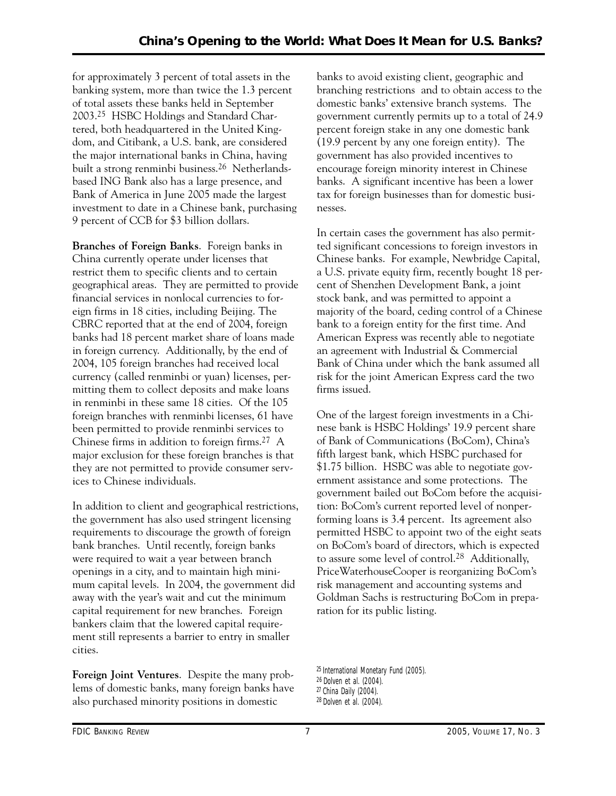for approximately 3 percent of total assets in the banking system, more than twice the 1.3 percent of total assets these banks held in September 2003.25 HSBC Holdings and Standard Chartered, both headquartered in the United Kingdom, and Citibank, a U.S. bank, are considered the major international banks in China, having built a strong renminbi business.26 Netherlandsbased ING Bank also has a large presence, and Bank of America in June 2005 made the largest investment to date in a Chinese bank, purchasing 9 percent of CCB for \$3 billion dollars.

**Branches of Foreign Banks**. Foreign banks in China currently operate under licenses that restrict them to specific clients and to certain geographical areas. They are permitted to provide financial services in nonlocal currencies to foreign firms in 18 cities, including Beijing. The CBRC reported that at the end of 2004, foreign banks had 18 percent market share of loans made in foreign currency. Additionally, by the end of 2004, 105 foreign branches had received local currency (called renminbi or yuan) licenses, permitting them to collect deposits and make loans in renminbi in these same 18 cities. Of the 105 foreign branches with renminbi licenses, 61 have been permitted to provide renminbi services to Chinese firms in addition to foreign firms.27 A major exclusion for these foreign branches is that they are not permitted to provide consumer services to Chinese individuals.

In addition to client and geographical restrictions, the government has also used stringent licensing requirements to discourage the growth of foreign bank branches. Until recently, foreign banks were required to wait a year between branch openings in a city, and to maintain high minimum capital levels. In 2004, the government did away with the year's wait and cut the minimum capital requirement for new branches. Foreign bankers claim that the lowered capital requirement still represents a barrier to entry in smaller cities.

**Foreign Joint Ventures**. Despite the many problems of domestic banks, many foreign banks have also purchased minority positions in domestic

 banks. A significant incentive has been a lower banks to avoid existing client, geographic and branching restrictions and to obtain access to the domestic banks' extensive branch systems. The government currently permits up to a total of 24.9 percent foreign stake in any one domestic bank (19.9 percent by any one foreign entity). The government has also provided incentives to encourage foreign minority interest in Chinese tax for foreign businesses than for domestic businesses.

In certain cases the government has also permitted significant concessions to foreign investors in Chinese banks. For example, Newbridge Capital, a U.S. private equity firm, recently bought 18 percent of Shenzhen Development Bank, a joint stock bank, and was permitted to appoint a majority of the board, ceding control of a Chinese bank to a foreign entity for the first time. And American Express was recently able to negotiate an agreement with Industrial & Commercial Bank of China under which the bank assumed all risk for the joint American Express card the two firms issued.

One of the largest foreign investments in a Chinese bank is HSBC Holdings' 19.9 percent share of Bank of Communications (BoCom), China's fifth largest bank, which HSBC purchased for \$1.75 billion. HSBC was able to negotiate government assistance and some protections. The government bailed out BoCom before the acquisition: BoCom's current reported level of nonperforming loans is 3.4 percent. Its agreement also permitted HSBC to appoint two of the eight seats on BoCom's board of directors, which is expected to assure some level of control.28 Additionally, PriceWaterhouseCooper is reorganizing BoCom's risk management and accounting systems and Goldman Sachs is restructuring BoCom in preparation for its public listing.

25 International Monetary Fund (2005). 26 Dolven et al. (2004). 27 *China Daily* (2004). 28 Dolven et al. (2004).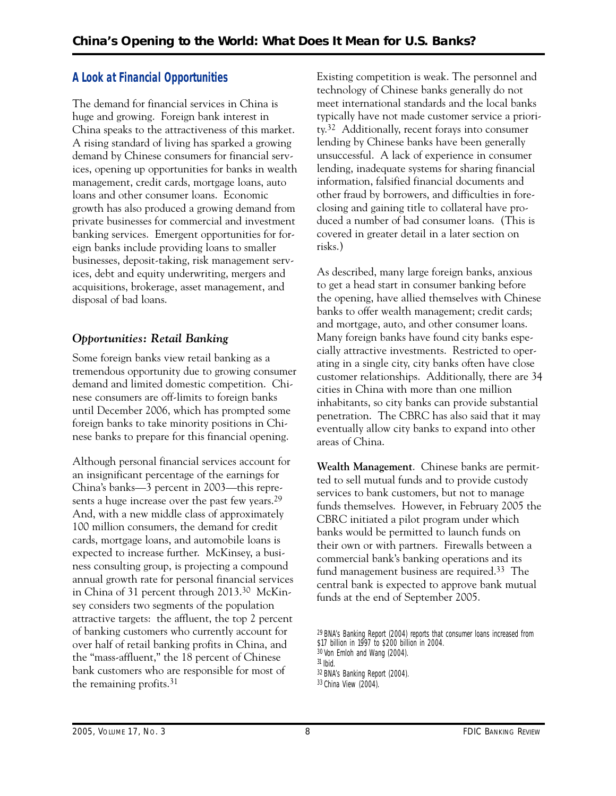# **A Look at Financial Opportunities**

The demand for financial services in China is huge and growing. Foreign bank interest in China speaks to the attractiveness of this market. A rising standard of living has sparked a growing demand by Chinese consumers for financial services, opening up opportunities for banks in wealth management, credit cards, mortgage loans, auto loans and other consumer loans. Economic growth has also produced a growing demand from private businesses for commercial and investment banking services. Emergent opportunities for foreign banks include providing loans to smaller businesses, deposit-taking, risk management services, debt and equity underwriting, mergers and acquisitions, brokerage, asset management, and disposal of bad loans.

# *Opportunities: Retail Banking*

 nese banks to prepare for this financial opening. Although personal financial services account for Some foreign banks view retail banking as a tremendous opportunity due to growing consumer demand and limited domestic competition. Chinese consumers are off-limits to foreign banks until December 2006, which has prompted some foreign banks to take minority positions in Chi-

an insignificant percentage of the earnings for China's banks—3 percent in 2003—this represents a huge increase over the past few years.<sup>29</sup> And, with a new middle class of approximately 100 million consumers, the demand for credit cards, mortgage loans, and automobile loans is expected to increase further. McKinsey, a business consulting group, is projecting a compound annual growth rate for personal financial services in China of 31 percent through 2013.30 McKinsey considers two segments of the population attractive targets: the affluent, the top 2 percent of banking customers who currently account for over half of retail banking profits in China, and the "mass-affluent," the 18 percent of Chinese bank customers who are responsible for most of the remaining profits.31

 unsuccessful. A lack of experience in consumer Existing competition is weak. The personnel and technology of Chinese banks generally do not meet international standards and the local banks typically have not made customer service a priority.32 Additionally, recent forays into consumer lending by Chinese banks have been generally lending, inadequate systems for sharing financial information, falsified financial documents and other fraud by borrowers, and difficulties in foreclosing and gaining title to collateral have produced a number of bad consumer loans. (This is covered in greater detail in a later section on risks.)

As described, many large foreign banks, anxious to get a head start in consumer banking before the opening, have allied themselves with Chinese banks to offer wealth management; credit cards; and mortgage, auto, and other consumer loans. Many foreign banks have found city banks especially attractive investments. Restricted to operating in a single city, city banks often have close customer relationships. Additionally, there are 34 cities in China with more than one million inhabitants, so city banks can provide substantial penetration. The CBRC has also said that it may eventually allow city banks to expand into other areas of China.

**Wealth Management**. Chinese banks are permitted to sell mutual funds and to provide custody services to bank customers, but not to manage funds themselves. However, in February 2005 the CBRC initiated a pilot program under which banks would be permitted to launch funds on their own or with partners. Firewalls between a commercial bank's banking operations and its fund management business are required.33 The central bank is expected to approve bank mutual funds at the end of September 2005.

<sup>29</sup> *BNA's Banking Report* (2004) reports that consumer loans increased from \$17 billion in 1997 to \$200 billion in 2004.

<sup>30</sup> Von Emloh and Wang (2004).

<sup>31</sup> Ibid.

<sup>32</sup> *BNA's Banking Report* (2004).

<sup>33</sup> *China View* (2004).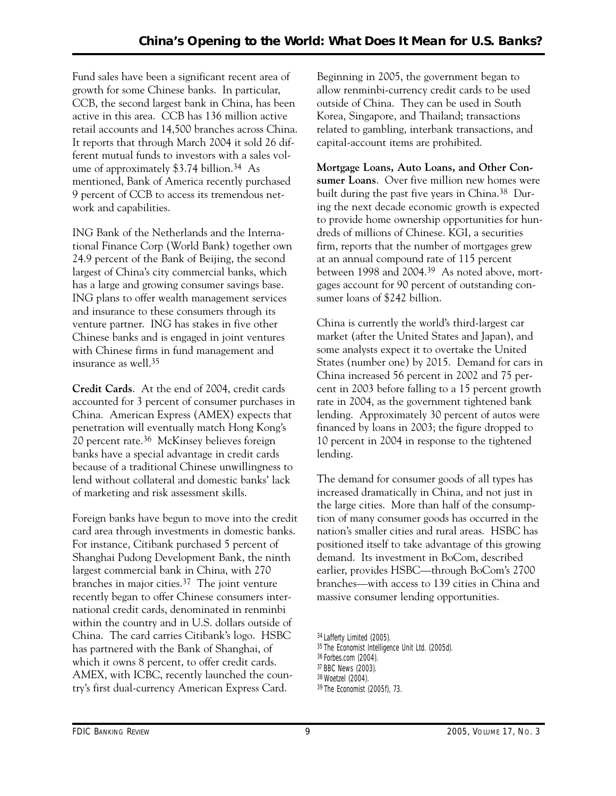Fund sales have been a significant recent area of growth for some Chinese banks. In particular, CCB, the second largest bank in China, has been active in this area. CCB has 136 million active retail accounts and 14,500 branches across China. It reports that through March 2004 it sold 26 different mutual funds to investors with a sales volume of approximately  $$3.74$  billion.<sup>34</sup> As mentioned, Bank of America recently purchased 9 percent of CCB to access its tremendous network and capabilities.

ING Bank of the Netherlands and the International Finance Corp (World Bank) together own 24.9 percent of the Bank of Beijing, the second largest of China's city commercial banks, which has a large and growing consumer savings base. ING plans to offer wealth management services and insurance to these consumers through its venture partner. ING has stakes in five other Chinese banks and is engaged in joint ventures with Chinese firms in fund management and insurance as well.35

**Credit Cards**. At the end of 2004, credit cards accounted for 3 percent of consumer purchases in China. American Express (AMEX) expects that penetration will eventually match Hong Kong's 20 percent rate.36 McKinsey believes foreign banks have a special advantage in credit cards because of a traditional Chinese unwillingness to lend without collateral and domestic banks' lack of marketing and risk assessment skills.

Foreign banks have begun to move into the credit card area through investments in domestic banks. For instance, Citibank purchased 5 percent of Shanghai Pudong Development Bank, the ninth largest commercial bank in China, with 270 branches in major cities.37 The joint venture recently began to offer Chinese consumers international credit cards, denominated in renminbi within the country and in U.S. dollars outside of China. The card carries Citibank's logo. HSBC has partnered with the Bank of Shanghai, of which it owns 8 percent, to offer credit cards. AMEX, with ICBC, recently launched the country's first dual-currency American Express Card.

Beginning in 2005, the government began to allow renminbi-currency credit cards to be used outside of China. They can be used in South Korea, Singapore, and Thailand; transactions related to gambling, interbank transactions, and capital-account items are prohibited.

**Mortgage Loans, Auto Loans, and Other Consumer Loans**. Over five million new homes were built during the past five years in China.38 During the next decade economic growth is expected to provide home ownership opportunities for hundreds of millions of Chinese. KGI, a securities firm, reports that the number of mortgages grew at an annual compound rate of 115 percent between 1998 and 2004.39 As noted above, mortgages account for 90 percent of outstanding consumer loans of \$242 billion.

China is currently the world's third-largest car market (after the United States and Japan), and some analysts expect it to overtake the United States (number one) by 2015. Demand for cars in China increased 56 percent in 2002 and 75 percent in 2003 before falling to a 15 percent growth rate in 2004, as the government tightened bank lending. Approximately 30 percent of autos were financed by loans in 2003; the figure dropped to 10 percent in 2004 in response to the tightened lending.

The demand for consumer goods of all types has increased dramatically in China, and not just in the large cities. More than half of the consumption of many consumer goods has occurred in the nation's smaller cities and rural areas. HSBC has positioned itself to take advantage of this growing demand. Its investment in BoCom, described earlier, provides HSBC—through BoCom's 2700 branches—with access to 139 cities in China and massive consumer lending opportunities.

<sup>34</sup> *Lafferty Limited* (2005).

<sup>35</sup> *The Economist Intelligence Unit Ltd.* (2005d).

<sup>36</sup> *Forbes.com* (2004).

<sup>37</sup> *BBC News* (2003).

<sup>38</sup> Woetzel (2004).

<sup>39</sup> *The Economist* (2005f), 73.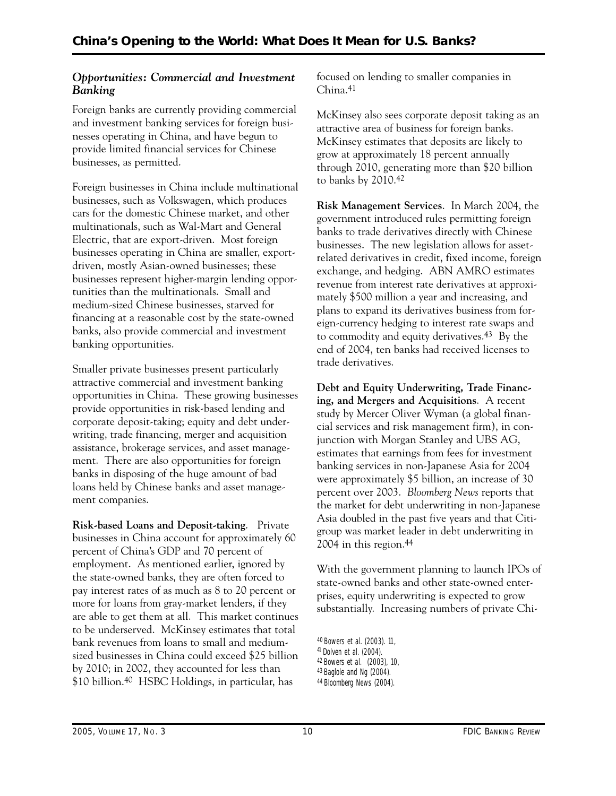# *Opportunities: Commercial and Investment Banking*

Foreign banks are currently providing commercial and investment banking services for foreign businesses operating in China, and have begun to provide limited financial services for Chinese businesses, as permitted.

Foreign businesses in China include multinational businesses, such as Volkswagen, which produces cars for the domestic Chinese market, and other multinationals, such as Wal-Mart and General Electric, that are export-driven. Most foreign businesses operating in China are smaller, exportdriven, mostly Asian-owned businesses; these businesses represent higher-margin lending opportunities than the multinationals. Small and medium-sized Chinese businesses, starved for financing at a reasonable cost by the state-owned banks, also provide commercial and investment banking opportunities.

Smaller private businesses present particularly attractive commercial and investment banking opportunities in China. These growing businesses provide opportunities in risk-based lending and corporate deposit-taking; equity and debt underwriting, trade financing, merger and acquisition assistance, brokerage services, and asset management. There are also opportunities for foreign banks in disposing of the huge amount of bad loans held by Chinese banks and asset management companies.

 **Risk-based Loans and Deposit-taking**. Private businesses in China account for approximately 60 percent of China's GDP and 70 percent of employment. As mentioned earlier, ignored by the state-owned banks, they are often forced to pay interest rates of as much as 8 to 20 percent or more for loans from gray-market lenders, if they are able to get them at all. This market continues to be underserved. McKinsey estimates that total bank revenues from loans to small and mediumsized businesses in China could exceed \$25 billion by 2010; in 2002, they accounted for less than \$10 billion.40 HSBC Holdings, in particular, has

focused on lending to smaller companies in China.41

McKinsey also sees corporate deposit taking as an attractive area of business for foreign banks. McKinsey estimates that deposits are likely to grow at approximately 18 percent annually through 2010, generating more than \$20 billion to banks by 2010.42

**Risk Management Services**. In March 2004, the government introduced rules permitting foreign banks to trade derivatives directly with Chinese businesses. The new legislation allows for assetrelated derivatives in credit, fixed income, foreign exchange, and hedging. ABN AMRO estimates revenue from interest rate derivatives at approximately \$500 million a year and increasing, and plans to expand its derivatives business from foreign-currency hedging to interest rate swaps and to commodity and equity derivatives.43 By the end of 2004, ten banks had received licenses to trade derivatives.

 **ing, and Mergers and Acquisitions**. A recent **Debt and Equity Underwriting, Trade Financ**study by Mercer Oliver Wyman (a global financial services and risk management firm), in conjunction with Morgan Stanley and UBS AG, estimates that earnings from fees for investment banking services in non-Japanese Asia for 2004 were approximately \$5 billion, an increase of 30 percent over 2003. *Bloomberg News* reports that the market for debt underwriting in non-Japanese Asia doubled in the past five years and that Citigroup was market leader in debt underwriting in 2004 in this region.44

With the government planning to launch IPOs of state-owned banks and other state-owned enterprises, equity underwriting is expected to grow substantially. Increasing numbers of private Chi-

<sup>40</sup> Bowers et al. (2003). 11,

<sup>41</sup> Dolven et al. (2004).

<sup>&</sup>lt;sup>42</sup> Bowers et al. (2003), 10,<br><sup>43</sup> Baglole and Ng (2004).

<sup>44</sup> *Bloomberg News* (2004).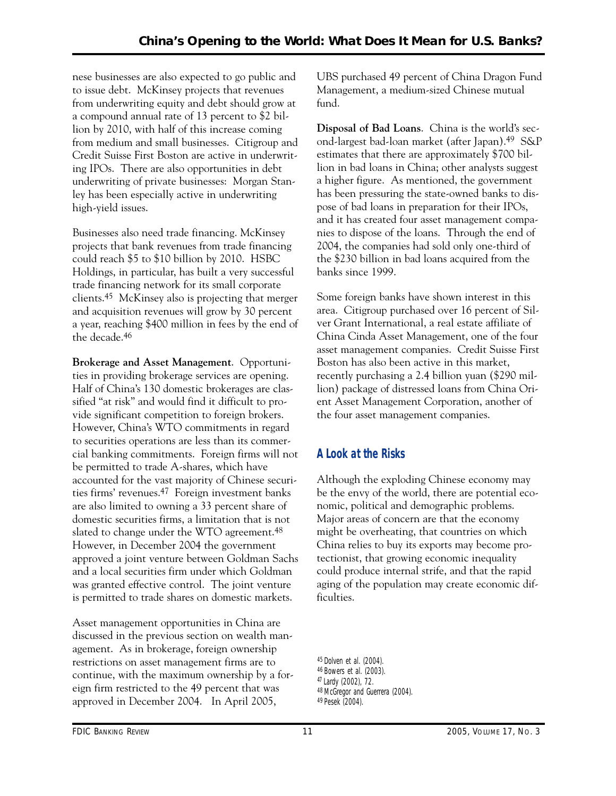nese businesses are also expected to go public and to issue debt. McKinsey projects that revenues from underwriting equity and debt should grow at a compound annual rate of 13 percent to \$2 billion by 2010, with half of this increase coming from medium and small businesses. Citigroup and Credit Suisse First Boston are active in underwriting IPOs. There are also opportunities in debt underwriting of private businesses: Morgan Stanley has been especially active in underwriting high-yield issues.

Businesses also need trade financing. McKinsey projects that bank revenues from trade financing could reach \$5 to \$10 billion by 2010. HSBC Holdings, in particular, has built a very successful trade financing network for its small corporate clients.45 McKinsey also is projecting that merger and acquisition revenues will grow by 30 percent a year, reaching \$400 million in fees by the end of the decade.46

**Brokerage and Asset Management**. Opportunities in providing brokerage services are opening. Half of China's 130 domestic brokerages are classified "at risk" and would find it difficult to provide significant competition to foreign brokers. However, China's WTO commitments in regard to securities operations are less than its commercial banking commitments. Foreign firms will not be permitted to trade A-shares, which have accounted for the vast majority of Chinese securities firms' revenues.47 Foreign investment banks are also limited to owning a 33 percent share of domestic securities firms, a limitation that is not slated to change under the WTO agreement.<sup>48</sup> However, in December 2004 the government approved a joint venture between Goldman Sachs and a local securities firm under which Goldman was granted effective control. The joint venture is permitted to trade shares on domestic markets.

 approved in December 2004. In April 2005, Asset management opportunities in China are discussed in the previous section on wealth management. As in brokerage, foreign ownership restrictions on asset management firms are to continue, with the maximum ownership by a foreign firm restricted to the 49 percent that was

UBS purchased 49 percent of China Dragon Fund Management, a medium-sized Chinese mutual fund.

**Disposal of Bad Loans**. China is the world's second-largest bad-loan market (after Japan).49 S&P estimates that there are approximately \$700 billion in bad loans in China; other analysts suggest a higher figure. As mentioned, the government has been pressuring the state-owned banks to dispose of bad loans in preparation for their IPOs, and it has created four asset management companies to dispose of the loans. Through the end of 2004, the companies had sold only one-third of the \$230 billion in bad loans acquired from the banks since 1999.

Some foreign banks have shown interest in this area. Citigroup purchased over 16 percent of Silver Grant International, a real estate affiliate of China Cinda Asset Management, one of the four asset management companies. Credit Suisse First Boston has also been active in this market, recently purchasing a 2.4 billion yuan (\$290 million) package of distressed loans from China Orient Asset Management Corporation, another of the four asset management companies.

# **A Look at the Risks**

Although the exploding Chinese economy may be the envy of the world, there are potential economic, political and demographic problems. Major areas of concern are that the economy might be overheating, that countries on which China relies to buy its exports may become protectionist, that growing economic inequality could produce internal strife, and that the rapid aging of the population may create economic difficulties.

<sup>45</sup> Dolven et al. (2004). 46 Bowers et al. (2003). 47 Lardy (2002), 72. 48 McGregor and Guerrera (2004). 49 Pesek (2004).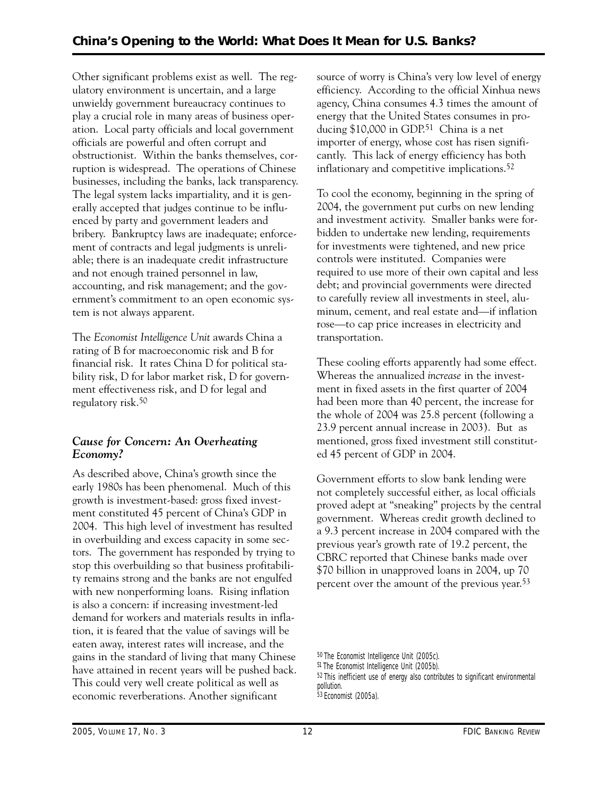bribery. Bankruptcy laws are inadequate; enforce-Other significant problems exist as well. The regulatory environment is uncertain, and a large unwieldy government bureaucracy continues to play a crucial role in many areas of business operation. Local party officials and local government officials are powerful and often corrupt and obstructionist. Within the banks themselves, corruption is widespread. The operations of Chinese businesses, including the banks, lack transparency. The legal system lacks impartiality, and it is generally accepted that judges continue to be influenced by party and government leaders and ment of contracts and legal judgments is unreliable; there is an inadequate credit infrastructure and not enough trained personnel in law, accounting, and risk management; and the government's commitment to an open economic system is not always apparent.

The *Economist Intelligence Unit* awards China a rating of B for macroeconomic risk and B for financial risk. It rates China D for political stability risk, D for labor market risk, D for government effectiveness risk, and D for legal and regulatory risk.50

# *Cause for Concern: An Overheating Economy?*

As described above, China's growth since the early 1980s has been phenomenal. Much of this growth is investment-based: gross fixed investment constituted 45 percent of China's GDP in 2004. This high level of investment has resulted in overbuilding and excess capacity in some sectors. The government has responded by trying to stop this overbuilding so that business profitability remains strong and the banks are not engulfed with new nonperforming loans. Rising inflation is also a concern: if increasing investment-led demand for workers and materials results in inflation, it is feared that the value of savings will be eaten away, interest rates will increase, and the gains in the standard of living that many Chinese have attained in recent years will be pushed back. This could very well create political as well as economic reverberations. Another significant

source of worry is China's very low level of energy efficiency. According to the official Xinhua news agency, China consumes 4.3 times the amount of energy that the United States consumes in producing \$10,000 in GDP.<sup>51</sup> China is a net importer of energy, whose cost has risen significantly. This lack of energy efficiency has both inflationary and competitive implications.<sup>52</sup>

To cool the economy, beginning in the spring of 2004, the government put curbs on new lending and investment activity. Smaller banks were forbidden to undertake new lending, requirements for investments were tightened, and new price controls were instituted. Companies were required to use more of their own capital and less debt; and provincial governments were directed to carefully review all investments in steel, aluminum, cement, and real estate and—if inflation rose—to cap price increases in electricity and transportation.

 23.9 percent annual increase in 2003). But as These cooling efforts apparently had some effect. Whereas the annualized *increase* in the investment in fixed assets in the first quarter of 2004 had been more than 40 percent, the increase for the whole of 2004 was 25.8 percent (following a mentioned, gross fixed investment still constituted 45 percent of GDP in 2004.

Government efforts to slow bank lending were not completely successful either, as local officials proved adept at "sneaking" projects by the central government. Whereas credit growth declined to a 9.3 percent increase in 2004 compared with the previous year's growth rate of 19.2 percent, the CBRC reported that Chinese banks made over \$70 billion in unapproved loans in 2004, up 70 percent over the amount of the previous year.53

52 This inefficient use of energy also contributes to significant environmental pollution.

<sup>50</sup> *The Economist Intelligence Unit* (2005c).

<sup>51</sup> *The Economist Intelligence Unit* (2005b).

<sup>53</sup> *Economist* (2005a).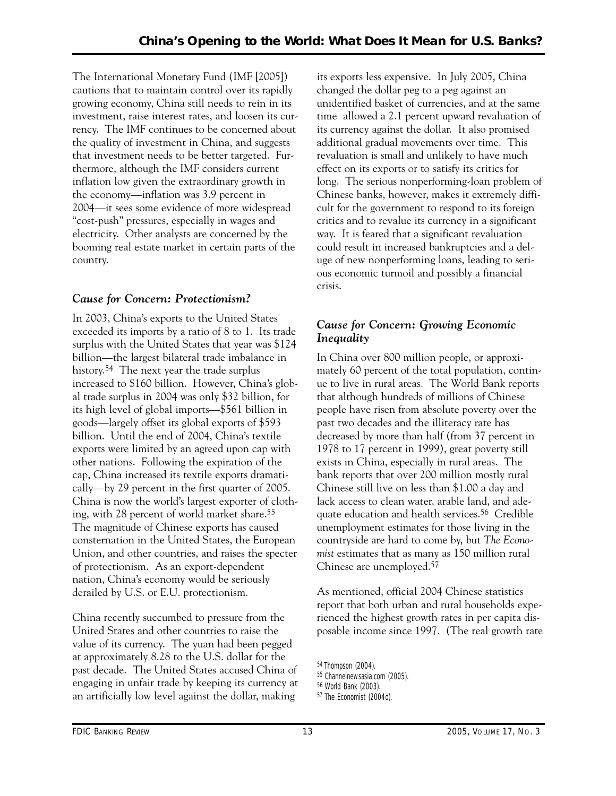The International Monetary Fund (IMF [2005]) cautions that to maintain control over its rapidly growing economy, China still needs to rein in its investment, raise interest rates, and loosen its currency. The IMF continues to be concerned about the quality of investment in China, and suggests that investment needs to be better targeted. Furthermore, although the IMF considers current inflation low given the extraordinary growth in the economy—inflation was 3.9 percent in 2004—it sees some evidence of more widespread "cost-push" pressures, especially in wages and electricity. Other analysts are concerned by the booming real estate market in certain parts of the country.

# *Cause for Concern: Protectionism?*

In 2003, China's exports to the United States exceeded its imports by a ratio of 8 to 1. Its trade surplus with the United States that year was \$124 billion—the largest bilateral trade imbalance in history.54 The next year the trade surplus increased to \$160 billion. However, China's global trade surplus in 2004 was only \$32 billion, for its high level of global imports—\$561 billion in goods—largely offset its global exports of \$593 billion. Until the end of 2004, China's textile exports were limited by an agreed upon cap with other nations. Following the expiration of the cap, China increased its textile exports dramatically—by 29 percent in the first quarter of 2005. China is now the world's largest exporter of clothing, with 28 percent of world market share.55 The magnitude of Chinese exports has caused consternation in the United States, the European Union, and other countries, and raises the specter of protectionism. As an export-dependent nation, China's economy would be seriously derailed by U.S. or E.U. protectionism.

China recently succumbed to pressure from the United States and other countries to raise the value of its currency. The yuan had been pegged at approximately 8.28 to the U.S. dollar for the past decade. The United States accused China of engaging in unfair trade by keeping its currency at an artificially low level against the dollar, making

its exports less expensive. In July 2005, China changed the dollar peg to a peg against an unidentified basket of currencies, and at the same time allowed a 2.1 percent upward revaluation of its currency against the dollar. It also promised additional gradual movements over time. This revaluation is small and unlikely to have much effect on its exports or to satisfy its critics for long. The serious nonperforming-loan problem of Chinese banks, however, makes it extremely difficult for the government to respond to its foreign critics and to revalue its currency in a significant way. It is feared that a significant revaluation could result in increased bankruptcies and a deluge of new nonperforming loans, leading to serious economic turmoil and possibly a financial crisis.

# *Cause for Concern: Growing Economic Inequality*

In China over 800 million people, or approximately 60 percent of the total population, continue to live in rural areas. The World Bank reports that although hundreds of millions of Chinese people have risen from absolute poverty over the past two decades and the illiteracy rate has decreased by more than half (from 37 percent in 1978 to 17 percent in 1999), great poverty still exists in China, especially in rural areas. The bank reports that over 200 million mostly rural Chinese still live on less than \$1.00 a day and lack access to clean water, arable land, and adequate education and health services.56 Credible unemployment estimates for those living in the countryside are hard to come by, but *The Economist* estimates that as many as 150 million rural Chinese are unemployed.57

As mentioned, official 2004 Chinese statistics report that both urban and rural households experienced the highest growth rates in per capita disposable income since 1997. (The real growth rate

<sup>54</sup> Thompson (2004).

<sup>55</sup> *Channelnewsasia.com* (2005).

<sup>56</sup> World Bank (2003).

<sup>57</sup> *The Economist* (2004d).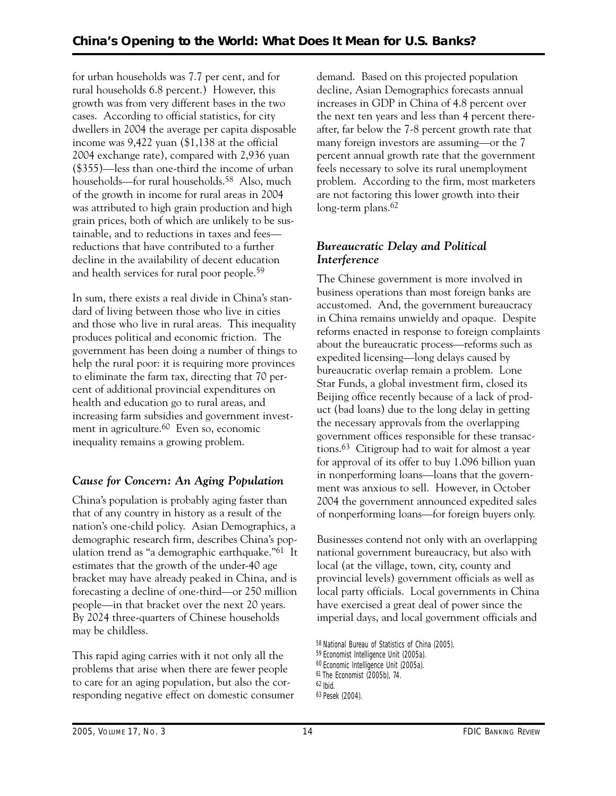for urban households was 7.7 per cent, and for rural households 6.8 percent.) However, this growth was from very different bases in the two cases. According to official statistics, for city dwellers in 2004 the average per capita disposable income was 9,422 yuan (\$1,138 at the official 2004 exchange rate), compared with 2,936 yuan (\$355)—less than one-third the income of urban households—for rural households.<sup>58</sup> Also, much of the growth in income for rural areas in 2004 was attributed to high grain production and high grain prices, both of which are unlikely to be sustainable, and to reductions in taxes and fees reductions that have contributed to a further decline in the availability of decent education and health services for rural poor people.59

In sum, there exists a real divide in China's standard of living between those who live in cities and those who live in rural areas. This inequality produces political and economic friction. The government has been doing a number of things to help the rural poor: it is requiring more provinces to eliminate the farm tax, directing that 70 percent of additional provincial expenditures on health and education go to rural areas, and increasing farm subsidies and government investment in agriculture.60 Even so, economic inequality remains a growing problem.

# *Cause for Concern: An Aging Population*

China's population is probably aging faster than that of any country in history as a result of the nation's one-child policy. Asian Demographics, a demographic research firm, describes China's population trend as "a demographic earthquake."61 It estimates that the growth of the under-40 age bracket may have already peaked in China, and is forecasting a decline of one-third—or 250 million people—in that bracket over the next 20 years. By 2024 three-quarters of Chinese households may be childless.

This rapid aging carries with it not only all the problems that arise when there are fewer people to care for an aging population, but also the corresponding negative effect on domestic consumer demand. Based on this projected population decline, Asian Demographics forecasts annual increases in GDP in China of 4.8 percent over the next ten years and less than 4 percent thereafter, far below the 7-8 percent growth rate that many foreign investors are assuming—or the 7 percent annual growth rate that the government feels necessary to solve its rural unemployment problem. According to the firm, most marketers are not factoring this lower growth into their long-term plans.<sup>62</sup>

# *Bureaucratic Delay and Political Interference*

The Chinese government is more involved in business operations than most foreign banks are accustomed. And, the government bureaucracy in China remains unwieldy and opaque. Despite reforms enacted in response to foreign complaints about the bureaucratic process—reforms such as expedited licensing—long delays caused by bureaucratic overlap remain a problem. Lone Star Funds, a global investment firm, closed its Beijing office recently because of a lack of product (bad loans) due to the long delay in getting the necessary approvals from the overlapping government offices responsible for these transactions.63 Citigroup had to wait for almost a year for approval of its offer to buy 1.096 billion yuan in nonperforming loans—loans that the government was anxious to sell. However, in October 2004 the government announced expedited sales of nonperforming loans—for foreign buyers only.

Businesses contend not only with an overlapping national government bureaucracy, but also with local (at the village, town, city, county and provincial levels) government officials as well as local party officials. Local governments in China have exercised a great deal of power since the imperial days, and local government officials and

<sup>58</sup> National Bureau of Statistics of China (2005).

<sup>59</sup> *Economist Intelligence Unit* (2005a).

<sup>60</sup> *Economic Intelligence Unit* (2005a).

 61 *The Economist* (2005b), 74.

<sup>62</sup> Ibid.

<sup>63</sup> Pesek (2004).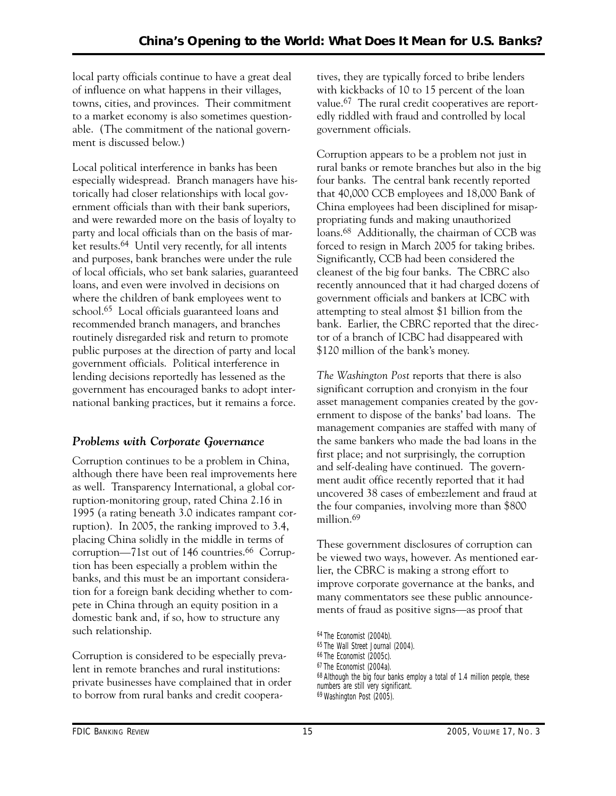local party officials continue to have a great deal of influence on what happens in their villages, towns, cities, and provinces. Their commitment to a market economy is also sometimes questionable. (The commitment of the national government is discussed below.)

Local political interference in banks has been especially widespread. Branch managers have historically had closer relationships with local government officials than with their bank superiors, and were rewarded more on the basis of loyalty to party and local officials than on the basis of market results.64 Until very recently, for all intents and purposes, bank branches were under the rule of local officials, who set bank salaries, guaranteed loans, and even were involved in decisions on where the children of bank employees went to school.65 Local officials guaranteed loans and recommended branch managers, and branches routinely disregarded risk and return to promote public purposes at the direction of party and local government officials. Political interference in lending decisions reportedly has lessened as the government has encouraged banks to adopt international banking practices, but it remains a force.

# *Problems with Corporate Governance*

Corruption continues to be a problem in China, although there have been real improvements here as well. Transparency International, a global corruption-monitoring group, rated China 2.16 in 1995 (a rating beneath 3.0 indicates rampant corruption). In 2005, the ranking improved to 3.4, placing China solidly in the middle in terms of corruption—71st out of 146 countries.<sup>66</sup> Corruption has been especially a problem within the banks, and this must be an important consideration for a foreign bank deciding whether to compete in China through an equity position in a domestic bank and, if so, how to structure any such relationship.

Corruption is considered to be especially prevalent in remote branches and rural institutions: private businesses have complained that in order to borrow from rural banks and credit cooperatives, they are typically forced to bribe lenders with kickbacks of 10 to 15 percent of the loan value.67 The rural credit cooperatives are reportedly riddled with fraud and controlled by local government officials.

Corruption appears to be a problem not just in rural banks or remote branches but also in the big four banks. The central bank recently reported that 40,000 CCB employees and 18,000 Bank of China employees had been disciplined for misappropriating funds and making unauthorized loans.68 Additionally, the chairman of CCB was forced to resign in March 2005 for taking bribes. Significantly, CCB had been considered the cleanest of the big four banks. The CBRC also recently announced that it had charged dozens of government officials and bankers at ICBC with attempting to steal almost \$1 billion from the bank. Earlier, the CBRC reported that the director of a branch of ICBC had disappeared with \$120 million of the bank's money.

*The Washington Post* reports that there is also significant corruption and cronyism in the four asset management companies created by the government to dispose of the banks' bad loans. The management companies are staffed with many of the same bankers who made the bad loans in the first place; and not surprisingly, the corruption and self-dealing have continued. The government audit office recently reported that it had uncovered 38 cases of embezzlement and fraud at the four companies, involving more than \$800 million.69

These government disclosures of corruption can be viewed two ways, however. As mentioned earlier, the CBRC is making a strong effort to improve corporate governance at the banks, and many commentators see these public announcements of fraud as positive signs—as proof that

<sup>64</sup> *The Economist* (2004b).

<sup>65</sup> *The Wall Street Journal* (2004).

<sup>66</sup> *The Economist* (2005c).

<sup>67</sup> *The Economist* (2004a).

<sup>&</sup>lt;sup>68</sup> Although the big four banks employ a total of 1.4 million people, these numbers are still very significant.

<sup>69</sup> *Washington Post* (2005).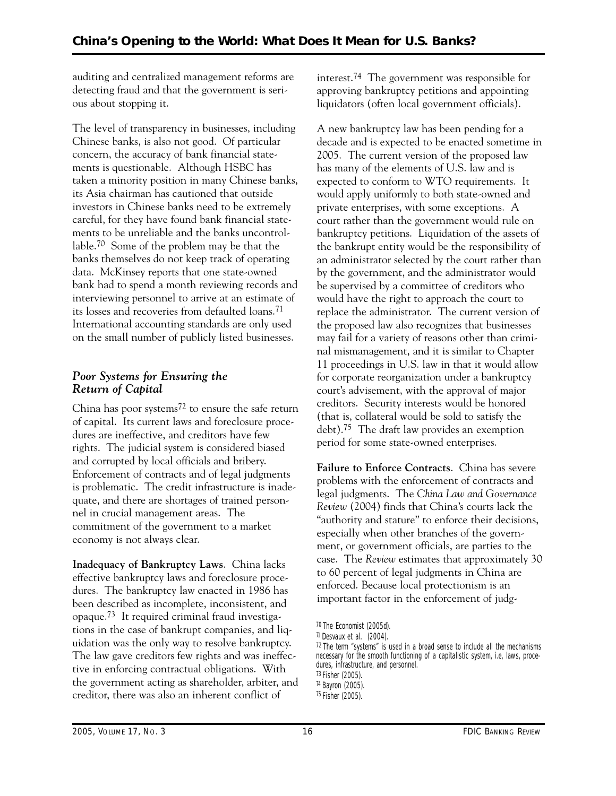auditing and centralized management reforms are detecting fraud and that the government is serious about stopping it.

The level of transparency in businesses, including Chinese banks, is also not good. Of particular concern, the accuracy of bank financial statements is questionable. Although HSBC has taken a minority position in many Chinese banks, its Asia chairman has cautioned that outside investors in Chinese banks need to be extremely careful, for they have found bank financial statements to be unreliable and the banks uncontrollable.70 Some of the problem may be that the banks themselves do not keep track of operating data. McKinsey reports that one state-owned bank had to spend a month reviewing records and interviewing personnel to arrive at an estimate of its losses and recoveries from defaulted loans.71 International accounting standards are only used on the small number of publicly listed businesses.

# *Poor Systems for Ensuring the Return of Capital*

China has poor systems72 to ensure the safe return of capital. Its current laws and foreclosure procedures are ineffective, and creditors have few rights. The judicial system is considered biased and corrupted by local officials and bribery. Enforcement of contracts and of legal judgments is problematic. The credit infrastructure is inadequate, and there are shortages of trained personnel in crucial management areas. The commitment of the government to a market economy is not always clear.

**Inadequacy of Bankruptcy Laws**. China lacks effective bankruptcy laws and foreclosure procedures. The bankruptcy law enacted in 1986 has been described as incomplete, inconsistent, and opaque.73 It required criminal fraud investigations in the case of bankrupt companies, and liquidation was the only way to resolve bankruptcy. The law gave creditors few rights and was ineffective in enforcing contractual obligations. With the government acting as shareholder, arbiter, and creditor, there was also an inherent conflict of

interest.74 The government was responsible for approving bankruptcy petitions and appointing liquidators (often local government officials).

 replace the administrator. The current version of A new bankruptcy law has been pending for a decade and is expected to be enacted sometime in 2005. The current version of the proposed law has many of the elements of U.S. law and is expected to conform to WTO requirements. It would apply uniformly to both state-owned and private enterprises, with some exceptions. A court rather than the government would rule on bankruptcy petitions. Liquidation of the assets of the bankrupt entity would be the responsibility of an administrator selected by the court rather than by the government, and the administrator would be supervised by a committee of creditors who would have the right to approach the court to the proposed law also recognizes that businesses may fail for a variety of reasons other than criminal mismanagement, and it is similar to Chapter 11 proceedings in U.S. law in that it would allow for corporate reorganization under a bankruptcy court's advisement, with the approval of major creditors. Security interests would be honored (that is, collateral would be sold to satisfy the debt).75 The draft law provides an exemption period for some state-owned enterprises.

**Failure to Enforce Contracts**. China has severe problems with the enforcement of contracts and legal judgments. The *China Law and Governance Review* (2004) finds that China's courts lack the "authority and stature" to enforce their decisions, especially when other branches of the government, or government officials, are parties to the case. The *Review* estimates that approximately 30 to 60 percent of legal judgments in China are enforced. Because local protectionism is an important factor in the enforcement of judg-

<sup>70</sup> *The Economist* (2005d).

<sup>71</sup> Desvaux et al. (2004).

 $72$  The term "systems" is used in a broad sense to include all the mechanisms necessary for the smooth functioning of a capitalistic system, i.e, laws, procedures, infrastructure, and personnel. 73 Fisher (2005).

<sup>74</sup> Bayron (2005).

<sup>75</sup> Fisher (2005).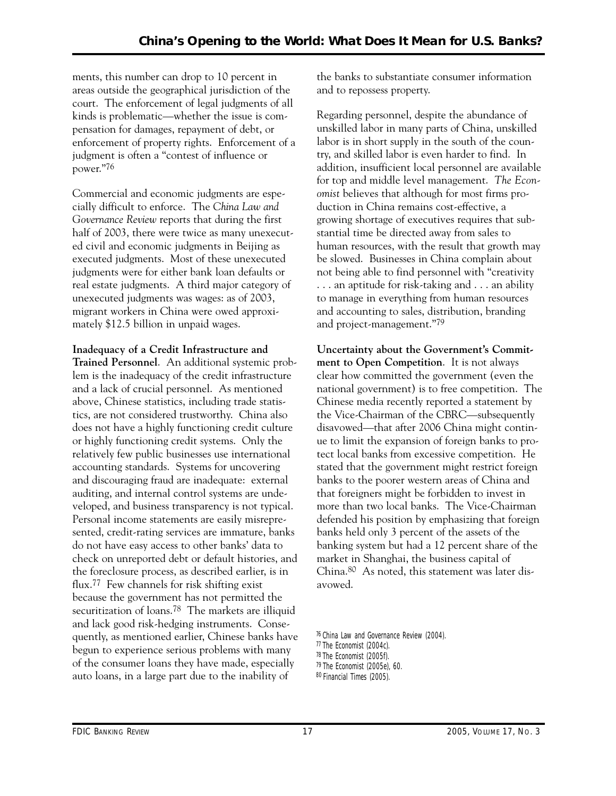ments, this number can drop to 10 percent in areas outside the geographical jurisdiction of the court. The enforcement of legal judgments of all kinds is problematic—whether the issue is compensation for damages, repayment of debt, or enforcement of property rights. Enforcement of a judgment is often a "contest of influence or power."76

 real estate judgments. A third major category of Commercial and economic judgments are especially difficult to enforce. The *China Law and Governance Review* reports that during the first half of 2003, there were twice as many unexecuted civil and economic judgments in Beijing as executed judgments. Most of these unexecuted judgments were for either bank loan defaults or unexecuted judgments was wages: as of 2003, migrant workers in China were owed approximately \$12.5 billion in unpaid wages.

**Inadequacy of a Credit Infrastructure and** 

**Trained Personnel**. An additional systemic problem is the inadequacy of the credit infrastructure and a lack of crucial personnel. As mentioned above, Chinese statistics, including trade statistics, are not considered trustworthy. China also does not have a highly functioning credit culture or highly functioning credit systems. Only the relatively few public businesses use international accounting standards. Systems for uncovering and discouraging fraud are inadequate: external auditing, and internal control systems are undeveloped, and business transparency is not typical. Personal income statements are easily misrepresented, credit-rating services are immature, banks do not have easy access to other banks' data to check on unreported debt or default histories, and the foreclosure process, as described earlier, is in flux.77 Few channels for risk shifting exist because the government has not permitted the securitization of loans.78 The markets are illiquid and lack good risk-hedging instruments. Consequently, as mentioned earlier, Chinese banks have begun to experience serious problems with many of the consumer loans they have made, especially auto loans, in a large part due to the inability of

the banks to substantiate consumer information and to repossess property.

Regarding personnel, despite the abundance of unskilled labor in many parts of China, unskilled labor is in short supply in the south of the country, and skilled labor is even harder to find. In addition, insufficient local personnel are available for top and middle level management. *The Economist* believes that although for most firms production in China remains cost-effective, a growing shortage of executives requires that substantial time be directed away from sales to human resources, with the result that growth may be slowed. Businesses in China complain about not being able to find personnel with "creativity . . . an aptitude for risk-taking and . . . an ability to manage in everything from human resources and accounting to sales, distribution, branding and project-management."79

**Uncertainty about the Government's Commitment to Open Competition**. It is not always clear how committed the government (even the national government) is to free competition. The Chinese media recently reported a statement by the Vice-Chairman of the CBRC—subsequently disavowed—that after 2006 China might continue to limit the expansion of foreign banks to protect local banks from excessive competition. He stated that the government might restrict foreign banks to the poorer western areas of China and that foreigners might be forbidden to invest in more than two local banks. The Vice-Chairman defended his position by emphasizing that foreign banks held only 3 percent of the assets of the banking system but had a 12 percent share of the market in Shanghai, the business capital of China.80 As noted, this statement was later disavowed.

<sup>76</sup> *China Law and Governance Review* (2004).

<sup>77</sup> *The Economist* (2004c).

<sup>78</sup> *The Economist* (2005f).

<sup>79</sup> *The Economist* (2005e), 60.

<sup>80</sup> *Financial Times* (2005).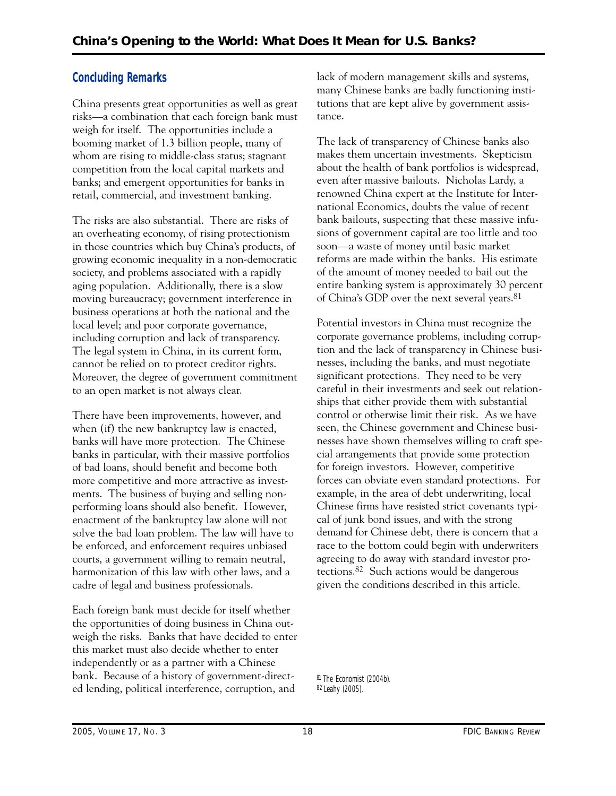# **Concluding Remarks**

China presents great opportunities as well as great risks—a combination that each foreign bank must weigh for itself. The opportunities include a booming market of 1.3 billion people, many of whom are rising to middle-class status; stagnant competition from the local capital markets and banks; and emergent opportunities for banks in retail, commercial, and investment banking.

The risks are also substantial. There are risks of an overheating economy, of rising protectionism in those countries which buy China's products, of growing economic inequality in a non-democratic society, and problems associated with a rapidly aging population. Additionally, there is a slow moving bureaucracy; government interference in business operations at both the national and the local level; and poor corporate governance, including corruption and lack of transparency. The legal system in China, in its current form, cannot be relied on to protect creditor rights. Moreover, the degree of government commitment to an open market is not always clear.

There have been improvements, however, and when (if) the new bankruptcy law is enacted, banks will have more protection. The Chinese banks in particular, with their massive portfolios of bad loans, should benefit and become both more competitive and more attractive as investments. The business of buying and selling nonperforming loans should also benefit. However, enactment of the bankruptcy law alone will not solve the bad loan problem. The law will have to be enforced, and enforcement requires unbiased courts, a government willing to remain neutral, harmonization of this law with other laws, and a cadre of legal and business professionals.

Each foreign bank must decide for itself whether the opportunities of doing business in China outweigh the risks. Banks that have decided to enter this market must also decide whether to enter independently or as a partner with a Chinese bank. Because of a history of government-directed lending, political interference, corruption, and

lack of modern management skills and systems, many Chinese banks are badly functioning institutions that are kept alive by government assistance.

The lack of transparency of Chinese banks also makes them uncertain investments. Skepticism about the health of bank portfolios is widespread, even after massive bailouts. Nicholas Lardy, a renowned China expert at the Institute for International Economics, doubts the value of recent bank bailouts, suspecting that these massive infusions of government capital are too little and too soon—a waste of money until basic market reforms are made within the banks. His estimate of the amount of money needed to bail out the entire banking system is approximately 30 percent of China's GDP over the next several years.81

Potential investors in China must recognize the corporate governance problems, including corruption and the lack of transparency in Chinese businesses, including the banks, and must negotiate significant protections. They need to be very careful in their investments and seek out relationships that either provide them with substantial control or otherwise limit their risk. As we have seen, the Chinese government and Chinese businesses have shown themselves willing to craft special arrangements that provide some protection for foreign investors. However, competitive forces can obviate even standard protections. For example, in the area of debt underwriting, local Chinese firms have resisted strict covenants typical of junk bond issues, and with the strong demand for Chinese debt, there is concern that a race to the bottom could begin with underwriters agreeing to do away with standard investor protections.82 Such actions would be dangerous given the conditions described in this article.

81 *The Economist* (2004b). 82 Leahy (2005).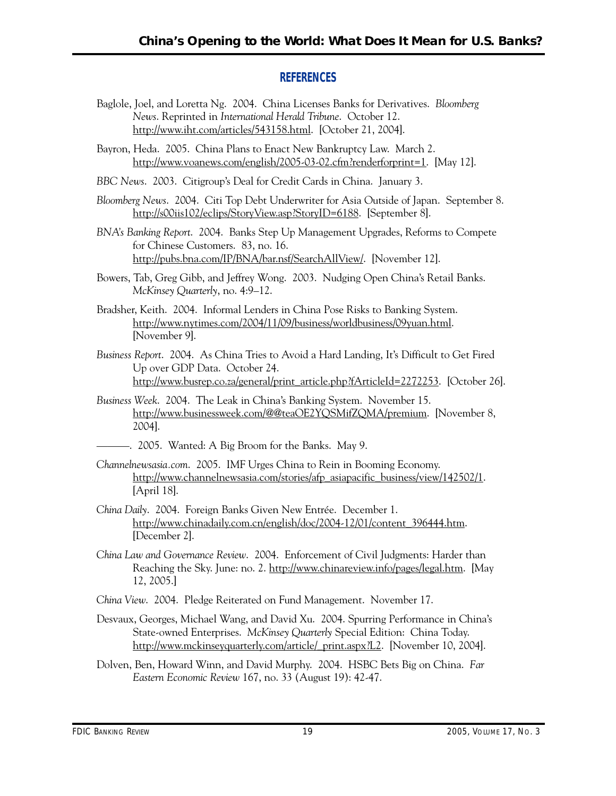# **REFERENCES**

- Baglole, Joel, and Loretta Ng. 2004. China Licenses Banks for Derivatives. *Bloomberg News*. Reprinted in *International Herald Tribune*. October 12. http://www.iht.com/articles/543158.html. [October 21, 2004].
- Bayron, Heda. 2005. China Plans to Enact New Bankruptcy Law. March 2. http://www.voanews.com/english/2005-03-02.cfm?renderforprint=1. [May 12].
- *BBC News*. 2003. Citigroup's Deal for Credit Cards in China. January 3.
- *Bloomberg News*. 2004. Citi Top Debt Underwriter for Asia Outside of Japan. September 8. http://s00iis102/eclips/StoryView.asp?StoryID=6188. [September 8].
- *BNA's Banking Report*. 2004. Banks Step Up Management Upgrades, Reforms to Compete for Chinese Customers. 83, no. 16. http://pubs.bna.com/IP/BNA/bar.nsf/SearchAllView/. [November 12].
- Bowers, Tab, Greg Gibb, and Jeffrey Wong. 2003. Nudging Open China's Retail Banks. *McKinsey Quarterly*, no. 4:9–12.
- Bradsher, Keith. 2004. Informal Lenders in China Pose Risks to Banking System. http://www.nytimes.com/2004/11/09/business/worldbusiness/09yuan.html. [November 9].
- *Business Report*. 2004. As China Tries to Avoid a Hard Landing, It's Difficult to Get Fired Up over GDP Data. October 24. http://www.busrep.co.za/general/print\_article.php?fArticleId=2272253. [October 26].
- *Business Week*. 2004. The Leak in China's Banking System. November 15. http://www.businessweek.com/@@teaOE2YQSMifZQMA/premium. [November 8, 2004].
- ———. 2005. Wanted: A Big Broom for the Banks. May 9.
- *Channelnewsasia.com*. 2005. IMF Urges China to Rein in Booming Economy. http://www.channelnewsasia.com/stories/afp\_asiapacific\_business/view/142502/1. [April 18].
- *China Daily*. 2004. Foreign Banks Given New Entrée. December 1. http://www.chinadaily.com.cn/english/doc/2004-12/01/content\_396444.htm. [December 2].
- *China Law and Governance Review*. 2004. Enforcement of Civil Judgments: Harder than Reaching the Sky. June: no. 2. http://www.chinareview.info/pages/legal.htm. [May 12, 2005.]
- *China View*. 2004. Pledge Reiterated on Fund Management. November 17.
- Desvaux, Georges, Michael Wang, and David Xu. 2004. Spurring Performance in China's State-owned Enterprises. *McKinsey Quarterly* Special Edition: China Today. http://www.mckinseyquarterly.com/article/\_print.aspx?L2. [November 10, 2004].
- Dolven, Ben, Howard Winn, and David Murphy. 2004. HSBC Bets Big on China. *Far Eastern Economic Review* 167, no. 33 (August 19): 42-47.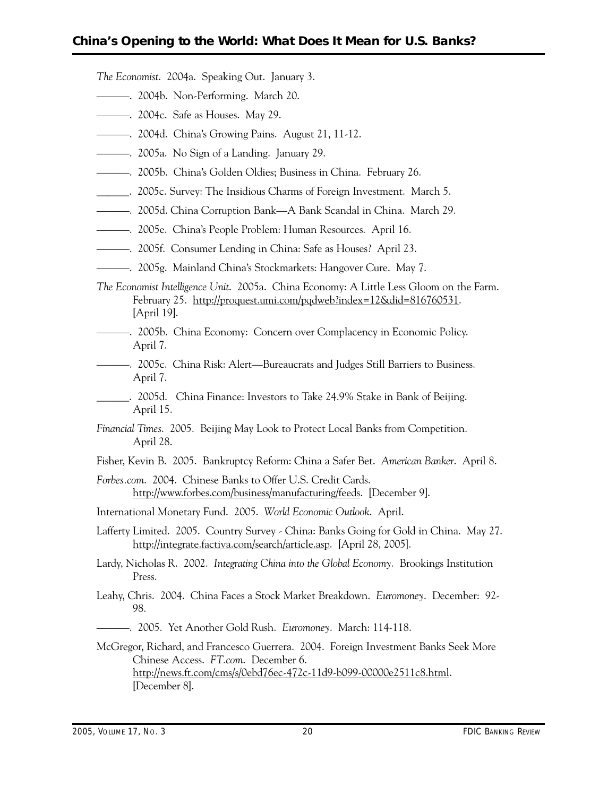*The Economist*. 2004a. Speaking Out. January 3.

- ———. 2004b. Non-Performing. March 20.
- ———. 2004c. Safe as Houses. May 29.
- ———. 2004d. China's Growing Pains. August 21, 11-12.
- ———. 2005a. No Sign of a Landing. January 29.
- ———. 2005b. China's Golden Oldies; Business in China. February 26.
- \_\_\_\_\_\_. 2005c. Survey: The Insidious Charms of Foreign Investment. March 5.
- ———. 2005d. China Corruption Bank—A Bank Scandal in China. March 29.
- ———. 2005e. China's People Problem: Human Resources. April 16.
- ———. 2005f. Consumer Lending in China: Safe as Houses? April 23.
- ———. 2005g. Mainland China's Stockmarkets: Hangover Cure. May 7.
- *The Economist Intelligence Unit*. 2005a. China Economy: A Little Less Gloom on the Farm. February 25. http://proquest.umi.com/pqdweb?index=12&did=816760531. [April 19].
- ———. 2005b. China Economy: Concern over Complacency in Economic Policy. April 7.
- ———. 2005c. China Risk: Alert—Bureaucrats and Judges Still Barriers to Business. April 7.
- \_\_\_\_\_\_. 2005d. China Finance: Investors to Take 24.9% Stake in Bank of Beijing. April 15.
- *Financial Times*. 2005. Beijing May Look to Protect Local Banks from Competition. April 28.
- Fisher, Kevin B. 2005. Bankruptcy Reform: China a Safer Bet. *American Banker*. April 8.
- *Forbes.com*. 2004. Chinese Banks to Offer U.S. Credit Cards. http://www.forbes.com/business/manufacturing/feeds. [December 9].
- International Monetary Fund. 2005. *World Economic Outlook*. April.
- Lafferty Limited. 2005. Country Survey China: Banks Going for Gold in China. May 27. http://integrate.factiva.com/search/article.asp. [April 28, 2005].
- Lardy, Nicholas R. 2002. *Integrating China into the Global Economy*. Brookings Institution Press.
- Leahy, Chris. 2004. China Faces a Stock Market Breakdown. *Euromoney*. December: 92 98.
- ———. 2005. Yet Another Gold Rush. *Euromoney*. March: 114-118.
- McGregor, Richard, and Francesco Guerrera. 2004. Foreign Investment Banks Seek More Chinese Access. *FT.com*. December 6. http://news.ft.com/cms/s/0ebd76ec-472c-11d9-b099-00000e2511c8.html. [December 8].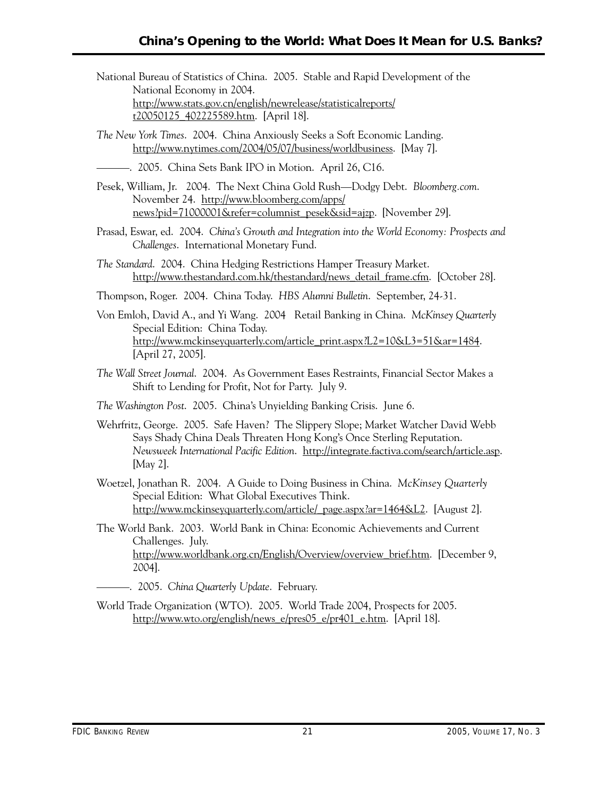- National Bureau of Statistics of China. 2005. Stable and Rapid Development of the National Economy in 2004. http://www.stats.gov.cn/english/newrelease/statisticalreports/ t20050125\_402225589.htm. [April 18].
- *The New York Times*. 2004. China Anxiously Seeks a Soft Economic Landing. http://www.nytimes.com/2004/05/07/business/worldbusiness. [May 7].
- ———. 2005. China Sets Bank IPO in Motion. April 26, C16.
- Pesek, William, Jr. 2004. The Next China Gold Rush—Dodgy Debt. *Bloomberg.com*. November 24. http://www.bloomberg.com/apps/ news?pid=71000001&refer=columnist\_pesek&sid=ajzp. [November 29].
- Prasad, Eswar, ed. 2004. *China's Growth and Integration into the World Economy: Prospects and Challenges*. International Monetary Fund.
- *The Standard*. 2004. China Hedging Restrictions Hamper Treasury Market. http://www.thestandard.com.hk/thestandard/news\_detail\_frame.cfm. [October 28].
- Thompson, Roger. 2004. China Today. *HBS Alumni Bulletin*. September, 24-31.
- Von Emloh, David A., and Yi Wang. 2004 Retail Banking in China. *McKinsey Quarterly*  Special Edition: China Today. http://www.mckinseyquarterly.com/article\_print.aspx?L2=10&L3=51&ar=1484. [April 27, 2005].
- *The Wall Street Journal*. 2004. As Government Eases Restraints, Financial Sector Makes a Shift to Lending for Profit, Not for Party. July 9.
- *The Washington Post*. 2005. China's Unyielding Banking Crisis. June 6.
- Wehrfritz, George. 2005. Safe Haven? The Slippery Slope; Market Watcher David Webb Says Shady China Deals Threaten Hong Kong's Once Sterling Reputation. *Newsweek International Pacific Edition*. http://integrate.factiva.com/search/article.asp. [May 2].
- Woetzel, Jonathan R. 2004. A Guide to Doing Business in China. *McKinsey Quarterly*  Special Edition: What Global Executives Think. http://www.mckinseyquarterly.com/article/\_page.aspx?ar=1464&L2. [August 2].
- The World Bank. 2003. World Bank in China: Economic Achievements and Current Challenges. July. http://www.worldbank.org.cn/English/Overview/overview\_brief.htm. [December 9, 2004].
- ———. 2005. *China Quarterly Update*. February.
- World Trade Organization (WTO). 2005. World Trade 2004, Prospects for 2005. http://www.wto.org/english/news\_e/pres05\_e/pr401\_e.htm. [April 18].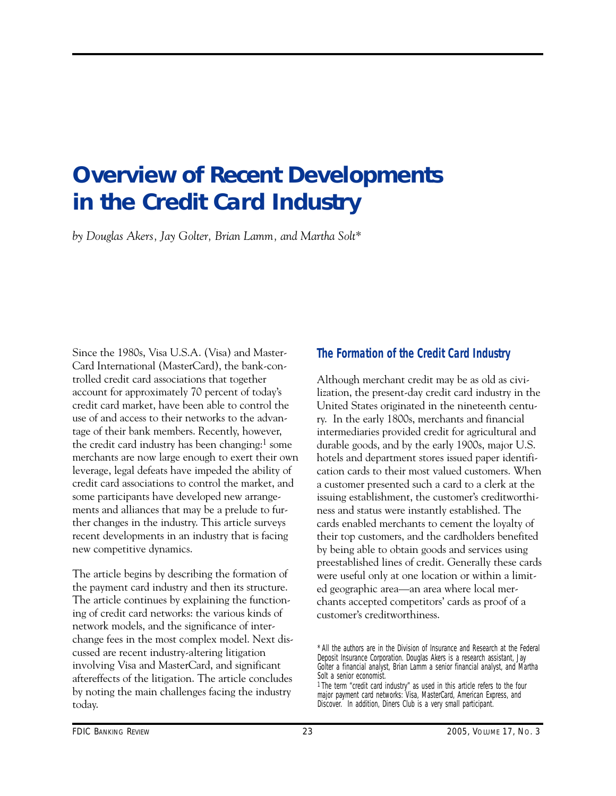# <span id="page-24-0"></span>**Overview of Recent Developments in the Credit Card Industry**

*by Douglas Akers, Jay Golter, Brian Lamm, and Martha Solt\** 

Since the 1980s, Visa U.S.A. (Visa) and Master-Card International (MasterCard), the bank-controlled credit card associations that together account for approximately 70 percent of today's credit card market, have been able to control the use of and access to their networks to the advantage of their bank members. Recently, however, the credit card industry has been changing:<sup>1</sup> some merchants are now large enough to exert their own leverage, legal defeats have impeded the ability of credit card associations to control the market, and some participants have developed new arrangements and alliances that may be a prelude to further changes in the industry. This article surveys recent developments in an industry that is facing new competitive dynamics.

The article begins by describing the formation of the payment card industry and then its structure. The article continues by explaining the functioning of credit card networks: the various kinds of network models, and the significance of interchange fees in the most complex model. Next discussed are recent industry-altering litigation involving Visa and MasterCard, and significant aftereffects of the litigation. The article concludes by noting the main challenges facing the industry today.

# **The Formation of the Credit Card Industry**

Although merchant credit may be as old as civilization, the present-day credit card industry in the United States originated in the nineteenth century. In the early 1800s, merchants and financial intermediaries provided credit for agricultural and durable goods, and by the early 1900s, major U.S. hotels and department stores issued paper identification cards to their most valued customers. When a customer presented such a card to a clerk at the issuing establishment, the customer's creditworthiness and status were instantly established. The cards enabled merchants to cement the loyalty of their top customers, and the cardholders benefited by being able to obtain goods and services using preestablished lines of credit. Generally these cards were useful only at one location or within a limited geographic area—an area where local merchants accepted competitors' cards as proof of a customer's creditworthiness.

<sup>\*</sup> All the authors are in the Division of Insurance and Research at the Federal Deposit Insurance Corporation. Douglas Akers is a research assistant, Jay Golter a financial analyst, Brian Lamm a senior financial analyst, and Martha Solt a senior economist.

<sup>1</sup> The term "credit card industry" as used in this article refers to the four major payment card networks: Visa, MasterCard, American Express, and Discover. In addition, Diners Club is a very small participant.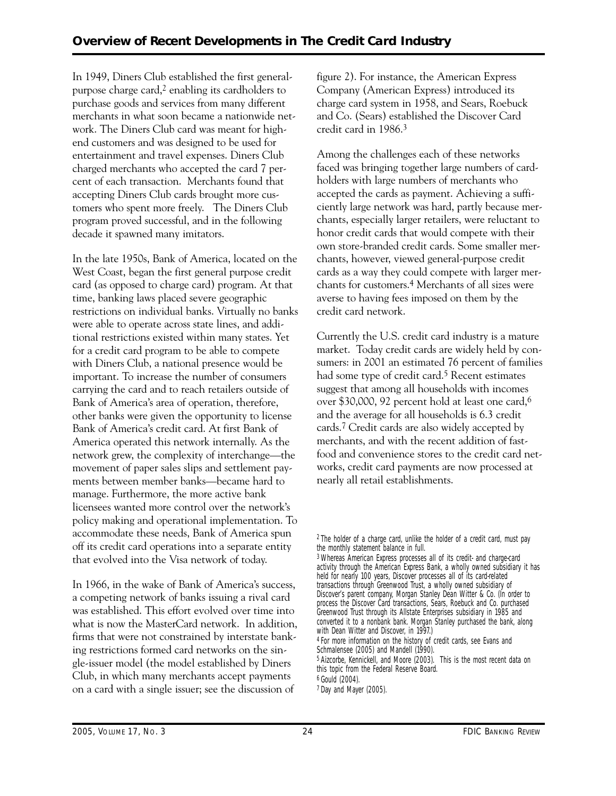tomers who spent more freely. The Diners Club In 1949, Diners Club established the first generalpurpose charge card, $2$  enabling its cardholders to purchase goods and services from many different merchants in what soon became a nationwide network. The Diners Club card was meant for highend customers and was designed to be used for entertainment and travel expenses. Diners Club charged merchants who accepted the card 7 percent of each transaction. Merchants found that accepting Diners Club cards brought more cusprogram proved successful, and in the following decade it spawned many imitators.

In the late 1950s, Bank of America, located on the West Coast, began the first general purpose credit card (as opposed to charge card) program. At that time, banking laws placed severe geographic restrictions on individual banks. Virtually no banks were able to operate across state lines, and additional restrictions existed within many states. Yet for a credit card program to be able to compete with Diners Club, a national presence would be important. To increase the number of consumers carrying the card and to reach retailers outside of Bank of America's area of operation, therefore, other banks were given the opportunity to license Bank of America's credit card. At first Bank of America operated this network internally. As the network grew, the complexity of interchange—the movement of paper sales slips and settlement payments between member banks—became hard to manage. Furthermore, the more active bank licensees wanted more control over the network's policy making and operational implementation. To accommodate these needs, Bank of America spun off its credit card operations into a separate entity that evolved into the Visa network of today.

In 1966, in the wake of Bank of America's success, a competing network of banks issuing a rival card was established. This effort evolved over time into what is now the MasterCard network. In addition, firms that were not constrained by interstate banking restrictions formed card networks on the single-issuer model (the model established by Diners Club, in which many merchants accept payments on a card with a single issuer; see the discussion of

figure 2). For instance, the American Express Company (American Express) introduced its charge card system in 1958, and Sears, Roebuck and Co. (Sears) established the Discover Card credit card in 1986.3

Among the challenges each of these networks faced was bringing together large numbers of cardholders with large numbers of merchants who accepted the cards as payment. Achieving a sufficiently large network was hard, partly because merchants, especially larger retailers, were reluctant to honor credit cards that would compete with their own store-branded credit cards. Some smaller merchants, however, viewed general-purpose credit cards as a way they could compete with larger merchants for customers.4 Merchants of all sizes were averse to having fees imposed on them by the credit card network.

Currently the U.S. credit card industry is a mature market. Today credit cards are widely held by consumers: in 2001 an estimated 76 percent of families had some type of credit card.<sup>5</sup> Recent estimates suggest that among all households with incomes over \$30,000, 92 percent hold at least one card,6 and the average for all households is 6.3 credit cards.7 Credit cards are also widely accepted by merchants, and with the recent addition of fastfood and convenience stores to the credit card networks, credit card payments are now processed at nearly all retail establishments.

 Greenwood Trust through its Allstate Enterprises subsidiary in 1985 and 3Whereas American Express processes all of its credit- and charge-card activity through the American Express Bank, a wholly owned subsidiary it has held for nearly 100 years, Discover processes all of its card-related transactions through Greenwood Trust, a wholly owned subsidiary of Discover's parent company, Morgan Stanley Dean Witter & Co. (In order to process the Discover Card transactions, Sears, Roebuck and Co. purchased converted it to a nonbank bank. Morgan Stanley purchased the bank, along with Dean Witter and Discover, in 1997.) 4 For more information on the history of credit cards, see Evans and Schmalensee (2005) and Mandell (1990). 5 Aizcorbe, Kennickell, and Moore (2003). This is the most recent data on this topic from the Federal Reserve Board. 6 Gould (2004).

7 Day and Mayer (2005).

<sup>2</sup> The holder of a charge card, unlike the holder of a credit card, must pay the monthly statement balance in full.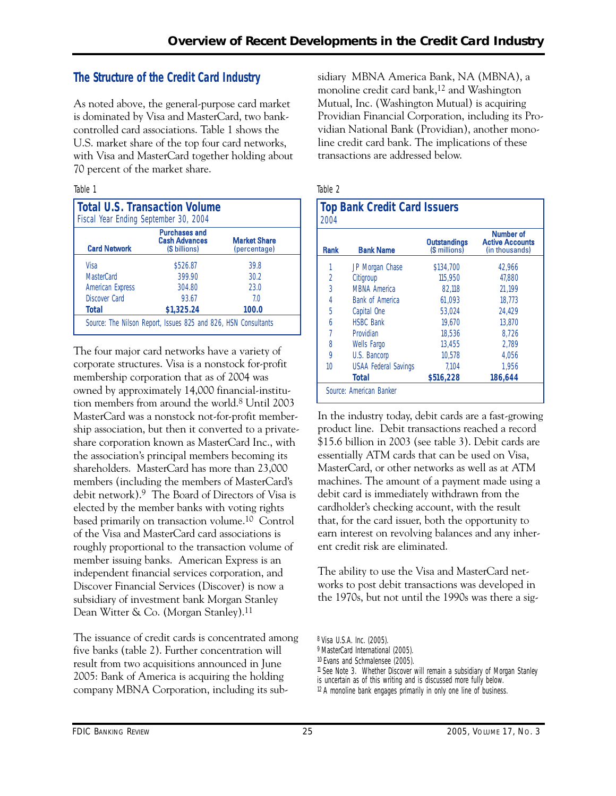# **The Structure of the Credit Card Industry**

As noted above, the general-purpose card market is dominated by Visa and MasterCard, two bankcontrolled card associations. Table 1 shows the U.S. market share of the top four card networks, with Visa and MasterCard together holding about 70 percent of the market share.

## Table 1

| <b>Total U.S. Transaction Volume</b><br>Fiscal Year Ending September 30, 2004 |                                                               |                                     |  |  |  |  |
|-------------------------------------------------------------------------------|---------------------------------------------------------------|-------------------------------------|--|--|--|--|
| <b>Card Network</b>                                                           | <b>Purchases and</b><br><b>Cash Advances</b><br>(\$ billions) | <b>Market Share</b><br>(percentage) |  |  |  |  |
| Visa                                                                          | \$526.87                                                      | 39.8                                |  |  |  |  |
| MasterCard                                                                    | 399.90                                                        | 30.2                                |  |  |  |  |
| <b>American Express</b>                                                       | 304.80                                                        | 23.0                                |  |  |  |  |
| <b>Discover Card</b>                                                          | 93.67                                                         | 70                                  |  |  |  |  |
| <b>Total</b>                                                                  | \$1,325.24                                                    | 100.0                               |  |  |  |  |

The four major card networks have a variety of corporate structures. Visa is a nonstock for-profit membership corporation that as of 2004 was owned by approximately 14,000 financial-institution members from around the world.8 Until 2003 MasterCard was a nonstock not-for-profit membership association, but then it converted to a privateshare corporation known as MasterCard Inc., with the association's principal members becoming its shareholders. MasterCard has more than 23,000 members (including the members of MasterCard's debit network).9 The Board of Directors of Visa is elected by the member banks with voting rights based primarily on transaction volume.10 Control of the Visa and MasterCard card associations is roughly proportional to the transaction volume of member issuing banks. American Express is an independent financial services corporation, and Discover Financial Services (Discover) is now a subsidiary of investment bank Morgan Stanley Dean Witter & Co. (Morgan Stanley).11

The issuance of credit cards is concentrated among five banks (table 2). Further concentration will result from two acquisitions announced in June 2005: Bank of America is acquiring the holding company MBNA Corporation, including its subsidiary MBNA America Bank, NA (MBNA), a monoline credit card bank,<sup>12</sup> and Washington Mutual, Inc. (Washington Mutual) is acquiring Providian Financial Corporation, including its Providian National Bank (Providian), another monoline credit card bank. The implications of these transactions are addressed below.

## Table 2

| <b>Top Bank Credit Card Issuers</b><br>2004 |                             |                                      |                                                       |  |  |  |
|---------------------------------------------|-----------------------------|--------------------------------------|-------------------------------------------------------|--|--|--|
| Rank                                        | <b>Bank Name</b>            | <b>Outstandings</b><br>(\$ millions) | Number of<br><b>Active Accounts</b><br>(in thousands) |  |  |  |
|                                             | JP Morgan Chase             | \$134,700                            | 42.966                                                |  |  |  |
| 2                                           | Citigroup                   | 115,950                              | 47.880                                                |  |  |  |
| 3                                           | <b>MBNA America</b>         | 82.118                               | 21.199                                                |  |  |  |
| 4                                           | <b>Bank of America</b>      | 61.093                               | 18.773                                                |  |  |  |
| 5                                           | Capital One                 | 53.024                               | 24.429                                                |  |  |  |
| 6                                           | <b>HSBC Bank</b>            | 19,670                               | 13,870                                                |  |  |  |
| 7                                           | Providian                   | 18.536                               | 8,726                                                 |  |  |  |
| 8                                           | <b>Wells Fargo</b>          | 13.455                               | 2.789                                                 |  |  |  |
| 9                                           | U.S. Bancorp                | 10.578                               | 4.056                                                 |  |  |  |
| 10                                          | <b>USAA Federal Savings</b> | 7.104                                | 1.956                                                 |  |  |  |
|                                             | <b>Total</b>                | \$516,228                            | 186,644                                               |  |  |  |
|                                             | Source: American Banker     |                                      |                                                       |  |  |  |

In the industry today, debit cards are a fast-growing product line. Debit transactions reached a record \$15.6 billion in 2003 (see table 3). Debit cards are essentially ATM cards that can be used on Visa, MasterCard, or other networks as well as at ATM machines. The amount of a payment made using a debit card is immediately withdrawn from the cardholder's checking account, with the result that, for the card issuer, both the opportunity to earn interest on revolving balances and any inherent credit risk are eliminated.

The ability to use the Visa and MasterCard networks to post debit transactions was developed in the 1970s, but not until the 1990s was there a sig-

<sup>8</sup> Visa U.S.A. Inc. (2005).

<sup>9</sup> MasterCard International (2005).

<sup>10</sup> Evans and Schmalensee (2005).

<sup>11</sup> See Note 3. Whether Discover will remain a subsidiary of Morgan Stanley

is uncertain as of this writing and is discussed more fully below.

 $12$  A monoline bank engages primarily in only one line of business.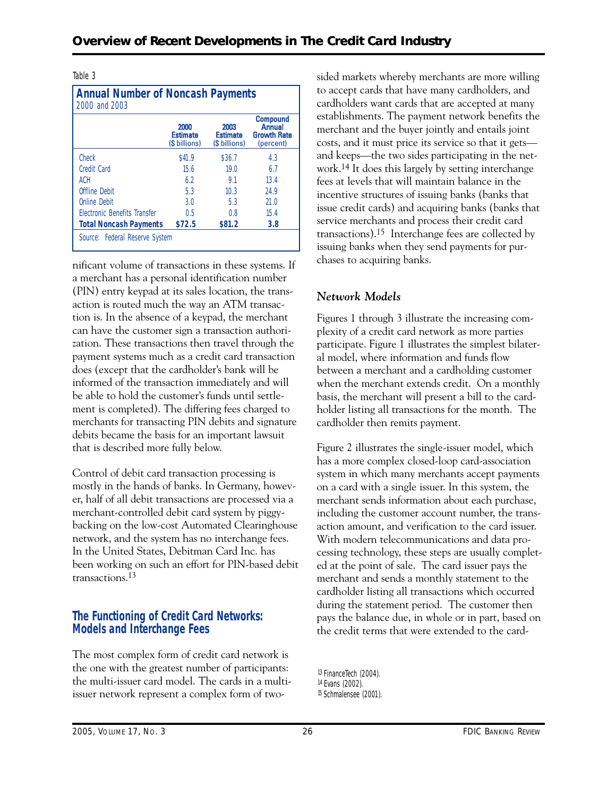### Table 3

| <b>Annual Number of Noncash Payments</b><br>2000 and 2003 |                                          |                                          |                                                                     |  |  |  |
|-----------------------------------------------------------|------------------------------------------|------------------------------------------|---------------------------------------------------------------------|--|--|--|
|                                                           | 2000<br><b>Estimate</b><br>(\$ billions) | 2003<br><b>Estimate</b><br>(\$ billions) | <b>Compound</b><br><b>Annual</b><br><b>Growth Rate</b><br>(percent) |  |  |  |
| Check                                                     | \$41.9                                   | \$36.7                                   | 4.3                                                                 |  |  |  |
| Credit Card                                               | 156                                      | 19 <sub>0</sub>                          | 67                                                                  |  |  |  |
| ACH                                                       | 62                                       | 9.1                                      | 13.4                                                                |  |  |  |
| Offline Debit                                             | 5.3                                      | 10.3                                     | 24.9                                                                |  |  |  |
| Online Debit                                              | 3.0                                      | 5.3                                      | 21.0                                                                |  |  |  |
| <b>Flectronic Benefits Transfer</b>                       | 0.5                                      | 0.8                                      | 15.4                                                                |  |  |  |
| <b>Total Noncash Payments</b>                             | \$72.5                                   | \$81.2                                   | 3.8                                                                 |  |  |  |
| Source: Federal Reserve System                            |                                          |                                          |                                                                     |  |  |  |

nificant volume of transactions in these systems. If a merchant has a personal identification number (PIN) entry keypad at its sales location, the transaction is routed much the way an ATM transaction is. In the absence of a keypad, the merchant can have the customer sign a transaction authorization. These transactions then travel through the payment systems much as a credit card transaction does (except that the cardholder's bank will be informed of the transaction immediately and will be able to hold the customer's funds until settlement is completed). The differing fees charged to merchants for transacting PIN debits and signature debits became the basis for an important lawsuit that is described more fully below.

Control of debit card transaction processing is mostly in the hands of banks. In Germany, however, half of all debit transactions are processed via a merchant-controlled debit card system by piggybacking on the low-cost Automated Clearinghouse network, and the system has no interchange fees. In the United States, Debitman Card Inc. has been working on such an effort for PIN-based debit transactions.13

# **The Functioning of Credit Card Networks: Models and Interchange Fees**

The most complex form of credit card network is the one with the greatest number of participants: the multi-issuer card model. The cards in a multiissuer network represent a complex form of twosided markets whereby merchants are more willing to accept cards that have many cardholders, and cardholders want cards that are accepted at many establishments. The payment network benefits the merchant and the buyer jointly and entails joint costs, and it must price its service so that it gets and keeps—the two sides participating in the network.14 It does this largely by setting interchange fees at levels that will maintain balance in the incentive structures of issuing banks (banks that issue credit cards) and acquiring banks (banks that service merchants and process their credit card transactions).15 Interchange fees are collected by issuing banks when they send payments for purchases to acquiring banks.

# *Network Models*

Figures 1 through 3 illustrate the increasing complexity of a credit card network as more parties participate. Figure 1 illustrates the simplest bilateral model, where information and funds flow between a merchant and a cardholding customer when the merchant extends credit. On a monthly basis, the merchant will present a bill to the cardholder listing all transactions for the month. The cardholder then remits payment.

Figure 2 illustrates the single-issuer model, which has a more complex closed-loop card-association system in which many merchants accept payments on a card with a single issuer. In this system, the merchant sends information about each purchase, including the customer account number, the transaction amount, and verification to the card issuer. With modern telecommunications and data processing technology, these steps are usually completed at the point of sale. The card issuer pays the merchant and sends a monthly statement to the cardholder listing all transactions which occurred during the statement period. The customer then pays the balance due, in whole or in part, based on the credit terms that were extended to the card-

<sup>13</sup> FinanceTech (2004). 14 Evans (2002).

<sup>15</sup> Schmalensee (2001).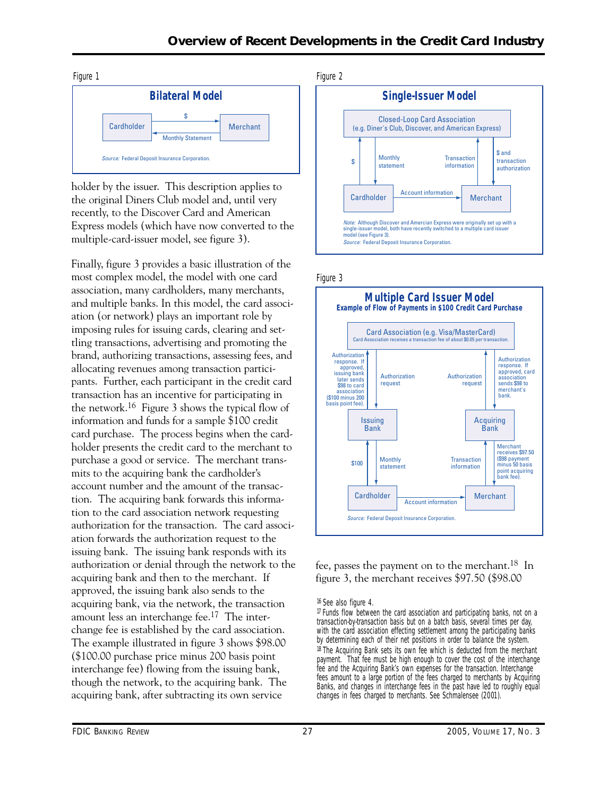

holder by the issuer. This description applies to the original Diners Club model and, until very recently, to the Discover Card and American Express models (which have now converted to the multiple-card-issuer model, see figure 3).

Finally, figure 3 provides a basic illustration of the most complex model, the model with one card association, many cardholders, many merchants, and multiple banks. In this model, the card association (or network) plays an important role by imposing rules for issuing cards, clearing and settling transactions, advertising and promoting the brand, authorizing transactions, assessing fees, and allocating revenues among transaction participants. Further, each participant in the credit card transaction has an incentive for participating in the network.16 Figure 3 shows the typical flow of information and funds for a sample \$100 credit card purchase. The process begins when the cardholder presents the credit card to the merchant to purchase a good or service. The merchant transmits to the acquiring bank the cardholder's account number and the amount of the transaction. The acquiring bank forwards this information to the card association network requesting authorization for the transaction. The card association forwards the authorization request to the issuing bank. The issuing bank responds with its authorization or denial through the network to the acquiring bank and then to the merchant. If approved, the issuing bank also sends to the acquiring bank, via the network, the transaction amount less an interchange fee.17 The interchange fee is established by the card association. The example illustrated in figure 3 shows \$98.00 (\$100.00 purchase price minus 200 basis point interchange fee) flowing from the issuing bank, though the network, to the acquiring bank. The acquiring bank, after subtracting its own service







fee, passes the payment on to the merchant.18 In figure 3, the merchant receives \$97.50 (\$98.00

16 See also figure 4.

<sup>17</sup> Funds flow between the card association and participating banks, not on a transaction-by-transaction basis but on a batch basis, several times per day, with the card association effecting settlement among the participating banks by determining each of their net positions in order to balance the system. <sup>18</sup> The Acquiring Bank sets its own fee which is deducted from the merchant payment. That fee must be high enough to cover the cost of the interchange fee and the Acquiring Bank's own expenses for the transaction. Interchange fees amount to a large portion of the fees charged to merchants by Acquiring Banks, and changes in interchange fees in the past have led to roughly equal changes in fees charged to merchants. See Schmalensee (2001).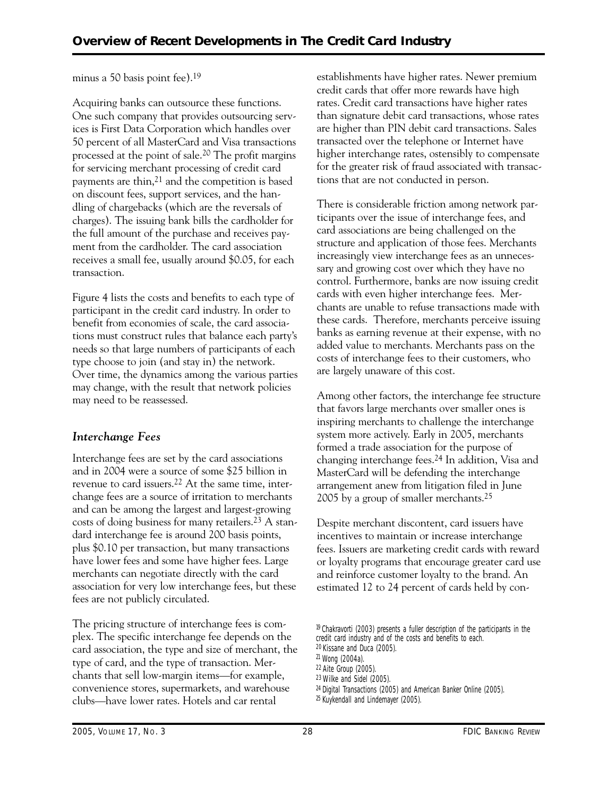# minus a 50 basis point fee).19

Acquiring banks can outsource these functions. One such company that provides outsourcing services is First Data Corporation which handles over 50 percent of all MasterCard and Visa transactions processed at the point of sale.20 The profit margins for servicing merchant processing of credit card payments are thin, $21$  and the competition is based on discount fees, support services, and the handling of chargebacks (which are the reversals of charges). The issuing bank bills the cardholder for the full amount of the purchase and receives payment from the cardholder. The card association receives a small fee, usually around \$0.05, for each transaction.

Figure 4 lists the costs and benefits to each type of participant in the credit card industry. In order to benefit from economies of scale, the card associations must construct rules that balance each party's needs so that large numbers of participants of each type choose to join (and stay in) the network. Over time, the dynamics among the various parties may change, with the result that network policies may need to be reassessed.

# *Interchange Fees*

Interchange fees are set by the card associations and in 2004 were a source of some \$25 billion in revenue to card issuers.22 At the same time, interchange fees are a source of irritation to merchants and can be among the largest and largest-growing costs of doing business for many retailers.23 A standard interchange fee is around 200 basis points, plus \$0.10 per transaction, but many transactions have lower fees and some have higher fees. Large merchants can negotiate directly with the card association for very low interchange fees, but these fees are not publicly circulated.

The pricing structure of interchange fees is complex. The specific interchange fee depends on the card association, the type and size of merchant, the type of card, and the type of transaction. Merchants that sell low-margin items—for example, convenience stores, supermarkets, and warehouse clubs—have lower rates. Hotels and car rental

establishments have higher rates. Newer premium credit cards that offer more rewards have high rates. Credit card transactions have higher rates than signature debit card transactions, whose rates are higher than PIN debit card transactions. Sales transacted over the telephone or Internet have higher interchange rates, ostensibly to compensate for the greater risk of fraud associated with transactions that are not conducted in person.

There is considerable friction among network participants over the issue of interchange fees, and card associations are being challenged on the structure and application of those fees. Merchants increasingly view interchange fees as an unnecessary and growing cost over which they have no control. Furthermore, banks are now issuing credit cards with even higher interchange fees. Merchants are unable to refuse transactions made with these cards. Therefore, merchants perceive issuing banks as earning revenue at their expense, with no added value to merchants. Merchants pass on the costs of interchange fees to their customers, who are largely unaware of this cost.

Among other factors, the interchange fee structure that favors large merchants over smaller ones is inspiring merchants to challenge the interchange system more actively. Early in 2005, merchants formed a trade association for the purpose of changing interchange fees.24 In addition, Visa and MasterCard will be defending the interchange arrangement anew from litigation filed in June 2005 by a group of smaller merchants.25

Despite merchant discontent, card issuers have incentives to maintain or increase interchange fees. Issuers are marketing credit cards with reward or loyalty programs that encourage greater card use and reinforce customer loyalty to the brand. An estimated 12 to 24 percent of cards held by con-

- 19 Chakravorti (2003) presents a fuller description of the participants in the credit card industry and of the costs and benefits to each.
- 20 Kissane and Duca (2005).

22 Aite Group (2005).

23 Wilke and Sidel (2005). 24 Digital Transactions (2005) and American Banker Online (2005).

<sup>21</sup> Wong (2004a).

<sup>25</sup> Kuykendall and Lindemayer (2005).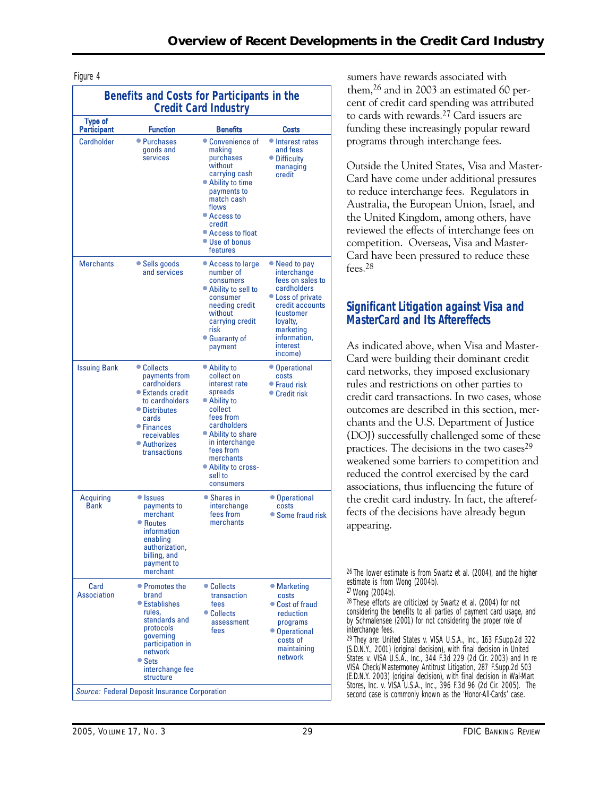| Benefits and Costs for Participants in the<br><b>Credit Card Industry</b> |                                                                                                                                                                                                                                        |                                                                                                                                                                                                                                |                                                                                                                                                                                      |  |  |
|---------------------------------------------------------------------------|----------------------------------------------------------------------------------------------------------------------------------------------------------------------------------------------------------------------------------------|--------------------------------------------------------------------------------------------------------------------------------------------------------------------------------------------------------------------------------|--------------------------------------------------------------------------------------------------------------------------------------------------------------------------------------|--|--|
| <b>Type of</b><br>Participant                                             | <b>Function</b>                                                                                                                                                                                                                        | <b>Benefits</b>                                                                                                                                                                                                                | Costs                                                                                                                                                                                |  |  |
| Cardholder                                                                | • Purchases<br>goods and<br>services                                                                                                                                                                                                   | • Convenience of<br>making<br>purchases<br>without<br>carrying cash<br>• Ability to time<br>payments to<br>match cash<br>flows<br>• Access to<br>credit<br>• Access to float<br>• Use of bonus<br>features                     | • Interest rates<br>and fees<br>• Difficulty<br>managing<br>credit                                                                                                                   |  |  |
| <b>Merchants</b>                                                          | • Sells goods<br>and services                                                                                                                                                                                                          | • Access to large<br>number of<br>consumers<br>• Ability to sell to<br>consumer<br>needing credit<br>without<br>carrying credit<br>risk<br>• Guaranty of<br>payment                                                            | • Need to pay<br>interchange<br>fees on sales to<br>cardholders<br>• Loss of private<br>credit accounts<br>(customer<br>loyalty,<br>marketing<br>information,<br>interest<br>income) |  |  |
| <b>Issuing Bank</b>                                                       | • Collects<br>payments from<br>cardholders<br>● Extends credit<br>to cardholders<br>• Distributes<br>cards<br>● Finances<br>receivables<br>• Authorizes<br>transactions                                                                | • Ability to<br>collect on<br>interest rate<br>spreads<br>• Ability to<br>collect<br>fees from<br>cardholders<br>● Ability to share<br>in interchange<br>fees from<br>merchants<br>• Ability to cross-<br>sell to<br>consumers | • Operational<br>costs<br>$\bullet$ Fraud risk<br>● Credit risk                                                                                                                      |  |  |
| Acquiring<br><b>Bank</b>                                                  | • Issues<br>payments to<br>merchant<br>• Routes<br>information<br>enabling<br>authorization,<br>billing, and<br>payment to<br>merchant                                                                                                 | • Shares in<br>interchange<br>fees from<br>merchants                                                                                                                                                                           | • Operational<br>costs<br>• Some fraud risk                                                                                                                                          |  |  |
| Card<br>Association                                                       | • Promotes the<br>brand<br>● Establishes<br>rules.<br>standards and<br>protocols<br>qoverning<br>participation in<br>network<br>$\bullet$ Sets<br>interchange fee<br>structure<br><b>Source: Federal Deposit Insurance Corporation</b> | • Collects<br>transaction<br>fees<br>• Collects<br>assessment<br>fees                                                                                                                                                          | • Marketing<br>costs<br>• Cost of fraud<br>reduction<br>programs<br>• Operational<br>costs of<br>maintaining<br>network                                                              |  |  |

Figure 4 sumers have rewards associated with them,26 and in 2003 an estimated 60 percent of credit card spending was attributed to cards with rewards.27 Card issuers are funding these increasingly popular reward programs through interchange fees.

> Outside the United States, Visa and Master-Card have come under additional pressures to reduce interchange fees. Regulators in Australia, the European Union, Israel, and the United Kingdom, among others, have reviewed the effects of interchange fees on competition. Overseas, Visa and Master-Card have been pressured to reduce these fees.28

# **Significant Litigation against Visa and MasterCard and Its Aftereffects**

As indicated above, when Visa and Master-Card were building their dominant credit card networks, they imposed exclusionary rules and restrictions on other parties to credit card transactions. In two cases, whose outcomes are described in this section, merchants and the U.S. Department of Justice (DOJ) successfully challenged some of these practices. The decisions in the two cases<sup>29</sup> weakened some barriers to competition and reduced the control exercised by the card associations, thus influencing the future of the credit card industry. In fact, the aftereffects of the decisions have already begun appearing.

26 The lower estimate is from Swartz et al. (2004), and the higher estimate is from Wong (2004b).

27 Wong (2004b).

28 These efforts are criticized by Swartz et al. (2004) for not considering the benefits to all parties of payment card usage, and by Schmalensee (2001) for not considering the proper role of interchange fees.

 second case is commonly known as the 'Honor-All-Cards' case. 29 They are: *United States v. VISA U.S.A., Inc.,* 163 F.Supp.2d 322 (S.D.N.Y., 2001) (original decision), with final decision in *United States v. VISA U.S.A., Inc.,* 344 F.3d 229 (2d Cir. 2003) and *In re VISA Check/Mastermoney Antitrust Litigation,* 287 F.Supp.2d 503 (E.D.N.Y. 2003) (original decision), with final decision in *Wal-Mart Stores, Inc. v. VISA U.S.A., Inc.,* 396 F.3d 96 (2d Cir. 2005). The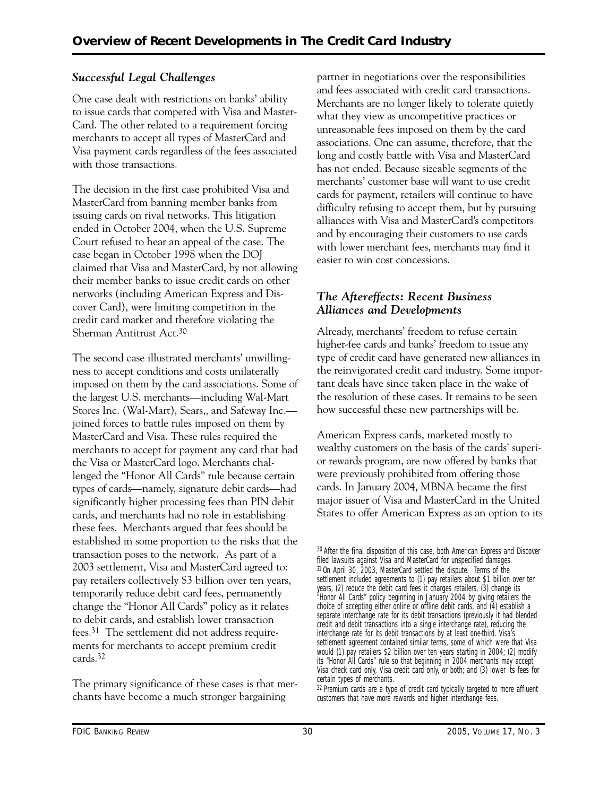# *Successful Legal Challenges*

One case dealt with restrictions on banks' ability to issue cards that competed with Visa and Master-Card. The other related to a requirement forcing merchants to accept all types of MasterCard and Visa payment cards regardless of the fees associated with those transactions.

The decision in the first case prohibited Visa and MasterCard from banning member banks from issuing cards on rival networks. This litigation ended in October 2004, when the U.S. Supreme Court refused to hear an appeal of the case. The case began in October 1998 when the DOJ claimed that Visa and MasterCard, by not allowing their member banks to issue credit cards on other networks (including American Express and Discover Card), were limiting competition in the credit card market and therefore violating the Sherman Antitrust Act.30

The second case illustrated merchants' unwillingness to accept conditions and costs unilaterally imposed on them by the card associations. Some of the largest U.S. merchants—including Wal-Mart Stores Inc. (Wal-Mart), Sears,, and Safeway Inc. joined forces to battle rules imposed on them by MasterCard and Visa. These rules required the merchants to accept for payment any card that had the Visa or MasterCard logo. Merchants challenged the "Honor All Cards" rule because certain types of cards—namely, signature debit cards—had significantly higher processing fees than PIN debit cards, and merchants had no role in establishing these fees. Merchants argued that fees should be established in some proportion to the risks that the transaction poses to the network. As part of a 2003 settlement, Visa and MasterCard agreed to: pay retailers collectively \$3 billion over ten years, temporarily reduce debit card fees, permanently change the "Honor All Cards" policy as it relates to debit cards, and establish lower transaction fees.31 The settlement did not address requirements for merchants to accept premium credit cards.32

The primary significance of these cases is that merchants have become a much stronger bargaining

partner in negotiations over the responsibilities and fees associated with credit card transactions. Merchants are no longer likely to tolerate quietly what they view as uncompetitive practices or unreasonable fees imposed on them by the card associations. One can assume, therefore, that the long and costly battle with Visa and MasterCard has not ended. Because sizeable segments of the merchants' customer base will want to use credit cards for payment, retailers will continue to have difficulty refusing to accept them, but by pursuing alliances with Visa and MasterCard's competitors and by encouraging their customers to use cards with lower merchant fees, merchants may find it easier to win cost concessions.

# *The Aftereffects: Recent Business Alliances and Developments*

Already, merchants' freedom to refuse certain higher-fee cards and banks' freedom to issue any type of credit card have generated new alliances in the reinvigorated credit card industry. Some important deals have since taken place in the wake of the resolution of these cases. It remains to be seen how successful these new partnerships will be.

American Express cards, marketed mostly to wealthy customers on the basis of the cards' superior rewards program, are now offered by banks that were previously prohibited from offering those cards. In January 2004, MBNA became the first major issuer of Visa and MasterCard in the United States to offer American Express as an option to its

<sup>30</sup> After the final disposition of this case, both American Express and Discover filed lawsuits against Visa and MasterCard for unspecified damages. 31 On April 30, 2003, MasterCard settled the dispute. Terms of the settlement included agreements to (1) pay retailers about \$1 billion over ten years, (2) reduce the debit card fees it charges retailers, (3) change its "Honor All Cards" policy beginning in January 2004 by giving retailers the choice of accepting either online or offline debit cards, and (4) establish a separate interchange rate for its debit transactions (previously it had blended credit and debit transactions into a single interchange rate), reducing the interchange rate for its debit transactions by at least one-third. Visa's settlement agreement contained similar terms, some of which were that Visa would (1) pay retailers \$2 billion over ten years starting in 2004; (2) modify its "Honor All Cards" rule so that beginning in 2004 merchants may accept Visa check card only, Visa credit card only, or both; and (3) lower its fees for certain types of merchants.

<sup>&</sup>lt;sup>32</sup> Premium cards are a type of credit card typically targeted to more affluent customers that have more rewards and higher interchange fees.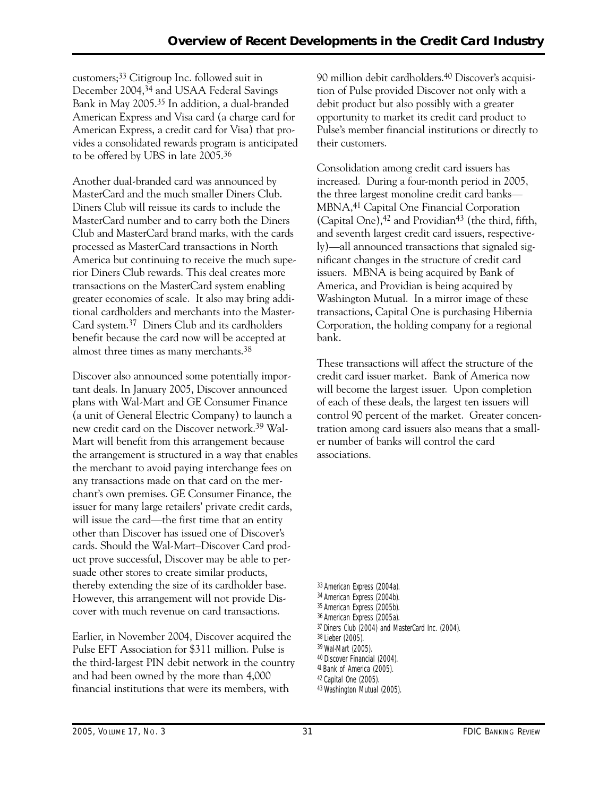customers;33 Citigroup Inc. followed suit in December 2004,34 and USAA Federal Savings Bank in May 2005.35 In addition, a dual-branded American Express and Visa card (a charge card for American Express, a credit card for Visa) that provides a consolidated rewards program is anticipated to be offered by UBS in late 2005.36

Another dual-branded card was announced by MasterCard and the much smaller Diners Club. Diners Club will reissue its cards to include the MasterCard number and to carry both the Diners Club and MasterCard brand marks, with the cards processed as MasterCard transactions in North America but continuing to receive the much superior Diners Club rewards. This deal creates more transactions on the MasterCard system enabling greater economies of scale. It also may bring additional cardholders and merchants into the Master-Card system.37 Diners Club and its cardholders benefit because the card now will be accepted at almost three times as many merchants.38

Discover also announced some potentially important deals. In January 2005, Discover announced plans with Wal-Mart and GE Consumer Finance (a unit of General Electric Company) to launch a new credit card on the Discover network.39 Wal-Mart will benefit from this arrangement because the arrangement is structured in a way that enables the merchant to avoid paying interchange fees on any transactions made on that card on the merchant's own premises. GE Consumer Finance, the issuer for many large retailers' private credit cards, will issue the card—the first time that an entity other than Discover has issued one of Discover's cards. Should the Wal-Mart–Discover Card product prove successful, Discover may be able to persuade other stores to create similar products, thereby extending the size of its cardholder base. However, this arrangement will not provide Discover with much revenue on card transactions.

Earlier, in November 2004, Discover acquired the Pulse EFT Association for \$311 million. Pulse is the third-largest PIN debit network in the country and had been owned by the more than 4,000 financial institutions that were its members, with

90 million debit cardholders.40 Discover's acquisition of Pulse provided Discover not only with a debit product but also possibly with a greater opportunity to market its credit card product to Pulse's member financial institutions or directly to their customers.

 increased. During a four-month period in 2005, Consolidation among credit card issuers has the three largest monoline credit card banks— MBNA,41 Capital One Financial Corporation (Capital One),<sup>42</sup> and Providian<sup>43</sup> (the third, fifth, and seventh largest credit card issuers, respectively)—all announced transactions that signaled significant changes in the structure of credit card issuers. MBNA is being acquired by Bank of America, and Providian is being acquired by Washington Mutual. In a mirror image of these transactions, Capital One is purchasing Hibernia Corporation, the holding company for a regional bank.

These transactions will affect the structure of the credit card issuer market. Bank of America now will become the largest issuer. Upon completion of each of these deals, the largest ten issuers will control 90 percent of the market. Greater concentration among card issuers also means that a smaller number of banks will control the card associations.

33 American Express (2004a). 34 American Express (2004b). 35 American Express (2005b). 36 American Express (2005a). 37 Diners Club (2004) and MasterCard Inc. (2004). 38 Lieber (2005). 39 Wal-Mart (2005). 40 Discover Financial (2004). 41 Bank of America (2005). 42 Capital One (2005). 43 Washington Mutual (2005).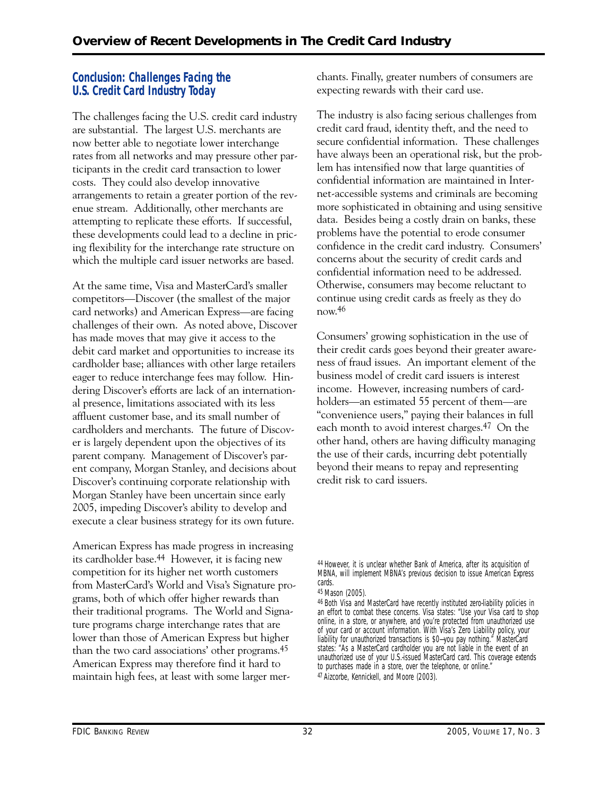# **Conclusion: Challenges Facing the U.S. Credit Card Industry Today**

The challenges facing the U.S. credit card industry are substantial. The largest U.S. merchants are now better able to negotiate lower interchange rates from all networks and may pressure other participants in the credit card transaction to lower costs. They could also develop innovative arrangements to retain a greater portion of the revenue stream. Additionally, other merchants are attempting to replicate these efforts. If successful, these developments could lead to a decline in pricing flexibility for the interchange rate structure on which the multiple card issuer networks are based.

At the same time, Visa and MasterCard's smaller competitors—Discover (the smallest of the major card networks) and American Express—are facing challenges of their own. As noted above, Discover has made moves that may give it access to the debit card market and opportunities to increase its cardholder base; alliances with other large retailers eager to reduce interchange fees may follow. Hindering Discover's efforts are lack of an international presence, limitations associated with its less affluent customer base, and its small number of cardholders and merchants. The future of Discover is largely dependent upon the objectives of its parent company. Management of Discover's parent company, Morgan Stanley, and decisions about Discover's continuing corporate relationship with Morgan Stanley have been uncertain since early 2005, impeding Discover's ability to develop and execute a clear business strategy for its own future.

American Express has made progress in increasing its cardholder base.44 However, it is facing new competition for its higher net worth customers from MasterCard's World and Visa's Signature programs, both of which offer higher rewards than their traditional programs. The World and Signature programs charge interchange rates that are lower than those of American Express but higher than the two card associations' other programs.45 American Express may therefore find it hard to maintain high fees, at least with some larger merchants. Finally, greater numbers of consumers are expecting rewards with their card use.

The industry is also facing serious challenges from credit card fraud, identity theft, and the need to secure confidential information. These challenges have always been an operational risk, but the problem has intensified now that large quantities of confidential information are maintained in Internet-accessible systems and criminals are becoming more sophisticated in obtaining and using sensitive data. Besides being a costly drain on banks, these problems have the potential to erode consumer confidence in the credit card industry. Consumers' concerns about the security of credit cards and confidential information need to be addressed. Otherwise, consumers may become reluctant to continue using credit cards as freely as they do now.46

Consumers' growing sophistication in the use of their credit cards goes beyond their greater awareness of fraud issues. An important element of the business model of credit card issuers is interest income. However, increasing numbers of cardholders—an estimated 55 percent of them—are "convenience users," paying their balances in full each month to avoid interest charges.47 On the other hand, others are having difficulty managing the use of their cards, incurring debt potentially beyond their means to repay and representing credit risk to card issuers.

<sup>44</sup> However, it is unclear whether Bank of America, after its acquisition of MBNA, will implement MBNA's previous decision to issue American Express cards.

<sup>45</sup> Mason (2005).

<sup>46</sup> Both Visa and MasterCard have recently instituted zero-liability policies in an effort to combat these concerns. Visa states: "Use your Visa card to shop online, in a store, or anywhere, and you're protected from unauthorized use of your card or account information. With Visa's Zero Liability policy, your liability for unauthorized transactions is \$0-you pay nothing." MasterCard states: "As a MasterCard cardholder you are not liable in the event of an unauthorized use of your U.S.-issued MasterCard card. This coverage extends to purchases made in a store, over the telephone, or online." 47 Aizcorbe, Kennickell, and Moore (2003).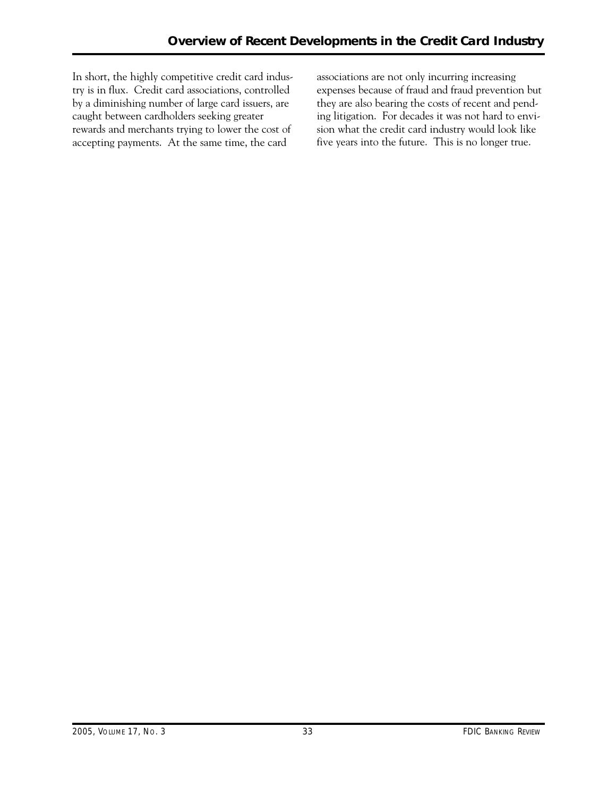In short, the highly competitive credit card industry is in flux. Credit card associations, controlled by a diminishing number of large card issuers, are caught between cardholders seeking greater rewards and merchants trying to lower the cost of accepting payments. At the same time, the card

associations are not only incurring increasing expenses because of fraud and fraud prevention but they are also bearing the costs of recent and pending litigation. For decades it was not hard to envision what the credit card industry would look like five years into the future. This is no longer true.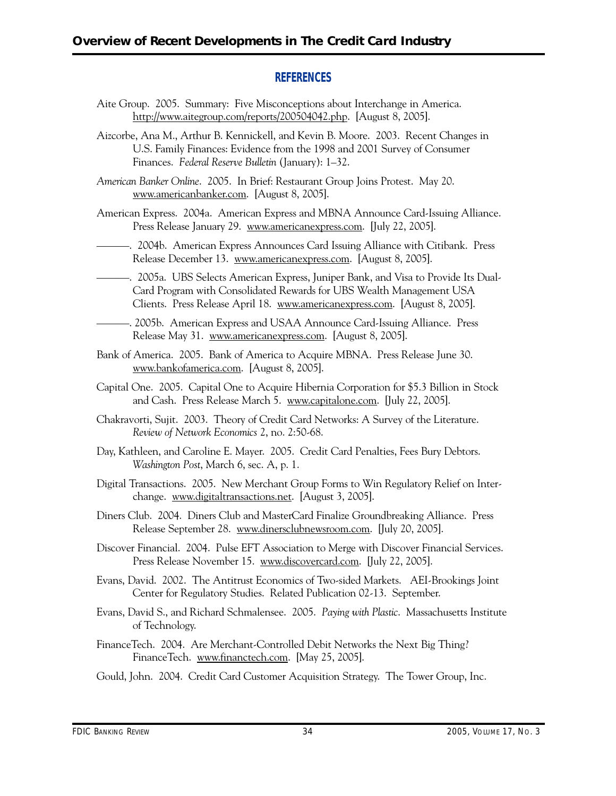# **REFERENCES**

- Aite Group. 2005. Summary: Five Misconceptions about Interchange in America. http://www.aitegroup.com/reports/200504042.php. [August 8, 2005].
- Aizcorbe, Ana M., Arthur B. Kennickell, and Kevin B. Moore. 2003. Recent Changes in U.S. Family Finances: Evidence from the 1998 and 2001 Survey of Consumer Finances. *Federal Reserve Bulletin* (January): 1–32.
- *American Banker Online*. 2005. In Brief: Restaurant Group Joins Protest. May 20. www.americanbanker.com. [August 8, 2005].
- American Express. 2004a. American Express and MBNA Announce Card-Issuing Alliance. Press Release January 29. www.americanexpress.com. [July 22, 2005].
- ———. 2004b. American Express Announces Card Issuing Alliance with Citibank. Press Release December 13. www.americanexpress.com. [August 8, 2005].
- ———. 2005a. UBS Selects American Express, Juniper Bank, and Visa to Provide Its Dual-Card Program with Consolidated Rewards for UBS Wealth Management USA Clients. Press Release April 18. www.americanexpress.com. [August 8, 2005].
- ———. 2005b. American Express and USAA Announce Card-Issuing Alliance. Press Release May 31. www.americanexpress.com. [August 8, 2005].
- Bank of America. 2005. Bank of America to Acquire MBNA. Press Release June 30. www.bankofamerica.com. [August 8, 2005].
- Capital One. 2005. Capital One to Acquire Hibernia Corporation for \$5.3 Billion in Stock and Cash. Press Release March 5. www.capitalone.com. [July 22, 2005].
- Chakravorti, Sujit. 2003. Theory of Credit Card Networks: A Survey of the Literature. *Review of Network Economics* 2, no. 2:50-68.
- Day, Kathleen, and Caroline E. Mayer. 2005. Credit Card Penalties, Fees Bury Debtors. *Washington Post*, March 6, sec. A, p. 1.
- Digital Transactions. 2005. New Merchant Group Forms to Win Regulatory Relief on Interchange. www.digitaltransactions.net. [August 3, 2005].
- Diners Club. 2004. Diners Club and MasterCard Finalize Groundbreaking Alliance. Press Release September 28. www.dinersclubnewsroom.com. [July 20, 2005].
- Discover Financial. 2004. Pulse EFT Association to Merge with Discover Financial Services. Press Release November 15. www.discovercard.com. [July 22, 2005].
- Evans, David. 2002. The Antitrust Economics of Two-sided Markets. AEI-Brookings Joint Center for Regulatory Studies. Related Publication 02-13. September.
- Evans, David S., and Richard Schmalensee. 2005. *Paying with Plastic*. Massachusetts Institute of Technology.
- FinanceTech. 2004. Are Merchant-Controlled Debit Networks the Next Big Thing? FinanceTech. www.financtech.com. [May 25, 2005].
- Gould, John. 2004. Credit Card Customer Acquisition Strategy. The Tower Group, Inc.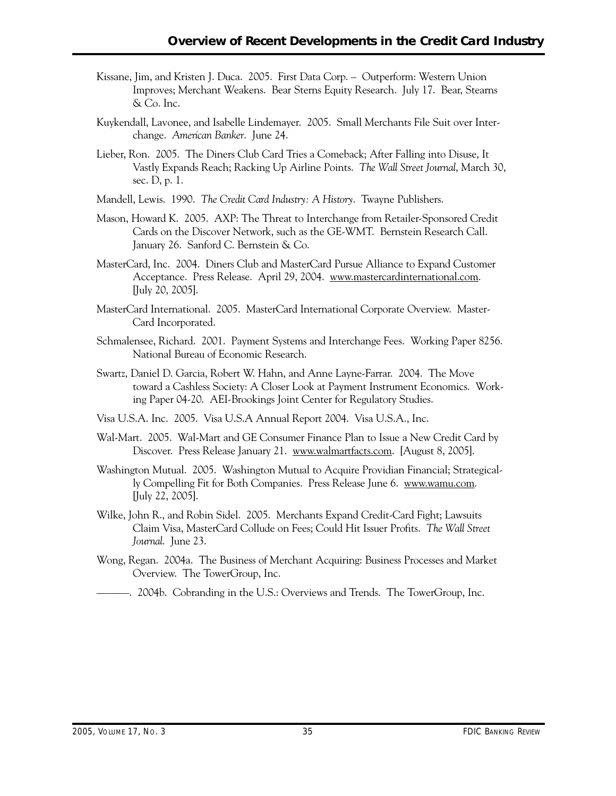- Kissane, Jim, and Kristen J. Duca. 2005. First Data Corp. Outperform: Western Union Improves; Merchant Weakens. Bear Sterns Equity Research. July 17. Bear, Stearns & Co. Inc.
- Kuykendall, Lavonee, and Isabelle Lindemayer. 2005. Small Merchants File Suit over Interchange. *American Banker*. June 24.
- Lieber, Ron. 2005. The Diners Club Card Tries a Comeback; After Falling into Disuse, It Vastly Expands Reach; Racking Up Airline Points. *The Wall Street Journal*, March 30, sec. D, p. 1.
- Mandell, Lewis. 1990. *The Credit Card Industry: A History*. Twayne Publishers.
- Mason, Howard K. 2005. AXP: The Threat to Interchange from Retailer-Sponsored Credit Cards on the Discover Network, such as the GE-WMT. Bernstein Research Call. January 26. Sanford C. Bernstein & Co.
- MasterCard, Inc. 2004. Diners Club and MasterCard Pursue Alliance to Expand Customer Acceptance. Press Release. April 29, 2004. www.mastercardinternational.com. [July 20, 2005].
- MasterCard International. 2005. MasterCard International Corporate Overview. Master-Card Incorporated.
- Schmalensee, Richard. 2001. Payment Systems and Interchange Fees. Working Paper 8256. National Bureau of Economic Research.
- Swartz, Daniel D. Garcia, Robert W. Hahn, and Anne Layne-Farrar. 2004. The Move toward a Cashless Society: A Closer Look at Payment Instrument Economics. Working Paper 04-20. AEI-Brookings Joint Center for Regulatory Studies.
- Visa U.S.A. Inc. 2005. Visa U.S.A Annual Report 2004. Visa U.S.A., Inc.
- Wal-Mart. 2005. Wal-Mart and GE Consumer Finance Plan to Issue a New Credit Card by Discover. Press Release January 21. www.walmartfacts.com. [August 8, 2005].
- Washington Mutual. 2005. Washington Mutual to Acquire Providian Financial; Strategically Compelling Fit for Both Companies. Press Release June 6. www.wamu.com. [July 22, 2005].
- Wilke, John R., and Robin Sidel. 2005. Merchants Expand Credit-Card Fight; Lawsuits Claim Visa, MasterCard Collude on Fees; Could Hit Issuer Profits. *The Wall Street Journal*. June 23.
- Wong, Regan. 2004a. The Business of Merchant Acquiring: Business Processes and Market Overview. The TowerGroup, Inc.
- ———. 2004b. Cobranding in the U.S.: Overviews and Trends. The TowerGroup, Inc.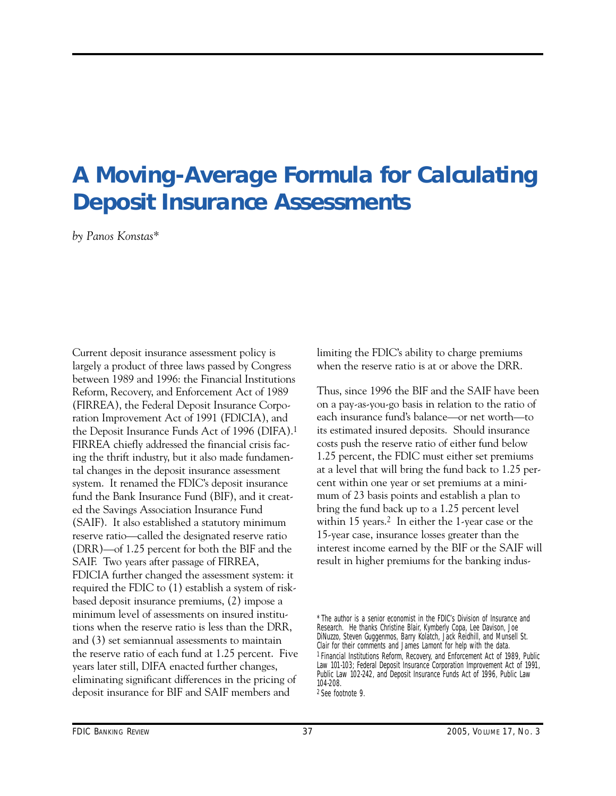# <span id="page-38-0"></span>**A Moving-Average Formula for Calculating Deposit Insurance Assessments**

*by Panos Konstas\** 

 SAIF. Two years after passage of FIRREA, Current deposit insurance assessment policy is largely a product of three laws passed by Congress between 1989 and 1996: the Financial Institutions Reform, Recovery, and Enforcement Act of 1989 (FIRREA), the Federal Deposit Insurance Corporation Improvement Act of 1991 (FDICIA), and the Deposit Insurance Funds Act of 1996 (DIFA).1 FIRREA chiefly addressed the financial crisis facing the thrift industry, but it also made fundamental changes in the deposit insurance assessment system. It renamed the FDIC's deposit insurance fund the Bank Insurance Fund (BIF), and it created the Savings Association Insurance Fund (SAIF). It also established a statutory minimum reserve ratio—called the designated reserve ratio (DRR)—of 1.25 percent for both the BIF and the FDICIA further changed the assessment system: it required the FDIC to (1) establish a system of riskbased deposit insurance premiums, (2) impose a minimum level of assessments on insured institutions when the reserve ratio is less than the DRR, and (3) set semiannual assessments to maintain the reserve ratio of each fund at 1.25 percent. Five years later still, DIFA enacted further changes, eliminating significant differences in the pricing of deposit insurance for BIF and SAIF members and

limiting the FDIC's ability to charge premiums when the reserve ratio is at or above the DRR.

Thus, since 1996 the BIF and the SAIF have been on a pay-as-you-go basis in relation to the ratio of each insurance fund's balance—or net worth—to its estimated insured deposits. Should insurance costs push the reserve ratio of either fund below 1.25 percent, the FDIC must either set premiums at a level that will bring the fund back to 1.25 percent within one year or set premiums at a minimum of 23 basis points and establish a plan to bring the fund back up to a 1.25 percent level within 15 years.<sup>2</sup> In either the 1-year case or the 15-year case, insurance losses greater than the interest income earned by the BIF or the SAIF will result in higher premiums for the banking indus

<sup>\*</sup> The author is a senior economist in the FDIC's Division of Insurance and Research. He thanks Christine Blair, Kymberly Copa, Lee Davison, Joe DiNuzzo, Steven Guggenmos, Barry Kolatch, Jack Reidhill, and Munsell St. Clair for their comments and James Lamont for help with the data. 1 Financial Institutions Reform, Recovery, and Enforcement Act of 1989, Public Law 101-103; Federal Deposit Insurance Corporation Improvement Act of 1991, Public Law 102-242, and Deposit Insurance Funds Act of 1996, Public Law 104-208. 2 See footnote 9.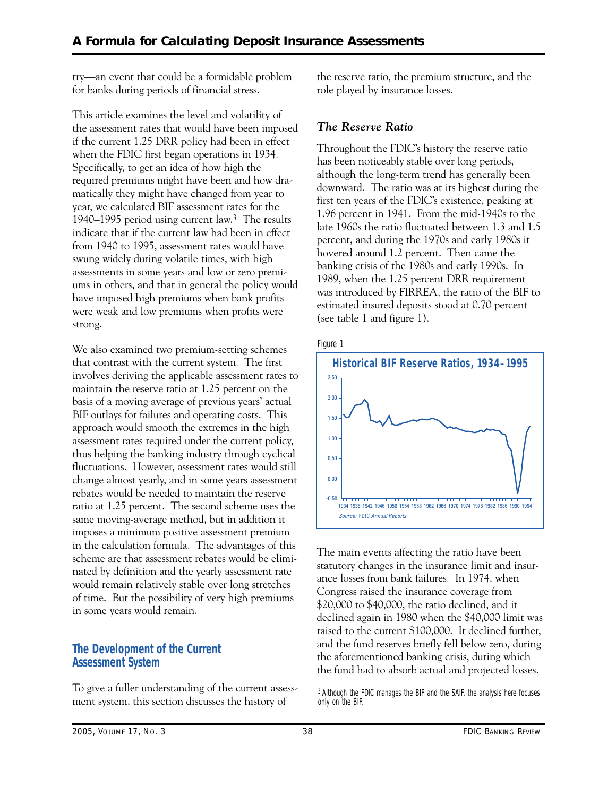try—an event that could be a formidable problem for banks during periods of financial stress.

This article examines the level and volatility of the assessment rates that would have been imposed if the current 1.25 DRR policy had been in effect when the FDIC first began operations in 1934. Specifically, to get an idea of how high the required premiums might have been and how dramatically they might have changed from year to year, we calculated BIF assessment rates for the 1940–1995 period using current law.<sup>3</sup> The results indicate that if the current law had been in effect from 1940 to 1995, assessment rates would have swung widely during volatile times, with high assessments in some years and low or zero premiums in others, and that in general the policy would have imposed high premiums when bank profits were weak and low premiums when profits were strong.

We also examined two premium-setting schemes that contrast with the current system. The first involves deriving the applicable assessment rates to maintain the reserve ratio at 1.25 percent on the basis of a moving average of previous years' actual BIF outlays for failures and operating costs. This approach would smooth the extremes in the high assessment rates required under the current policy, thus helping the banking industry through cyclical fluctuations. However, assessment rates would still change almost yearly, and in some years assessment rebates would be needed to maintain the reserve ratio at 1.25 percent. The second scheme uses the same moving-average method, but in addition it imposes a minimum positive assessment premium in the calculation formula. The advantages of this scheme are that assessment rebates would be eliminated by definition and the yearly assessment rate would remain relatively stable over long stretches of time. But the possibility of very high premiums in some years would remain.

# **The Development of the Current Assessment System**

To give a fuller understanding of the current assessment system, this section discusses the history of

the reserve ratio, the premium structure, and the role played by insurance losses.

# *The Reserve Ratio*

Throughout the FDIC's history the reserve ratio has been noticeably stable over long periods, although the long-term trend has generally been downward. The ratio was at its highest during the first ten years of the FDIC's existence, peaking at 1.96 percent in 1941. From the mid-1940s to the late 1960s the ratio fluctuated between 1.3 and 1.5 percent, and during the 1970s and early 1980s it hovered around 1.2 percent. Then came the banking crisis of the 1980s and early 1990s. In 1989, when the 1.25 percent DRR requirement was introduced by FIRREA, the ratio of the BIF to estimated insured deposits stood at 0.70 percent (see table 1 and figure 1).





The main events affecting the ratio have been statutory changes in the insurance limit and insurance losses from bank failures. In 1974, when Congress raised the insurance coverage from \$20,000 to \$40,000, the ratio declined, and it declined again in 1980 when the \$40,000 limit was raised to the current \$100,000. It declined further, and the fund reserves briefly fell below zero, during the aforementioned banking crisis, during which the fund had to absorb actual and projected losses.

3 Although the FDIC manages the BIF and the SAIF, the analysis here focuses only on the BIF.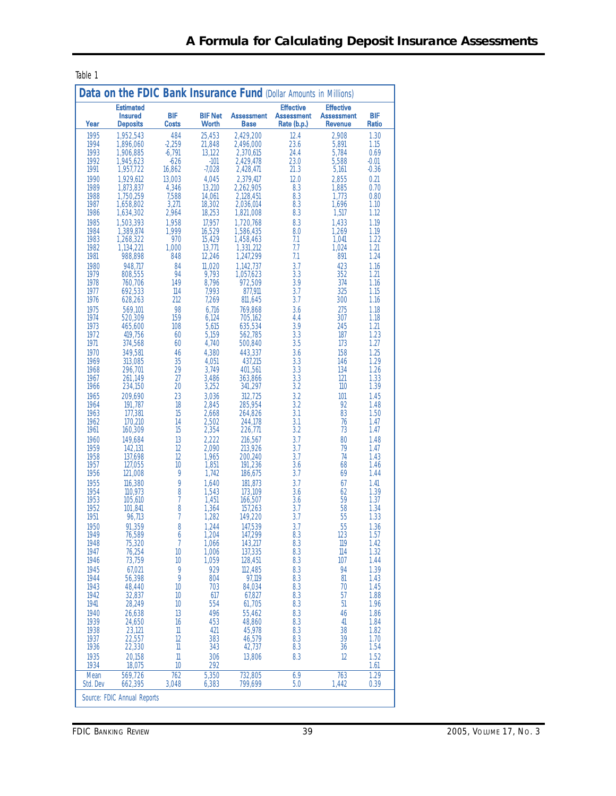| Data on the FDIC Bank Insurance Fund (Dollar Amounts in Millions) |                                                       |                            |                                |                                  |                                                      |                                                         |                     |
|-------------------------------------------------------------------|-------------------------------------------------------|----------------------------|--------------------------------|----------------------------------|------------------------------------------------------|---------------------------------------------------------|---------------------|
| Year                                                              | <b>Estimated</b><br><b>Insured</b><br><b>Deposits</b> | <b>BIF</b><br><b>Costs</b> | <b>BIF Net</b><br><b>Worth</b> | <b>Assessment</b><br><b>Base</b> | <b>Effective</b><br><b>Assessment</b><br>Rate (b.p.) | <b>Effective</b><br><b>Assessment</b><br><b>Revenue</b> | <b>BIF</b><br>Ratio |
| 1995                                                              | 1,952,543                                             | 484                        | 25,453                         | 2,429,200                        | 12.4                                                 | 2.908                                                   | 1.30                |
| 1994                                                              | 1,896,060                                             | $-2,259$<br>$-6,791$       | 21,848                         | 2,496,000                        | 23.6<br>24.4                                         | 5,891                                                   | 1.15                |
| 1993<br>1992                                                      | 1,906,885<br>1,945,623                                | $-626$                     | 13,122<br>$-101$               | 2,370,615<br>2,429,478           | 23.0                                                 | 5,784<br>5.588                                          | 0.69<br>$-0.01$     |
| 1991                                                              | 1,957,722                                             | 16,862                     | $-7,028$                       | 2,428,471                        | 21.3                                                 | 5,161                                                   | $-0.36$             |
| 1990                                                              | 1,929,612                                             | 13,003                     | 4,045                          | 2,379,417                        | 12.0                                                 | 2,855                                                   | 0.21                |
| 1989<br>1988                                                      | 1.873.837<br>1,750,259                                | 4,346<br>7,588             | 13.210<br>14,061               | 2.262.905<br>2,128,451           | 8.3<br>8.3                                           | 1.885<br>1.773                                          | 0.70<br>0.80        |
| 1987                                                              | 1,658,802                                             | 3,271                      | 18,302                         | 2.036.014                        | 8.3                                                  | 1.696                                                   | 1.10                |
| 1986                                                              | 1.634.302                                             | 2,964                      | 18.253                         | 1,821,008                        | 8.3                                                  | 1,517                                                   | 1.12                |
| 1985                                                              | 1.503.393                                             | 1.958                      | 17.957                         | 1.720.768                        | 8.3                                                  | 1.433                                                   | 1.19                |
| 1984<br>1983                                                      | 1,389,874<br>1,268,322                                | 1,999<br>970               | 16,529<br>15,429               | 1,586,435<br>1,458,463           | 8.0<br>7.1                                           | 1,269<br>1,041                                          | 1.19<br>1.22        |
| 1982                                                              | 1,134,221                                             | 1,000                      | 13.771                         | 1.331.212                        | 7.7                                                  | 1.024                                                   | 1.21                |
| 1981                                                              | 988,898                                               | 848                        | 12,246                         | 1,247,299                        | 7.1                                                  | 891                                                     | 1.24                |
| 1980<br>1979                                                      | 948.717<br>808,555                                    | 84<br>94                   | 11,020<br>9,793                | 1.142.737<br>1,057,623           | 3.7<br>3.3                                           | 423<br>352                                              | 1.16<br>1.21        |
| 1978                                                              | 760.706                                               | 149                        | 8,796                          | 972,509                          | 3.9                                                  | 374                                                     | 1.16                |
| 1977                                                              | 692,533                                               | $\mathsf{114}$             | 7,993                          | 877,911                          | 3.7                                                  | 325                                                     | 1.15                |
| 1976<br>1975                                                      | 628,263                                               | 212                        | 7,269                          | 811,645                          | 3.7                                                  | 300                                                     | 1.16                |
| 1974                                                              | 569,101<br>520,309                                    | 98<br>159                  | 6,716<br>6,124                 | 769,868<br>705,162               | 3.6<br>4.4                                           | 275<br>307                                              | 1.18<br>1.18        |
| 1973                                                              | 465,600                                               | 108                        | 5,615                          | 635,534                          | 3.9                                                  | 245                                                     | 1.21                |
| 1972<br>1971                                                      | 419,756<br>374,568                                    | 60<br>60                   | 5,159<br>4,740                 | 562,785<br>500,840               | 3.3<br>3.5                                           | 187<br>173                                              | 1.23<br>1.27        |
| 1970                                                              | 349.581                                               | 46                         | 4,380                          | 443.337                          | 3.6                                                  | 158                                                     | 1.25                |
| 1969                                                              | 313.085                                               | 35                         | 4,051                          | 437,215                          | 3.3                                                  | 146                                                     | 1.29                |
| 1968<br>1967                                                      | 296,701<br>261.149                                    | 29<br>27                   | 3,749<br>3,486                 | 401,561                          | 3.3<br>3.3                                           | 134<br>121                                              | 1.26<br>1.33        |
| 1966                                                              | 234,150                                               | 20                         | 3,252                          | 363,866<br>341,297               | 3.2                                                  | 110                                                     | 1.39                |
| 1965                                                              | 209.690                                               | 23                         | 3,036                          | 312.725                          | 3.2                                                  | 101                                                     | 1.45                |
| 1964                                                              | 191.787                                               | 18                         | 2.845                          | 285.954                          | 3.2                                                  | 92                                                      | 1.48                |
| 1963<br>1962                                                      | 177,381<br>170.210                                    | 15<br>14                   | 2,668<br>2,502                 | 264,826<br>244,178               | 3.1<br>3.1                                           | 83<br>76                                                | 1.50<br>1.47        |
| 1961                                                              | 160,309                                               | 15                         | 2,354                          | 226,771                          | 3.2                                                  | 73                                                      | 1.47                |
| 1960                                                              | 149.684                                               | 13                         | 2,222                          | 216,567                          | 3.7                                                  | 80                                                      | 1.48                |
| 1959<br>1958                                                      | 142,131<br>137,698                                    | 12<br>12                   | 2,090<br>1,965                 | 213,926<br>200,240               | 3.7<br>3.7                                           | 79<br>74                                                | 1.47<br>1.43        |
| 1957                                                              | 127.055                                               | 10                         | 1,851                          | 191,236                          | 3.6                                                  | 68                                                      | 1.46                |
| 1956                                                              | 121,008                                               | 9                          | 1,742                          | 186.675                          | 3.7                                                  | 69                                                      | 1.44                |
| 1955<br>1954                                                      | 116,380<br>110,973                                    | 9<br>8                     | 1,640<br>1,543                 | 181.873<br>173,109               | 3.7<br>3.6                                           | 67<br>62                                                | 1.41<br>1.39        |
| 1953                                                              | 105.610                                               | 7                          | 1,451                          | 166,507                          | 3.6                                                  | 59                                                      | 1.37                |
| 1952                                                              | 101,841                                               | 8                          | 1,364                          | 157,263                          | 3.7                                                  | 58                                                      | 1.34                |
| 1951<br>1950                                                      | 96,713<br>91,359                                      | 7<br>8                     | 1,282<br>1,244                 | 149,220<br>147,539               | 3.7<br>3.7                                           | 55<br>55                                                | 1.33<br>1.36        |
| 1949                                                              | 76,589                                                | 6                          | 1,204                          | 147,299                          | 8.3                                                  | 123                                                     | 1.57                |
| 1948                                                              | 75,320                                                | $\overline{7}$             | 1,066                          | 143,217                          | 8.3                                                  | 119                                                     | 1.42                |
| 1947<br>1946                                                      | 76,254<br>73,759                                      | 10<br>10                   | 1,006<br>1,059                 | 137,335<br>128,451               | 8.3<br>8.3                                           | $\mathsf{114}$<br>107                                   | 1.32<br>1.44        |
| 1945                                                              | 67,021                                                | 9                          | 929                            | 112.485                          | 8.3                                                  | 94                                                      | 1.39                |
| 1944                                                              | 56,398                                                | 9                          | 804                            | 97,119                           | 8.3                                                  | 81                                                      | 1.43                |
| 1943<br>1942                                                      | 48,440<br>32,837                                      | 10<br>10                   | 703<br>617                     | 84.034<br>67,827                 | 8.3<br>8.3                                           | 70<br>57                                                | 1.45<br>1.88        |
| 1941                                                              | 28,249                                                | 10                         | 554                            | 61,705                           | 8.3                                                  | 51                                                      | 1.96                |
| 1940                                                              | 26.638                                                | 13                         | 496                            | 55,462                           | 8.3                                                  | 46                                                      | 1.86                |
| 1939<br>1938                                                      | 24,650<br>23,121                                      | 16<br>11                   | 453<br>421                     | 48,860<br>45,978                 | 8.3<br>8.3                                           | 41<br>38                                                | 1.84<br>1.82        |
| 1937                                                              | 22,557                                                | 12                         | 383                            | 46,579                           | 8.3                                                  | 39                                                      | 1.70                |
| 1936                                                              | 22,330                                                | $\mathbb{1}$               | 343                            | 42,737                           | 8.3                                                  | 36                                                      | 1.54                |
| 1935<br>1934                                                      | 20,158<br>18,075                                      | $\mathbb{1}$<br>10         | 306<br>292                     | 13,806                           | 8.3                                                  | 12                                                      | 1.52<br>1.61        |
| Mean                                                              | 569,726                                               | 762                        | 5,350                          | 732,805                          | 6.9                                                  | 763                                                     | 1.29                |
| Std. Dev                                                          | 662,395                                               | 3,048                      | 6,383                          | 799,699                          | 5.0                                                  | 1,442                                                   | 0.39                |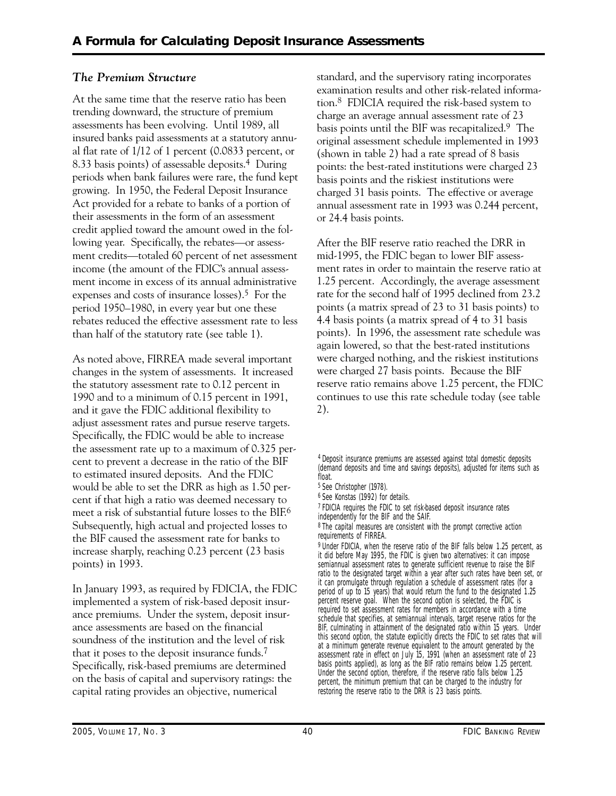# *The Premium Structure*

At the same time that the reserve ratio has been trending downward, the structure of premium assessments has been evolving. Until 1989, all insured banks paid assessments at a statutory annual flat rate of 1/12 of 1 percent (0.0833 percent, or 8.33 basis points) of assessable deposits.4 During periods when bank failures were rare, the fund kept growing. In 1950, the Federal Deposit Insurance Act provided for a rebate to banks of a portion of their assessments in the form of an assessment credit applied toward the amount owed in the following year. Specifically, the rebates—or assessment credits—totaled 60 percent of net assessment income (the amount of the FDIC's annual assessment income in excess of its annual administrative expenses and costs of insurance losses).5 For the period 1950–1980, in every year but one these rebates reduced the effective assessment rate to less than half of the statutory rate (see table 1).

As noted above, FIRREA made several important changes in the system of assessments. It increased the statutory assessment rate to 0.12 percent in 1990 and to a minimum of 0.15 percent in 1991, and it gave the FDIC additional flexibility to adjust assessment rates and pursue reserve targets. Specifically, the FDIC would be able to increase the assessment rate up to a maximum of 0.325 percent to prevent a decrease in the ratio of the BIF to estimated insured deposits. And the FDIC would be able to set the DRR as high as 1.50 percent if that high a ratio was deemed necessary to meet a risk of substantial future losses to the BIF.6 Subsequently, high actual and projected losses to the BIF caused the assessment rate for banks to increase sharply, reaching 0.23 percent (23 basis points) in 1993.

In January 1993, as required by FDICIA, the FDIC implemented a system of risk-based deposit insurance premiums. Under the system, deposit insurance assessments are based on the financial soundness of the institution and the level of risk that it poses to the deposit insurance funds.7 Specifically, risk-based premiums are determined on the basis of capital and supervisory ratings: the capital rating provides an objective, numerical

standard, and the supervisory rating incorporates examination results and other risk-related information.8 FDICIA required the risk-based system to charge an average annual assessment rate of 23 basis points until the BIF was recapitalized.9 The original assessment schedule implemented in 1993 (shown in table 2) had a rate spread of 8 basis points: the best-rated institutions were charged 23 basis points and the riskiest institutions were charged 31 basis points. The effective or average annual assessment rate in 1993 was 0.244 percent, or 24.4 basis points.

After the BIF reserve ratio reached the DRR in mid-1995, the FDIC began to lower BIF assessment rates in order to maintain the reserve ratio at 1.25 percent. Accordingly, the average assessment rate for the second half of 1995 declined from 23.2 points (a matrix spread of 23 to 31 basis points) to 4.4 basis points (a matrix spread of 4 to 31 basis points). In 1996, the assessment rate schedule was again lowered, so that the best-rated institutions were charged nothing, and the riskiest institutions were charged 27 basis points. Because the BIF reserve ratio remains above 1.25 percent, the FDIC continues to use this rate schedule today (see table 2).

6 See Konstas (1992) for details.

7 FDICIA requires the FDIC to set risk-based deposit insurance rates independently for the BIF and the SAIF.

8 The capital measures are consistent with the prompt corrective action requirements of FIRREA.

9 Under FDICIA, when the reserve ratio of the BIF falls below 1.25 percent, as it did before May 1995, the FDIC is given two alternatives: it can impose semiannual assessment rates to generate sufficient revenue to raise the BIF ratio to the designated target within a year after such rates have been set, or it can promulgate through regulation a schedule of assessment rates (for a period of up to 15 years) that would return the fund to the designated 1.25 percent reserve goal. When the second option is selected, the FDIC is required to set assessment rates for members in accordance with a time schedule that specifies, at semiannual intervals, target reserve ratios for the BIF, culminating in attainment of the designated ratio within 15 years. Under this second option, the statute explicitly directs the FDIC to set rates that will at a minimum generate revenue equivalent to the amount generated by the assessment rate in effect on July 15, 1991 (when an assessment rate of 23 basis points applied), as long as the BIF ratio remains below 1.25 percent. Under the second option, therefore, if the reserve ratio falls below 1.25 percent, the minimum premium that can be charged to the industry for restoring the reserve ratio to the DRR is 23 basis points.

<sup>4</sup> Deposit insurance premiums are assessed against total domestic deposits (demand deposits and time and savings deposits), adjusted for items such as float.

<sup>5</sup> See Christopher (1978).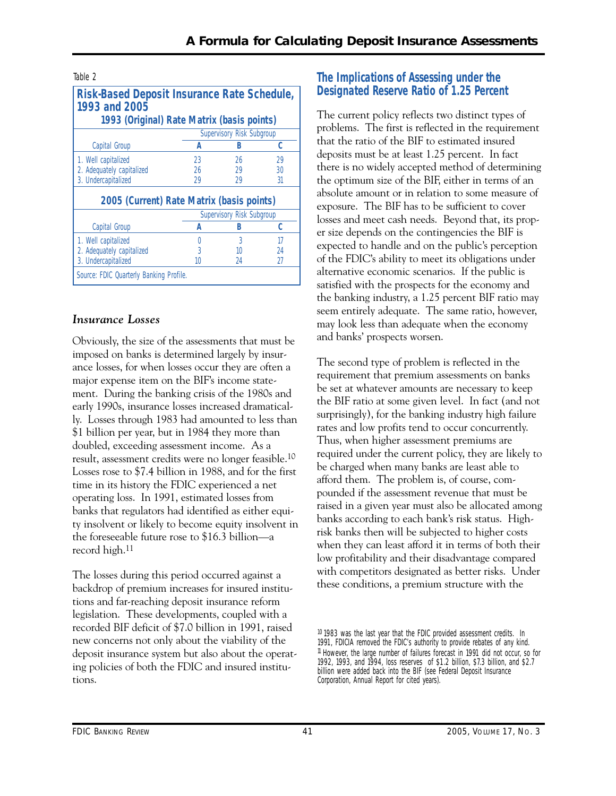| <b>Risk-Based Deposit Insurance Rate Schedule,</b><br>1993 and 2005<br>1993 (Original) Rate Matrix (basis points) |    |                           |    |  |  |  |
|-------------------------------------------------------------------------------------------------------------------|----|---------------------------|----|--|--|--|
| Supervisory Risk Subgroup                                                                                         |    |                           |    |  |  |  |
| Capital Group                                                                                                     | А  | R                         | C  |  |  |  |
| 1. Well capitalized                                                                                               | 23 | 26                        | 29 |  |  |  |
| 2. Adequately capitalized                                                                                         | 26 | 29                        | 30 |  |  |  |
| 3. Undercapitalized                                                                                               | 29 | 29                        | 31 |  |  |  |
| 2005 (Current) Rate Matrix (basis points)                                                                         |    |                           |    |  |  |  |
|                                                                                                                   |    | Supervisory Risk Subgroup |    |  |  |  |
| Capital Group                                                                                                     | А  | В                         | c  |  |  |  |
| 1. Well capitalized                                                                                               |    | 3                         | 17 |  |  |  |
| 2. Adequately capitalized                                                                                         | 3  | 10                        | 24 |  |  |  |
| 3. Undercapitalized                                                                                               | 10 | 24                        | 27 |  |  |  |
| Source: FDIC Quarterly Banking Profile.                                                                           |    |                           |    |  |  |  |

# *Insurance Losses*

Obviously, the size of the assessments that must be imposed on banks is determined largely by insurance losses, for when losses occur they are often a major expense item on the BIF's income statement. During the banking crisis of the 1980s and early 1990s, insurance losses increased dramatically. Losses through 1983 had amounted to less than \$1 billion per year, but in 1984 they more than doubled, exceeding assessment income. As a result, assessment credits were no longer feasible.10 Losses rose to \$7.4 billion in 1988, and for the first time in its history the FDIC experienced a net operating loss. In 1991, estimated losses from banks that regulators had identified as either equity insolvent or likely to become equity insolvent in the foreseeable future rose to \$16.3 billion—a record high.11

The losses during this period occurred against a backdrop of premium increases for insured institutions and far-reaching deposit insurance reform legislation. These developments, coupled with a recorded BIF deficit of \$7.0 billion in 1991, raised new concerns not only about the viability of the deposit insurance system but also about the operating policies of both the FDIC and insured institutions.

# **The Implications of Assessing under the Designated Reserve Ratio of 1.25 Percent**

The current policy reflects two distinct types of problems. The first is reflected in the requirement that the ratio of the BIF to estimated insured deposits must be at least 1.25 percent. In fact there is no widely accepted method of determining the optimum size of the BIF, either in terms of an absolute amount or in relation to some measure of exposure. The BIF has to be sufficient to cover losses and meet cash needs. Beyond that, its proper size depends on the contingencies the BIF is expected to handle and on the public's perception of the FDIC's ability to meet its obligations under alternative economic scenarios. If the public is satisfied with the prospects for the economy and the banking industry, a 1.25 percent BIF ratio may seem entirely adequate. The same ratio, however, may look less than adequate when the economy and banks' prospects worsen.

The second type of problem is reflected in the requirement that premium assessments on banks be set at whatever amounts are necessary to keep the BIF ratio at some given level. In fact (and not surprisingly), for the banking industry high failure rates and low profits tend to occur concurrently. Thus, when higher assessment premiums are required under the current policy, they are likely to be charged when many banks are least able to afford them. The problem is, of course, compounded if the assessment revenue that must be raised in a given year must also be allocated among banks according to each bank's risk status. Highrisk banks then will be subjected to higher costs when they can least afford it in terms of both their low profitability and their disadvantage compared with competitors designated as better risks. Under these conditions, a premium structure with the

<sup>10 1983</sup> was the last year that the FDIC provided assessment credits. In 1991, FDICIA removed the FDIC's authority to provide rebates of any kind. 11 However, the large number of failures forecast in 1991 did not occur, so for 1992, 1993, and 1994, loss reserves of \$1.2 billion, \$7.3 billion, and \$2.7 billion were added back into the BIF (see Federal Deposit Insurance Corporation, *Annual Report* for cited years).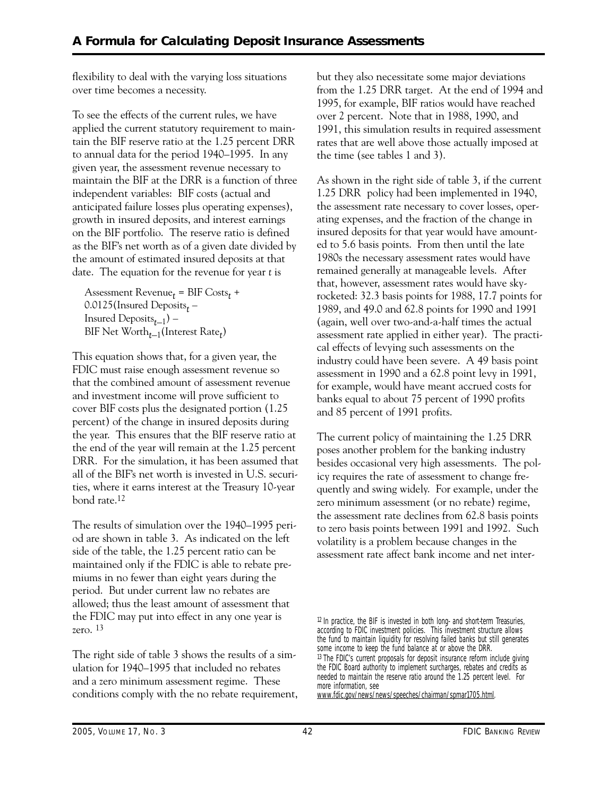flexibility to deal with the varying loss situations over time becomes a necessity.

To see the effects of the current rules, we have applied the current statutory requirement to maintain the BIF reserve ratio at the 1.25 percent DRR to annual data for the period 1940–1995. In any given year, the assessment revenue necessary to maintain the BIF at the DRR is a function of three independent variables: BIF costs (actual and anticipated failure losses plus operating expenses), growth in insured deposits, and interest earnings on the BIF portfolio. The reserve ratio is defined as the BIF's net worth as of a given date divided by the amount of estimated insured deposits at that date. The equation for the revenue for year *t* is

```
Assessment Revenuet = BIF Costst + 
0.0125(Insured Deposits<sub>t</sub> –
Insured Depositst–1) – 
BIF Net Wortht–1(Interest Ratet
)
```
This equation shows that, for a given year, the FDIC must raise enough assessment revenue so that the combined amount of assessment revenue and investment income will prove sufficient to cover BIF costs plus the designated portion (1.25 percent) of the change in insured deposits during the year. This ensures that the BIF reserve ratio at the end of the year will remain at the 1.25 percent DRR. For the simulation, it has been assumed that all of the BIF's net worth is invested in U.S. securities, where it earns interest at the Treasury 10-year bond rate.12

The results of simulation over the 1940–1995 period are shown in table 3. As indicated on the left side of the table, the 1.25 percent ratio can be maintained only if the FDIC is able to rebate premiums in no fewer than eight years during the period. But under current law no rebates are allowed; thus the least amount of assessment that the FDIC may put into effect in any one year is zero. 13

The right side of table 3 shows the results of a simulation for 1940–1995 that included no rebates and a zero minimum assessment regime. These conditions comply with the no rebate requirement, but they also necessitate some major deviations from the 1.25 DRR target. At the end of 1994 and 1995, for example, BIF ratios would have reached over 2 percent. Note that in 1988, 1990, and 1991, this simulation results in required assessment rates that are well above those actually imposed at the time (see tables 1 and 3).

 industry could have been severe. A 49 basis point As shown in the right side of table 3, if the current 1.25 DRR policy had been implemented in 1940, the assessment rate necessary to cover losses, operating expenses, and the fraction of the change in insured deposits for that year would have amounted to 5.6 basis points. From then until the late 1980s the necessary assessment rates would have remained generally at manageable levels. After that, however, assessment rates would have skyrocketed: 32.3 basis points for 1988, 17.7 points for 1989, and 49.0 and 62.8 points for 1990 and 1991 (again, well over two-and-a-half times the actual assessment rate applied in either year). The practical effects of levying such assessments on the assessment in 1990 and a 62.8 point levy in 1991, for example, would have meant accrued costs for banks equal to about 75 percent of 1990 profits and 85 percent of 1991 profits.

The current policy of maintaining the 1.25 DRR poses another problem for the banking industry besides occasional very high assessments. The policy requires the rate of assessment to change frequently and swing widely. For example, under the zero minimum assessment (or no rebate) regime, the assessment rate declines from 62.8 basis points to zero basis points between 1991 and 1992. Such volatility is a problem because changes in the assessment rate affect bank income and net inter-

www.fdic.gov/news/news/speeches/chairman/spmar1705.html.

<sup>12</sup> In practice, the BIF is invested in both long- and short-term Treasuries, according to FDIC investment policies. This investment structure allows the fund to maintain liquidity for resolving failed banks but still generates some income to keep the fund balance at or above the DRR. <sup>13</sup> The FDIC's current proposals for deposit insurance reform include giving the FDIC Board authority to implement surcharges, rebates and credits as needed to maintain the reserve ratio around the 1.25 percent level. For more information, see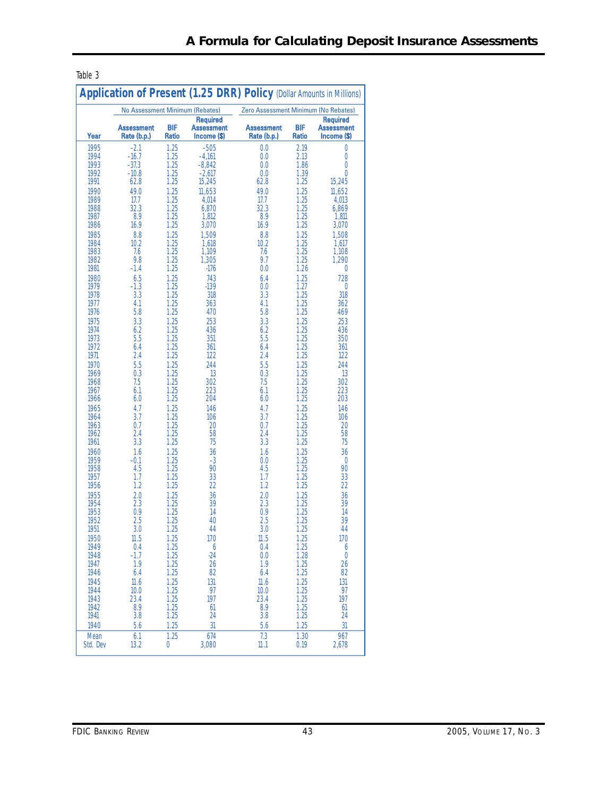| AN. |  |
|-----|--|
|-----|--|

|              | <b>No Assessment Minimum (Rebates)</b> |                     |                                                     | Zero Assessment Minimum (No Rebates) |              |                                                     |
|--------------|----------------------------------------|---------------------|-----------------------------------------------------|--------------------------------------|--------------|-----------------------------------------------------|
| Year         | <b>Assessment</b><br>Rate (b.p.)       | <b>BIF</b><br>Ratio | <b>Required</b><br><b>Assessment</b><br>Income (\$) | <b>Assessment</b><br>Rate (b.p.)     | BIF<br>Ratio | <b>Required</b><br><b>Assessment</b><br>Income (\$) |
| 1995         | $-2.1$                                 | 1.25                | $-505$                                              | 0.0                                  | 2.19         | 0                                                   |
| 1994         | $-16.7$                                | 1.25                | $-4,161$                                            | 0.0                                  | 2.13         | 0                                                   |
| 1993         | $-37.3$                                | 1.25                | $-8,842$                                            | 0.0                                  | 1.86         | $\overline{0}$                                      |
| 1992         | $-10.8$                                | 1.25                | $-2,617$                                            | 0.0                                  | 1.39         | 0                                                   |
| 1991         | 62.8                                   | 1.25                | 15,245                                              | 62.8                                 | 1.25         | 15,245                                              |
| 1990         | 49.0                                   | 1.25                | 11,653                                              | 49.0                                 | 1.25         | 11,652                                              |
| 1989<br>1988 | 17.7<br>32.3                           | 1.25<br>1.25        | 4,014<br>6,870                                      | 17.7<br>32.3                         | 1.25<br>1.25 | 4,013<br>6.869                                      |
| 1987         | 8.9                                    | 1.25                | 1.812                                               | 8.9                                  | 1.25         | 1.811                                               |
| 1986         | 16.9                                   | 1.25                | 3,070                                               | 16.9                                 | 1.25         | 3,070                                               |
| 1985         | 8.8                                    | 1.25                | 1.509                                               | 8.8                                  | 1.25         | 1.508                                               |
| 1984         | 10.2                                   | 1.25                | 1,618                                               | 10.2                                 | 1.25         | 1,617                                               |
| 1983         | 7.6                                    | 1.25                | 1,109                                               | 7.6                                  | 1.25         | 1,108                                               |
| 1982         | 9.8                                    | 1.25                | 1,305                                               | 9.7                                  | 1.25         | 1,290                                               |
| 1981         | $-1.4$                                 | 1.25                | $-176$                                              | 0.0                                  | 1.26         | 0                                                   |
| 1980         | 6.5                                    | 1.25                | 743                                                 | 6.4                                  | 1.25         | 728                                                 |
| 1979         | $-1.3$                                 | 1.25                | $-139$                                              | 0.0                                  | 1.27         | 0                                                   |
| 1978         | 3.3                                    | 1.25                | 318                                                 | 3.3                                  | 1.25         | 318                                                 |
| 1977         | 4.1                                    | 1.25                | 363                                                 | 4.1                                  | 1.25         | 362                                                 |
| 1976         | 5.8                                    | 1.25                | 470                                                 | 5.8                                  | 1.25         | 469                                                 |
| 1975         | 3.3                                    | 1.25                | 253                                                 | 3.3                                  | 1.25         | 253                                                 |
| 1974         | 6.2                                    | 1.25                | 436                                                 | 6.2                                  | 1.25         | 436                                                 |
| 1973         | 5.5                                    | 1.25                | 351                                                 | 5.5                                  | 1.25         | 350                                                 |
| 1972         | 6.4                                    | 1.25                | 361                                                 | 6.4                                  | 1.25         | 361                                                 |
| 1971         | 2.4                                    | 1.25                | 122                                                 | 2.4                                  | 1.25         | 122                                                 |
| 1970         | 5.5                                    | 1.25                | 244                                                 | 5.5                                  | 1.25         | 244                                                 |
| 1969<br>1968 | 0.3<br>7.5                             | 1.25<br>1.25        | 13<br>302                                           | 0.3<br>7.5                           | 1.25<br>1.25 | 13<br>302                                           |
| 1967         | 6.1                                    | 1.25                | 223                                                 | 6.1                                  | 1.25         | 223                                                 |
| 1966         | 6.0                                    | 1.25                | 204                                                 | 6.0                                  | 1.25         | 203                                                 |
| 1965         | 4.7                                    | 1.25                | 146                                                 | 4.7                                  | 1.25         | 146                                                 |
| 1964         | 3.7                                    | 1.25                | 106                                                 | 3.7                                  | 1.25         | 106                                                 |
| 1963         | 0.7                                    | 1.25                | 20                                                  | 0.7                                  | 1.25         | 20                                                  |
| 1962         | 2.4                                    | 1.25                | 58                                                  | 2.4                                  | 1.25         | 58                                                  |
| 1961         | 3.3                                    | 1.25                | 75                                                  | 3.3                                  | 1.25         | 75                                                  |
| 1960         | 1.6                                    | 1.25                | 36                                                  | 1.6                                  | 1.25         | 36                                                  |
| 1959         | $-0.1$                                 | 1.25                | $-3$                                                | 0.0                                  | 1.25         | 0                                                   |
| 1958         | 4.5                                    | 1.25                | 90                                                  | 4.5                                  | 1.25         | 90                                                  |
| 1957         | 1.7                                    | 1.25                | 33                                                  | 1.7                                  | 1.25         | 33                                                  |
| 1956         | 1.2                                    | 1.25                | 22                                                  | 1.2                                  | 1.25         | 22                                                  |
| 1955         | 2.0                                    | 1.25                | 36                                                  | 2.0                                  | 1.25         | 36                                                  |
| 1954         | 2.3                                    | 1.25                | 39                                                  | 2.3                                  | 1.25         | 39                                                  |
| 1953<br>1952 | 0.9                                    | 1.25<br>1.25        | 14<br>40                                            | 0.9<br>2.5                           | 1.25<br>1.25 | 14<br>39                                            |
| 1951         | 2.5<br>3.0                             | 1.25                | 44                                                  | 3.0                                  | 1.25         | 44                                                  |
|              |                                        | 1.25                |                                                     |                                      |              | 170                                                 |
| 1950<br>1949 | 11.5<br>0.4                            | 1.25                | 170<br>$\ddot{\theta}$                              | 11.5<br>0.4                          | 1.25<br>1.25 | 6                                                   |
| 1948         | $-1.7$                                 | 1.25                | $-24$                                               | 0.0                                  | 1.28         | 0                                                   |
| 1947         | 1.9                                    | 1.25                | 26                                                  | 1.9                                  | 1.25         | 26                                                  |
| 1946         | 6.4                                    | 1.25                | 82                                                  | 6.4                                  | 1.25         | 82                                                  |
| 1945         | 11.6                                   | 1.25                | 131                                                 | 11.6                                 | 1.25         | 131                                                 |
| 1944         | 10.0                                   | 1.25                | 97                                                  | 10.0                                 | 1.25         | 97                                                  |
| 1943         | 23.4                                   | 1.25                | 197                                                 | 23.4                                 | 1.25         | 197                                                 |
| 1942         | 8.9                                    | 1.25                | 61                                                  | 8.9                                  | 1.25         | 61                                                  |
| 1941         | 3.8                                    | 1.25                | 24                                                  | 3.8                                  | 1.25         | 24                                                  |
|              |                                        |                     |                                                     |                                      |              |                                                     |
| 1940         | 5.6                                    | 1.25                | 31                                                  | 5.6                                  | 1.25         | 31                                                  |
| Mean         | 6.1                                    | 1.25                | 674                                                 | 7.3                                  | 1.30         | 967                                                 |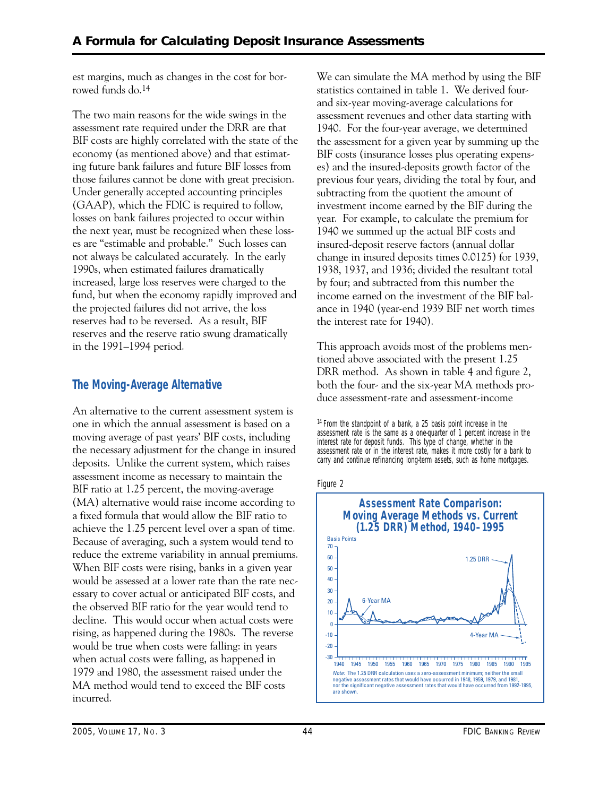est margins, much as changes in the cost for borrowed funds do.14

The two main reasons for the wide swings in the assessment rate required under the DRR are that BIF costs are highly correlated with the state of the economy (as mentioned above) and that estimating future bank failures and future BIF losses from those failures cannot be done with great precision. Under generally accepted accounting principles (GAAP), which the FDIC is required to follow, losses on bank failures projected to occur within the next year, must be recognized when these losses are "estimable and probable." Such losses can not always be calculated accurately. In the early 1990s, when estimated failures dramatically increased, large loss reserves were charged to the fund, but when the economy rapidly improved and the projected failures did not arrive, the loss reserves had to be reversed. As a result, BIF reserves and the reserve ratio swung dramatically in the 1991–1994 period.

# **The Moving-Average Alternative**

An alternative to the current assessment system is one in which the annual assessment is based on a moving average of past years' BIF costs, including the necessary adjustment for the change in insured deposits. Unlike the current system, which raises assessment income as necessary to maintain the BIF ratio at 1.25 percent, the moving-average (MA) alternative would raise income according to a fixed formula that would allow the BIF ratio to achieve the 1.25 percent level over a span of time. Because of averaging, such a system would tend to reduce the extreme variability in annual premiums. When BIF costs were rising, banks in a given year would be assessed at a lower rate than the rate necessary to cover actual or anticipated BIF costs, and the observed BIF ratio for the year would tend to decline. This would occur when actual costs were rising, as happened during the 1980s. The reverse would be true when costs were falling: in years when actual costs were falling, as happened in 1979 and 1980, the assessment raised under the MA method would tend to exceed the BIF costs incurred.

We can simulate the MA method by using the BIF statistics contained in table 1. We derived fourand six-year moving-average calculations for assessment revenues and other data starting with 1940. For the four-year average, we determined the assessment for a given year by summing up the BIF costs (insurance losses plus operating expenses) and the insured-deposits growth factor of the previous four years, dividing the total by four, and subtracting from the quotient the amount of investment income earned by the BIF during the year. For example, to calculate the premium for 1940 we summed up the actual BIF costs and insured-deposit reserve factors (annual dollar change in insured deposits times 0.0125) for 1939, 1938, 1937, and 1936; divided the resultant total by four; and subtracted from this number the income earned on the investment of the BIF balance in 1940 (year-end 1939 BIF net worth times the interest rate for 1940).

This approach avoids most of the problems mentioned above associated with the present 1.25 DRR method. As shown in table 4 and figure 2, both the four- and the six-year MA methods produce assessment-rate and assessment-income

14 From the standpoint of a bank, a 25 basis point increase in the assessment rate is the same as a one-quarter of 1 percent increase in the interest rate for deposit funds. This type of change, whether in the assessment rate or in the interest rate, makes it more costly for a bank to carry and continue refinancing long-term assets, such as home mortgages.



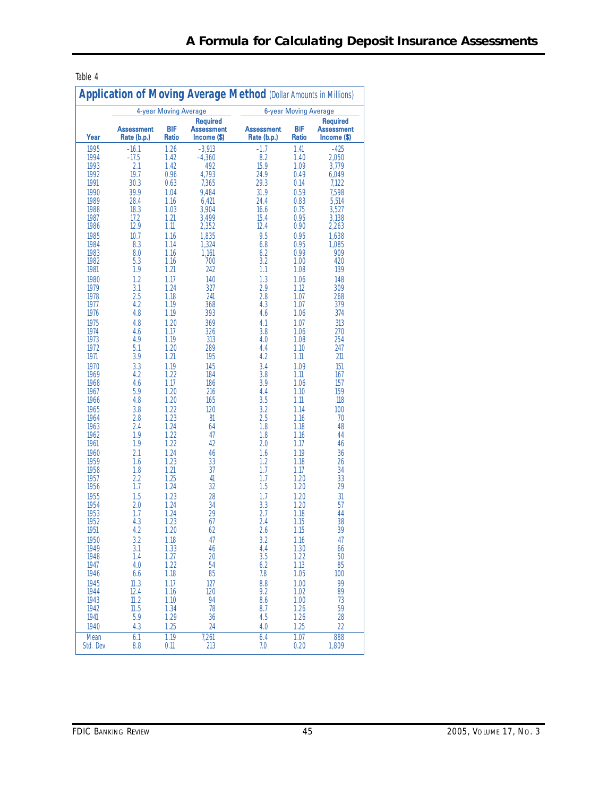| тап |  |
|-----|--|
|-----|--|

|                  | 4-year Moving Average<br><b>6-year Moving Average</b> |                            |                                              |                                  |              |                                              |
|------------------|-------------------------------------------------------|----------------------------|----------------------------------------------|----------------------------------|--------------|----------------------------------------------|
| Year             | <b>Assessment</b><br>Rate (b.p.)                      | <b>BIF</b><br><b>Ratio</b> | Required<br><b>Assessment</b><br>Income (\$) | <b>Assessment</b><br>Rate (b.p.) | BIF<br>Ratio | <b>Required</b><br>Assessment<br>Income (\$) |
| 1995             | $-16.1$                                               | 1.26                       | $-3,913$                                     | $-1.7$                           | 1.41         | $-425$                                       |
| 1994             | $-17.5$                                               | 1.42                       | $-4,360$                                     | 8.2                              | 1.40         | 2,050                                        |
| 1993             | 2.1                                                   | 1.42                       | 492                                          | 15.9                             | 1.09         | 3.779                                        |
| 1992             | 19.7                                                  | 0.96                       | 4,793                                        | 24.9                             | 0.49         | 6,049                                        |
| 1991             | 30.3                                                  | 0.63                       | 7,365                                        | 29.3                             | 0.14         | 7,122                                        |
| 1990<br>1989     | 39.9<br>28.4                                          | 1.04<br>1.16               | 9.484<br>6.421                               | 31.9<br>24.4                     | 0.59<br>0.83 | 7.598<br>5,514                               |
| 1988             | 18.3                                                  | 1.03                       | 3.904                                        | 16.6                             | 0.75         | 3.527                                        |
| 1987             | 17.2                                                  | 1.21                       | 3,499                                        | 15.4                             | 0.95         | 3.138                                        |
| 1986             | 12.9                                                  | 1.11                       | 2,352                                        | 12.4                             | 0.90         | 2,263                                        |
| 1985             | 10.7                                                  | 1.16                       | 1,835                                        | 9.5                              | 0.95         | 1,638                                        |
| 1984             | 8.3                                                   | 1.14                       | 1,324                                        | 6.8                              | 0.95         | 1,085                                        |
| 1983             | 8.0                                                   | 1.16                       | 1,161                                        | 6.2                              | 0.99         | 909                                          |
| 1982             | 5.3                                                   | 1.16                       | 700                                          | 3.2                              | 1.00         | 420                                          |
| 1981             | 1.9                                                   | 1.21                       | 242                                          | $1.1\,$                          | 1.08         | 139                                          |
| 1980             | 1.2                                                   | 1.17                       | 140                                          | 1.3                              | 1.06         | 148                                          |
| 1979<br>1978     | 3.1<br>2.5                                            | 1.24<br>1.18               | 327<br>241                                   | 2.9<br>2.8                       | 1.12<br>1.07 | 309<br>268                                   |
| 1977             | 4.2                                                   | 1.19                       | 368                                          | 4.3                              | 1.07         | 379                                          |
| 1976             | 4.8                                                   | 1.19                       | 393                                          | 4.6                              | 1.06         | 374                                          |
| 1975             | 4.8                                                   | 1.20                       | 369                                          | 4.1                              | 1.07         | 313                                          |
| 1974             | 4.6                                                   | 1.17                       | 326                                          | 3.8                              | 1.06         | 270                                          |
| 1973             | 4.9                                                   | 1.19                       | 313                                          | 4.0                              | 1.08         | 254                                          |
| 1972             | 5.1                                                   | 1.20                       | 289                                          | 4.4                              | 1.10         | 247                                          |
| 1971             | 3.9                                                   | 1.21                       | 195                                          | 4.2                              | 1.11         | 211                                          |
| 1970             | 3.3                                                   | 1.19                       | 145                                          | 3.4                              | 1.09         | 151                                          |
| 1969<br>1968     | 4.2<br>4.6                                            | 1.22<br>1.17               | 184<br>186                                   | 3.8<br>3.9                       | 1.11<br>1.06 | 167<br>157                                   |
| 1967             | 5.9                                                   | 1.20                       | 216                                          | 4.4                              | 1.10         | 159                                          |
| 1966             | 4.8                                                   | 1.20                       | 165                                          | 3.5                              | 1.11         | 118                                          |
| 1965             | 3.8                                                   | 1.22                       | 120                                          | 3.2                              | 1.14         | 100                                          |
| 1964             | 2.8                                                   | 1.23                       | 81                                           | 2.5                              | 1.16         | 70                                           |
| 1963             | 2.4                                                   | 1.24                       | 64                                           | 1.8                              | 1.18         | 48                                           |
| 1962             | 1.9                                                   | 1.22                       | 47                                           | 1.8                              | 1.16         | 44                                           |
| 1961             | 1.9                                                   | 1.22                       | 42                                           | 2.0                              | 1.17         | 46                                           |
| 1960<br>1959     | 2.1<br>1.6                                            | 1.24<br>1.23               | 46<br>33                                     | 1.6<br>1.2                       | 1.19<br>1.18 | 36<br>26                                     |
| 1958             | 1.8                                                   | 1.21                       | 37                                           | 1.7                              | 1.17         | 34                                           |
| 1957             | 2.2                                                   | 1.25                       | 41                                           | 1.7                              | 1.20         | 33                                           |
| 1956             | 1.7                                                   | 1.24                       | 32                                           | 1.5                              | 1.20         | 29                                           |
| 1955             | 1.5                                                   | 1.23                       | 28                                           | 1.7                              | 1.20         | 31                                           |
| 1954             | 2.0                                                   | 1.24                       | 34                                           | 3.3                              | 1.20         | 57                                           |
| 1953             | 1.7                                                   | 1.24                       | 29                                           | 2.7                              | 1.18         | 44                                           |
| 1952             | 4.3                                                   | 1.23                       | 67                                           | 2.4                              | 1.15         | 38                                           |
| 1951             | 4.2                                                   | 1.20                       | 62                                           | 2.6                              | 1.15         | 39                                           |
| 1950<br>1949     | 3.2<br>3.1                                            | 1.18<br>1.33               | 47<br>46                                     | 3.2<br>4.4                       | 1.16<br>1.30 | 47<br>66                                     |
| 1948             | 1.4                                                   | 1.27                       | 20                                           | 3.5                              | 1.22         | 50                                           |
| 1947             | 4.0                                                   | 1.22                       | 54                                           | 6.2                              | 1.13         | 85                                           |
| 1946             | 6.6                                                   | 1.18                       | 85                                           | 7.8                              | 1.05         | 100                                          |
| 1945             | 11.3                                                  | 1.17                       | 127                                          | 8.8                              | 1.00         | 99                                           |
| 1944             | 12.4                                                  | 1.16                       | 120                                          | 9.2                              | 1.02         | 89                                           |
| 1943             | 11.2                                                  | 1.10                       | 94                                           | 8.6                              | 1.00         | 73                                           |
| 1942             | 11.5                                                  | 1.34                       | 78                                           | 8.7                              | 1.26         | 59                                           |
| 1941             | 5.9                                                   | 1.29                       | 36                                           | 4.5                              | 1.26         | 28                                           |
| 1940             | 4.3                                                   | 1.25                       | 24                                           | 4.0                              | 1.25         | 22                                           |
| Mean<br>Std. Dev | 6.1<br>8.8                                            | 1.19<br>0.11               | 7,261<br>213                                 | 6.4<br>7.0                       | 1.07<br>0.20 | 888<br>1,809                                 |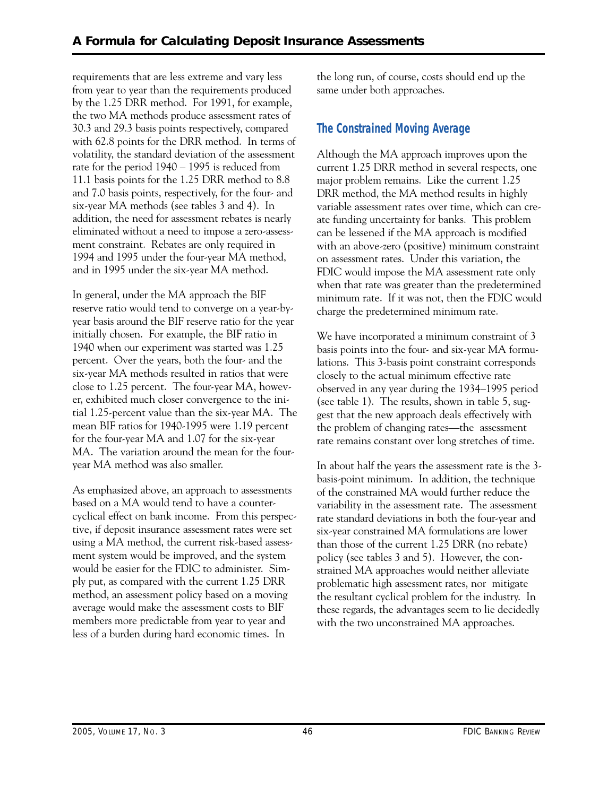requirements that are less extreme and vary less from year to year than the requirements produced by the 1.25 DRR method. For 1991, for example, the two MA methods produce assessment rates of 30.3 and 29.3 basis points respectively, compared with 62.8 points for the DRR method. In terms of volatility, the standard deviation of the assessment rate for the period 1940 – 1995 is reduced from 11.1 basis points for the 1.25 DRR method to 8.8 and 7.0 basis points, respectively, for the four- and six-year MA methods (see tables 3 and 4). In addition, the need for assessment rebates is nearly eliminated without a need to impose a zero-assessment constraint. Rebates are only required in 1994 and 1995 under the four-year MA method, and in 1995 under the six-year MA method.

In general, under the MA approach the BIF reserve ratio would tend to converge on a year-byyear basis around the BIF reserve ratio for the year initially chosen. For example, the BIF ratio in 1940 when our experiment was started was 1.25 percent. Over the years, both the four- and the six-year MA methods resulted in ratios that were close to 1.25 percent. The four-year MA, however, exhibited much closer convergence to the initial 1.25-percent value than the six-year MA. The mean BIF ratios for 1940-1995 were 1.19 percent for the four-year MA and 1.07 for the six-year MA. The variation around the mean for the fouryear MA method was also smaller.

As emphasized above, an approach to assessments based on a MA would tend to have a countercyclical effect on bank income. From this perspective, if deposit insurance assessment rates were set using a MA method, the current risk-based assessment system would be improved, and the system would be easier for the FDIC to administer. Simply put, as compared with the current 1.25 DRR method, an assessment policy based on a moving average would make the assessment costs to BIF members more predictable from year to year and less of a burden during hard economic times. In

the long run, of course, costs should end up the same under both approaches.

# **The Constrained Moving Average**

Although the MA approach improves upon the current 1.25 DRR method in several respects, one major problem remains. Like the current 1.25 DRR method, the MA method results in highly variable assessment rates over time, which can create funding uncertainty for banks. This problem can be lessened if the MA approach is modified with an above-zero (positive) minimum constraint on assessment rates. Under this variation, the FDIC would impose the MA assessment rate only when that rate was greater than the predetermined minimum rate. If it was not, then the FDIC would charge the predetermined minimum rate.

We have incorporated a minimum constraint of 3 basis points into the four- and six-year MA formulations. This 3-basis point constraint corresponds closely to the actual minimum effective rate observed in any year during the 1934–1995 period (see table 1). The results, shown in table 5, suggest that the new approach deals effectively with the problem of changing rates—the assessment rate remains constant over long stretches of time.

In about half the years the assessment rate is the 3 basis-point minimum. In addition, the technique of the constrained MA would further reduce the variability in the assessment rate. The assessment rate standard deviations in both the four-year and six-year constrained MA formulations are lower than those of the current 1.25 DRR (no rebate) policy (see tables 3 and 5). However, the constrained MA approaches would neither alleviate problematic high assessment rates, nor mitigate the resultant cyclical problem for the industry. In these regards, the advantages seem to lie decidedly with the two unconstrained MA approaches.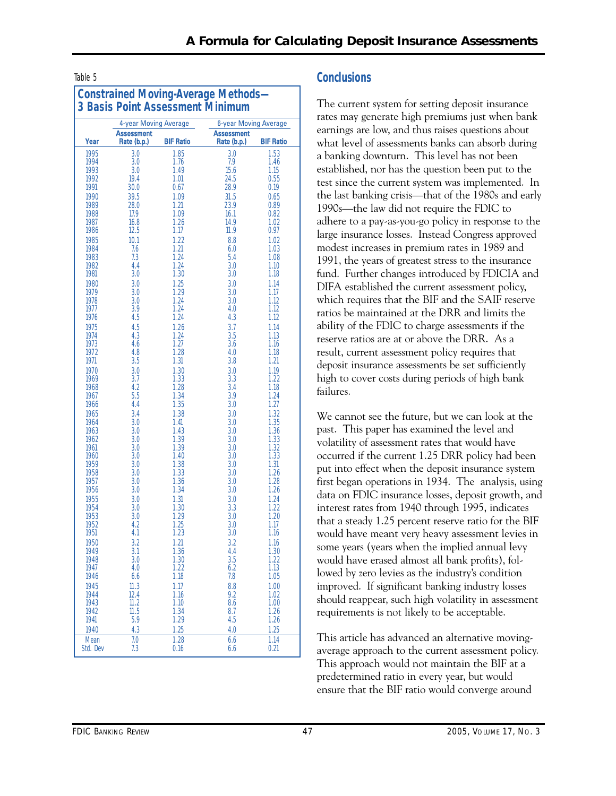| <b>Constrained Moving-Average Methods-</b><br><b>3 Basis Point Assessment Minimum</b> |                                  |                  |                                  |                  |
|---------------------------------------------------------------------------------------|----------------------------------|------------------|----------------------------------|------------------|
|                                                                                       | 4-year Moving Average            |                  | 6-year Moving Average            |                  |
| Year                                                                                  | <b>Assessment</b><br>Rate (b.p.) | <b>BIF Ratio</b> | <b>Assessment</b><br>Rate (b.p.) | <b>BIF Ratio</b> |
| 1995                                                                                  | 3.0                              | 1.85             | 3.0                              | 1.53             |
| 1994                                                                                  | 3.0                              | 1.76             | 7.9                              | 1.46             |
| 1993                                                                                  | 3.0                              | 1.49             | 15.6                             | 1.15             |
| 1992                                                                                  | 19.4                             | 1.01             | 24.5                             | 0.55             |
| 1991                                                                                  | 30.0                             | 0.67             | 28.9                             | 0.19             |
| 1990                                                                                  | 39.5                             | 1.09             | 31.5                             | 0.65             |
| 1989                                                                                  | 28.0                             | 1.21             | 23.9                             | 0.89             |
| 1988                                                                                  | 17.9<br>16.8                     | 1.09<br>1.26     | 16.1                             | 0.82             |
| 1987<br>1986                                                                          | 12.5                             | 1.17             | 14.9<br>11.9                     | 1.02<br>0.97     |
| 1985                                                                                  | 10.1                             | 1.22             | 8.8                              | 1.02             |
| 1984                                                                                  | 7.6                              | 1.21             | 6.0                              | 1.03             |
| 1983                                                                                  | 7.3                              | 1.24             | 5.4                              | 1.08             |
| 1982                                                                                  | 4.4                              | 1.24             | 3.0                              | 1.10             |
| 1981                                                                                  | 3.0                              | 1.30             | 3.0                              | 1.18             |
| 1980                                                                                  | 3.0                              | 1.25             | 3.0                              | 1.14             |
| 1979                                                                                  | 3.0                              | 1.29             | 3.0                              | 1.17             |
| 1978                                                                                  | 3.0                              | 1.24             | 3.0                              | 1.12             |
| 1977                                                                                  | 3.9                              | 1.24             | 4.0                              | 1.12             |
| 1976                                                                                  | 4.5                              | 1.24             | 4.3                              | 1.12             |
| 1975<br>1974                                                                          | 4.5<br>4.3                       | 1.26<br>1.24     | 3.7<br>3.5                       | 1.14<br>1.13     |
| 1973                                                                                  | 4.6                              | 1.27             | 3.6                              | 1.16             |
| 1972                                                                                  | 4.8                              | 1.28             | 4.0                              | 1.18             |
| 1971                                                                                  | 3.5                              | 1.31             | 3.8                              | 1.21             |
| 1970                                                                                  | 3.0                              | 1.30             | 3.0                              | 1.19             |
| 1969                                                                                  | 3.7                              | 1.33             | 3.3                              | 1.22             |
| 1968                                                                                  | 4.2                              | 1.28             | 3.4                              | 1.18             |
| 1967                                                                                  | 5.5                              | 1.34             | 3.9                              | 1.24             |
| 1966                                                                                  | 4.4                              | 1.35             | 3.0                              | 1.27             |
| 1965                                                                                  | 3.4                              | 1.38             | 3.0                              | 1.32             |
| 1964<br>1963                                                                          | 3.0<br>3.0                       | 1.41<br>1.43     | 3.0<br>3.0                       | 1.35<br>1.36     |
| 1962                                                                                  | 3.0                              | 1.39             | 3.0                              | 1.33             |
| 1961                                                                                  | 3.0                              | 1.39             | 3.0                              | 1.32             |
| 1960                                                                                  | 3.0                              | 1.40             | 3.0                              | 1.33             |
| 1959                                                                                  | 3.0                              | 1.38             | 3.0                              | 1.31             |
| 1958                                                                                  | 3.0                              | 1.33             | 3.0                              | 1.26             |
| 1957                                                                                  | 3.0                              | 1.36             | 3.0                              | 1.28             |
| 1956                                                                                  | 3.0                              | 1.34             | 3.0                              | 1.26             |
| 1955<br>1954                                                                          | 3.0<br>3.0                       | 1.31<br>1.30     | 3.0<br>3.3                       | 1.24<br>1.22     |
| 1953                                                                                  | 3.0                              | 1.29             | 3.0                              | 1.20             |
| 1952                                                                                  | 4.2                              | 1.25             | 3.0                              | 1.17             |
| 1951                                                                                  | 4.1                              | 1.23             | 3.0                              | 1.16             |
| 1950                                                                                  | 3.2                              | 1.21             | 3.2                              | 1.16             |
| 1949                                                                                  | 3.1                              | 1.36             | 4.4                              | 1.30             |
| 1948                                                                                  | 3.0                              | 1.30             | 3.5                              | 1.22             |
| 1947<br>1946                                                                          | 4.0<br>6.6                       | 1.22<br>1.18     | 6.2<br>7.8                       | 1.13<br>1.05     |
| 1945                                                                                  | 11.3                             | 1.17             | 8.8                              | 1.00             |
| 1944                                                                                  | 12.4                             | 1.16             | 9.2                              | 1.02             |
| 1943                                                                                  | 11.2                             | 1.10             | 8.6                              | 1.00             |
| 1942                                                                                  | 11.5                             | 1.34             | 8.7                              | 1.26             |
| 1941                                                                                  | 5.9                              | 1.29             | 4.5                              | 1.26             |
| 1940                                                                                  | 4.3                              | 1.25             | 4.0                              | 1.25             |
| Mean<br>Std. Dev                                                                      | 7.0<br>7.3                       | 1.28<br>0.16     | 6.6<br>6.6                       | 1.14<br>0.21     |

# Table 5 **Conclusions**

failures. The current system for setting deposit insurance rates may generate high premiums just when bank earnings are low, and thus raises questions about what level of assessments banks can absorb during a banking downturn. This level has not been established, nor has the question been put to the test since the current system was implemented. In the last banking crisis—that of the 1980s and early 1990s—the law did not require the FDIC to adhere to a pay-as-you-go policy in response to the large insurance losses. Instead Congress approved modest increases in premium rates in 1989 and 1991, the years of greatest stress to the insurance fund. Further changes introduced by FDICIA and DIFA established the current assessment policy, which requires that the BIF and the SAIF reserve ratios be maintained at the DRR and limits the ability of the FDIC to charge assessments if the reserve ratios are at or above the DRR. As a result, current assessment policy requires that deposit insurance assessments be set sufficiently high to cover costs during periods of high bank

 first began operations in 1934. The analysis, using We cannot see the future, but we can look at the past. This paper has examined the level and volatility of assessment rates that would have occurred if the current 1.25 DRR policy had been put into effect when the deposit insurance system data on FDIC insurance losses, deposit growth, and interest rates from 1940 through 1995, indicates that a steady 1.25 percent reserve ratio for the BIF would have meant very heavy assessment levies in some years (years when the implied annual levy would have erased almost all bank profits), followed by zero levies as the industry's condition improved. If significant banking industry losses should reappear, such high volatility in assessment requirements is not likely to be acceptable.

This article has advanced an alternative movingaverage approach to the current assessment policy. This approach would not maintain the BIF at a predetermined ratio in every year, but would ensure that the BIF ratio would converge around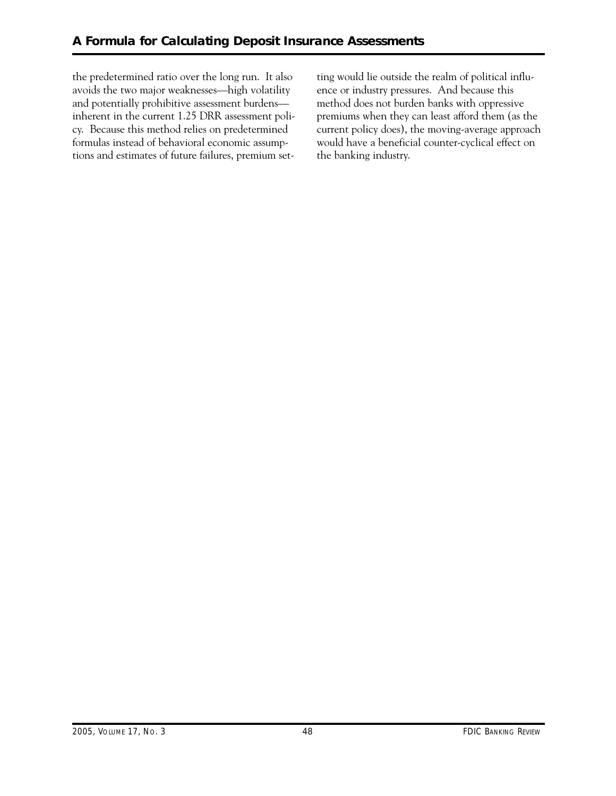the predetermined ratio over the long run. It also avoids the two major weaknesses—high volatility and potentially prohibitive assessment burdens inherent in the current 1.25 DRR assessment policy. Because this method relies on predetermined formulas instead of behavioral economic assumptions and estimates of future failures, premium setting would lie outside the realm of political influence or industry pressures. And because this method does not burden banks with oppressive premiums when they can least afford them (as the current policy does), the moving-average approach would have a beneficial counter-cyclical effect on the banking industry.